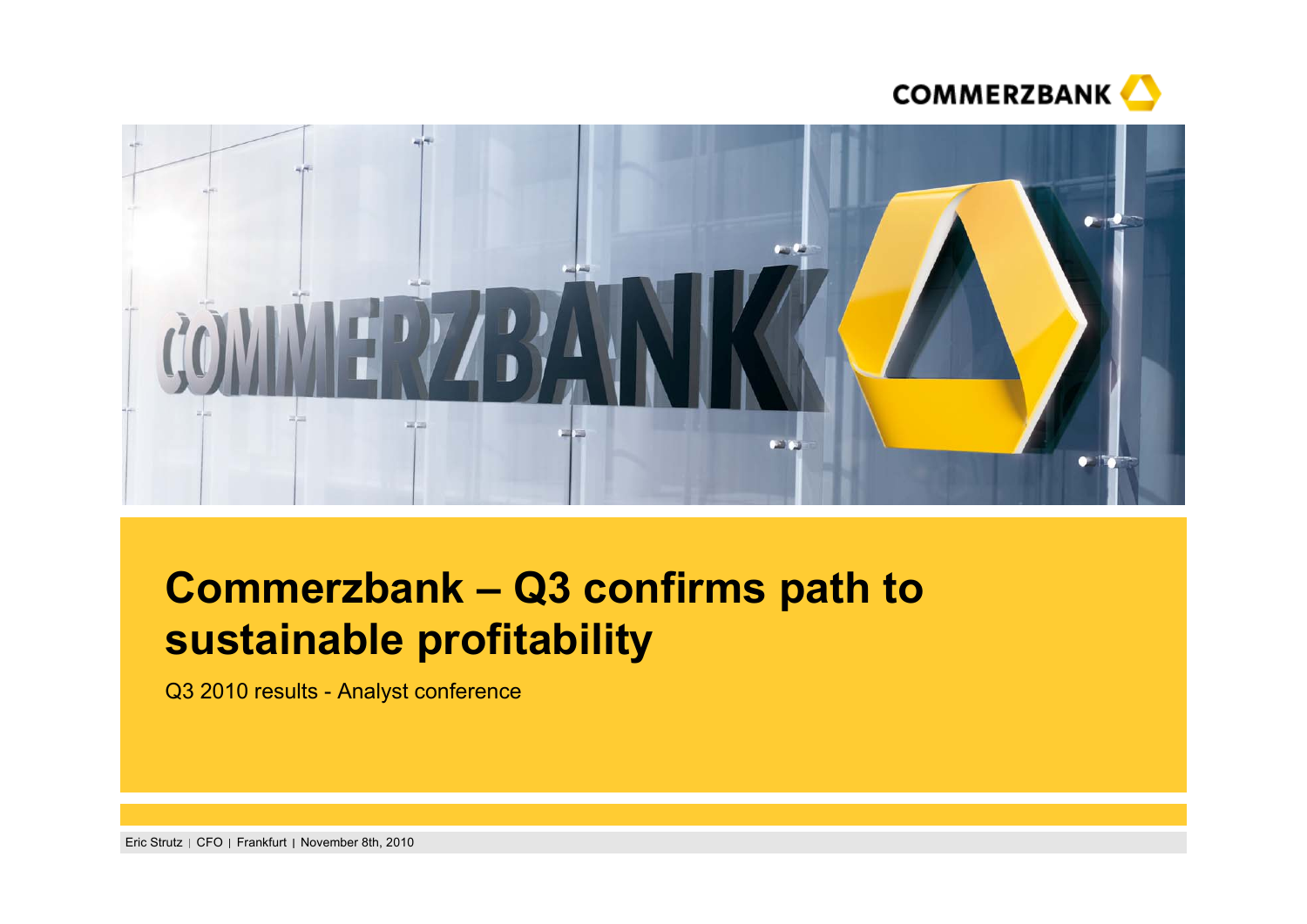



# **Commerzbank – Q3 confirms path to sustainable profitability**

Q3 2010 results - Analyst conference

Eric Strutz | CFO | Frankfurt | November 8th, 2010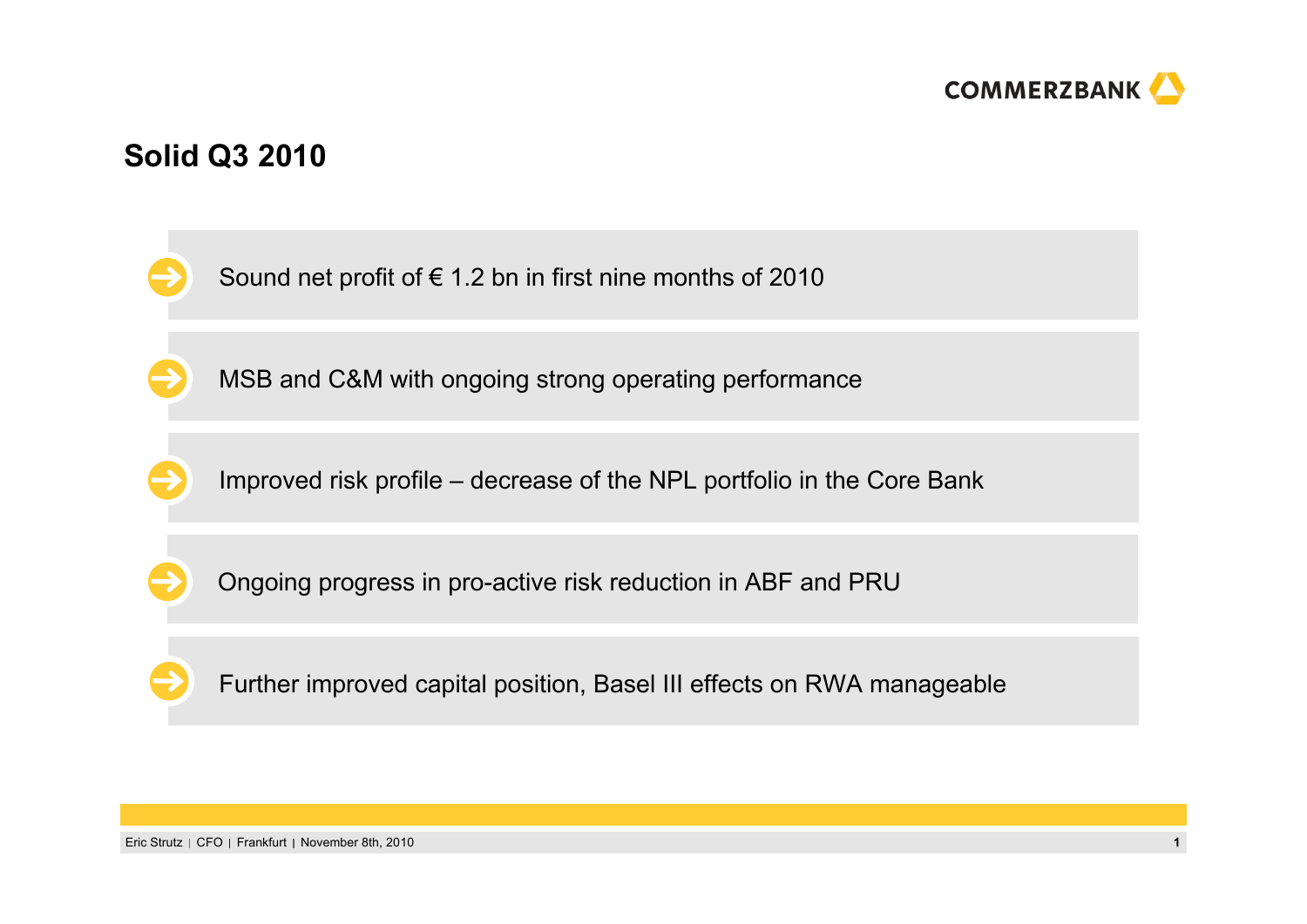

# **Solid Q3 2010**

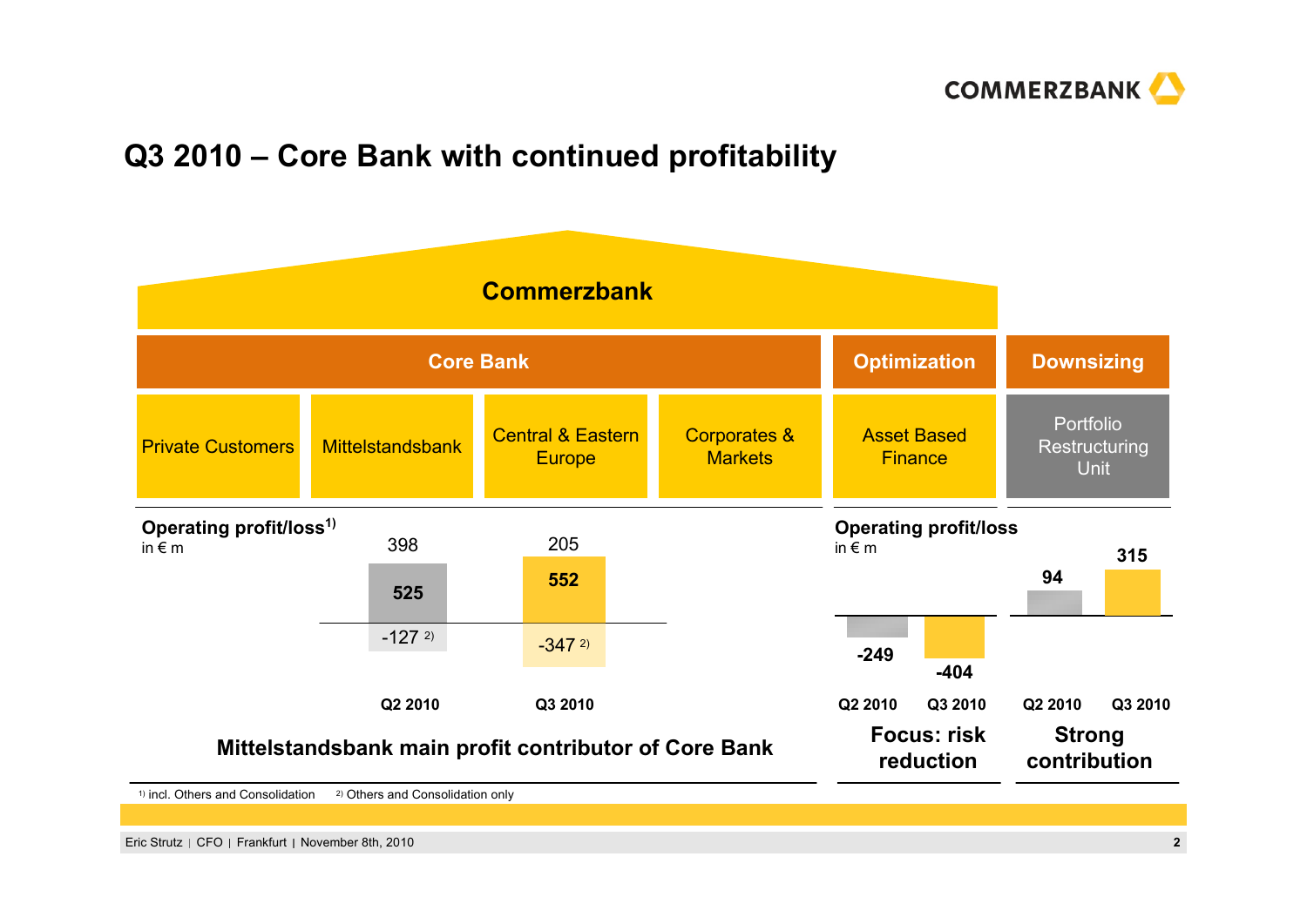

# **Q3 2010 – Core Bank with continued profitability**

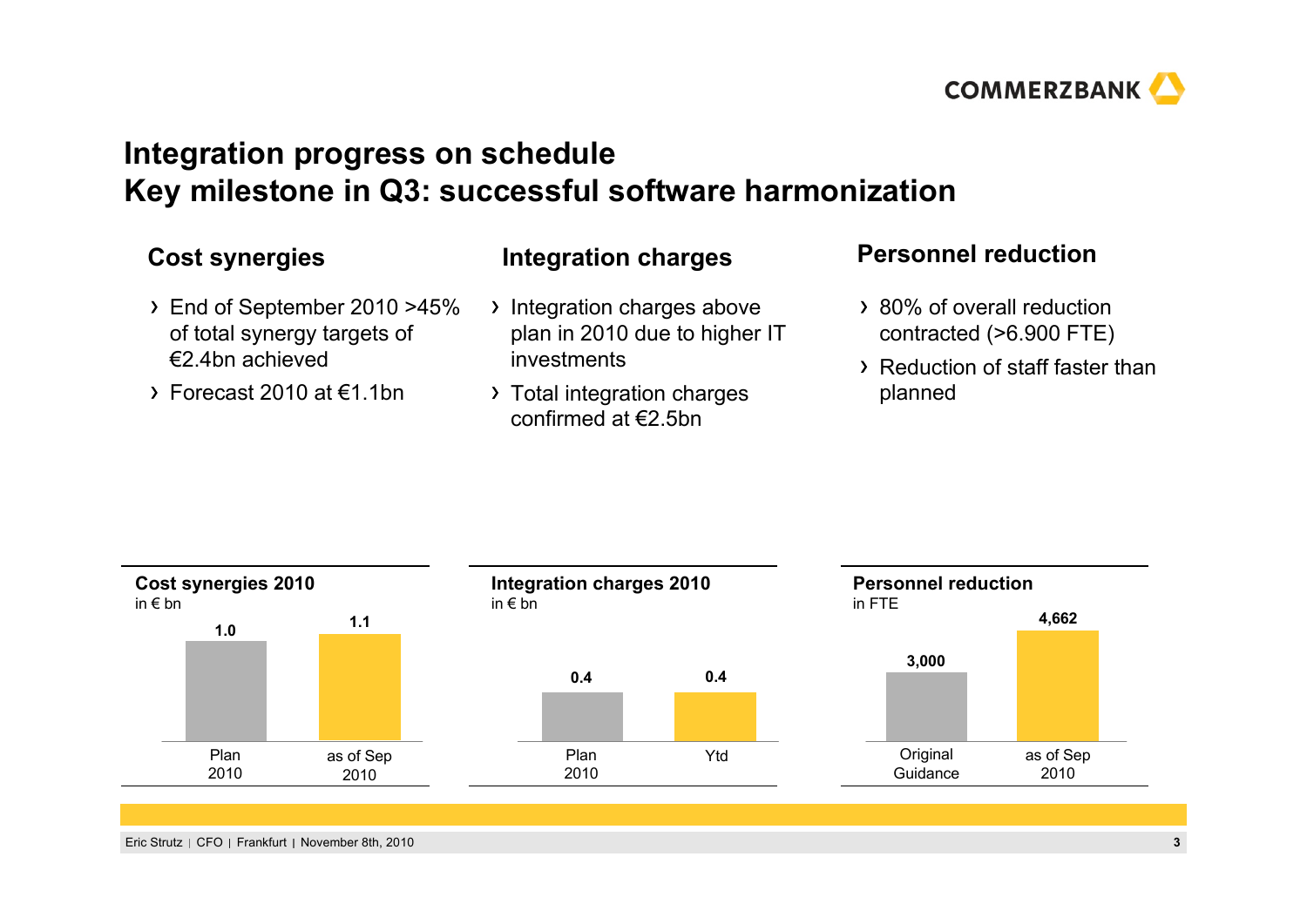

# **Integration progress on schedule Key milestone in Q3: successful software harmonization**

- End of September 2010 >45% of total synergy targets of €2.4bn achieved
- $\rightarrow$  Forecast 2010 at  $\epsilon$ 1.1bn

#### **Cost synergies Personnel reduction Integration charges**

- Integration charges above plan in 2010 due to higher IT investments
- > Total integration charges confirmed at €2.5bn

- 80% of overall reduction contracted (>6.900 FTE)
- Reduction of staff faster than planned

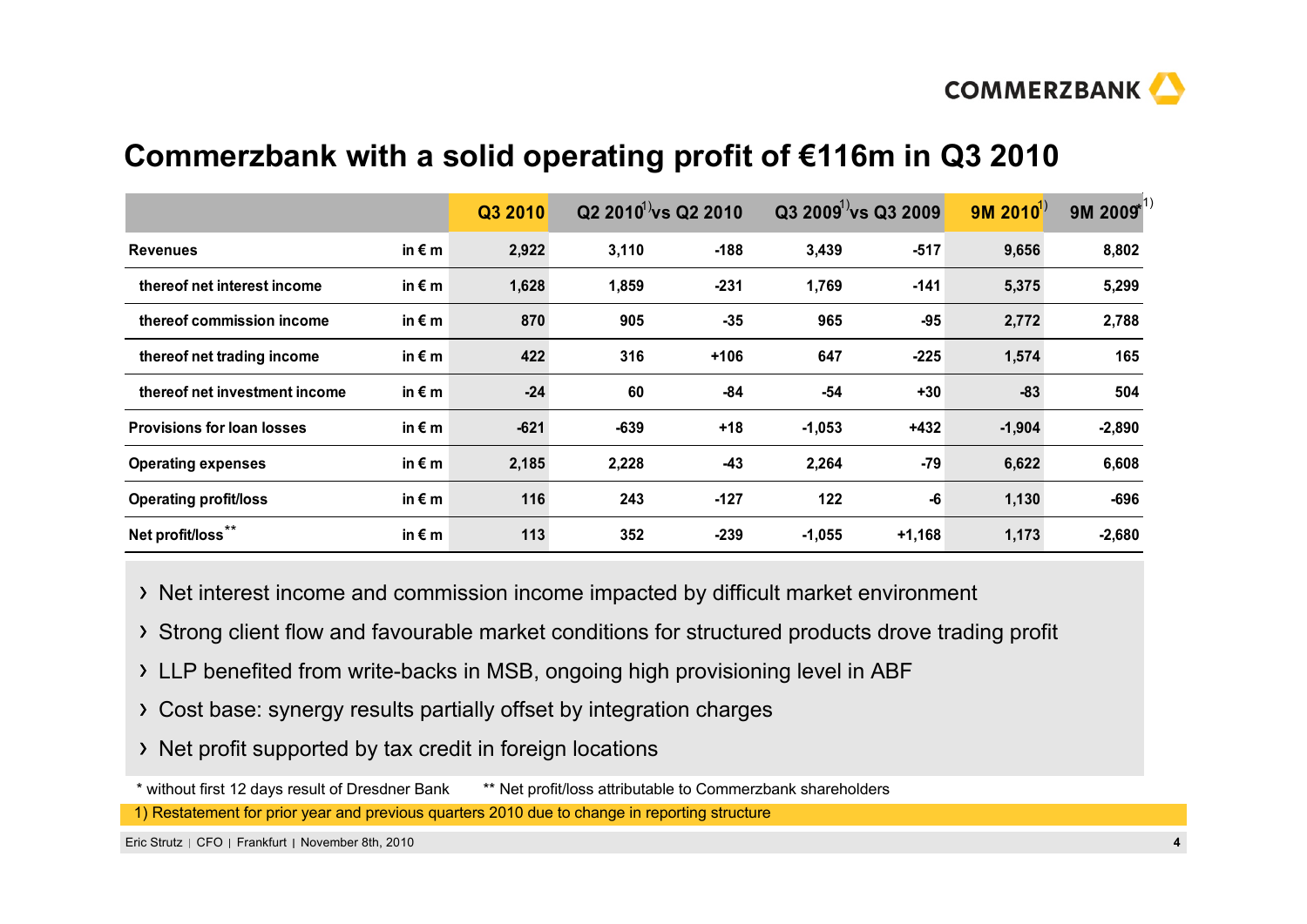

# **Commerzbank with a solid operating profit of €116m in Q3 2010**

|                                   |                 | Q3 2010 |        | $Q2 2010^{11}$ vs $Q2 2010$ |          | $Q3 2009^1$ vs $Q3 2009$ | $9M 2010^{1}$ | 9M 2009* |
|-----------------------------------|-----------------|---------|--------|-----------------------------|----------|--------------------------|---------------|----------|
| <b>Revenues</b>                   | in $\epsilon$ m | 2,922   | 3,110  | $-188$                      | 3,439    | $-517$                   | 9,656         | 8,802    |
| thereof net interest income       | in $\epsilon$ m | 1,628   | 1,859  | $-231$                      | 1,769    | $-141$                   | 5,375         | 5,299    |
| thereof commission income         | in $\epsilon$ m | 870     | 905    | $-35$                       | 965      | $-95$                    | 2,772         | 2,788    |
| thereof net trading income        | in $\epsilon$ m | 422     | 316    | $+106$                      | 647      | $-225$                   | 1,574         | 165      |
| thereof net investment income     | in $\epsilon$ m | $-24$   | 60     | -84                         | $-54$    | $+30$                    | -83           | 504      |
| <b>Provisions for loan losses</b> | in $\epsilon$ m | $-621$  | $-639$ | $+18$                       | $-1,053$ | $+432$                   | $-1,904$      | $-2,890$ |
| <b>Operating expenses</b>         | in $\epsilon$ m | 2,185   | 2,228  | $-43$                       | 2,264    | $-79$                    | 6,622         | 6,608    |
| <b>Operating profit/loss</b>      | in $\epsilon$ m | 116     | 243    | $-127$                      | 122      | -6                       | 1,130         | $-696$   |
| Net profit/loss <sup>*</sup>      | in $\epsilon$ m | 113     | 352    | $-239$                      | $-1,055$ | $+1,168$                 | 1,173         | $-2,680$ |

Net interest income and commission income impacted by difficult market environment

- Strong client flow and favourable market conditions for structured products drove trading profit
- LLP benefited from write-backs in MSB, ongoing high provisioning level in ABF
- Cost base: synergy results partially offset by integration charges
- > Net profit supported by tax credit in foreign locations

\* without first 12 days result of Dresdner Bank \*\* Net profit/loss attributable to Commerzbank shareholders

1) Restatement for prior year and previous quarters 2010 due to change in reporting structure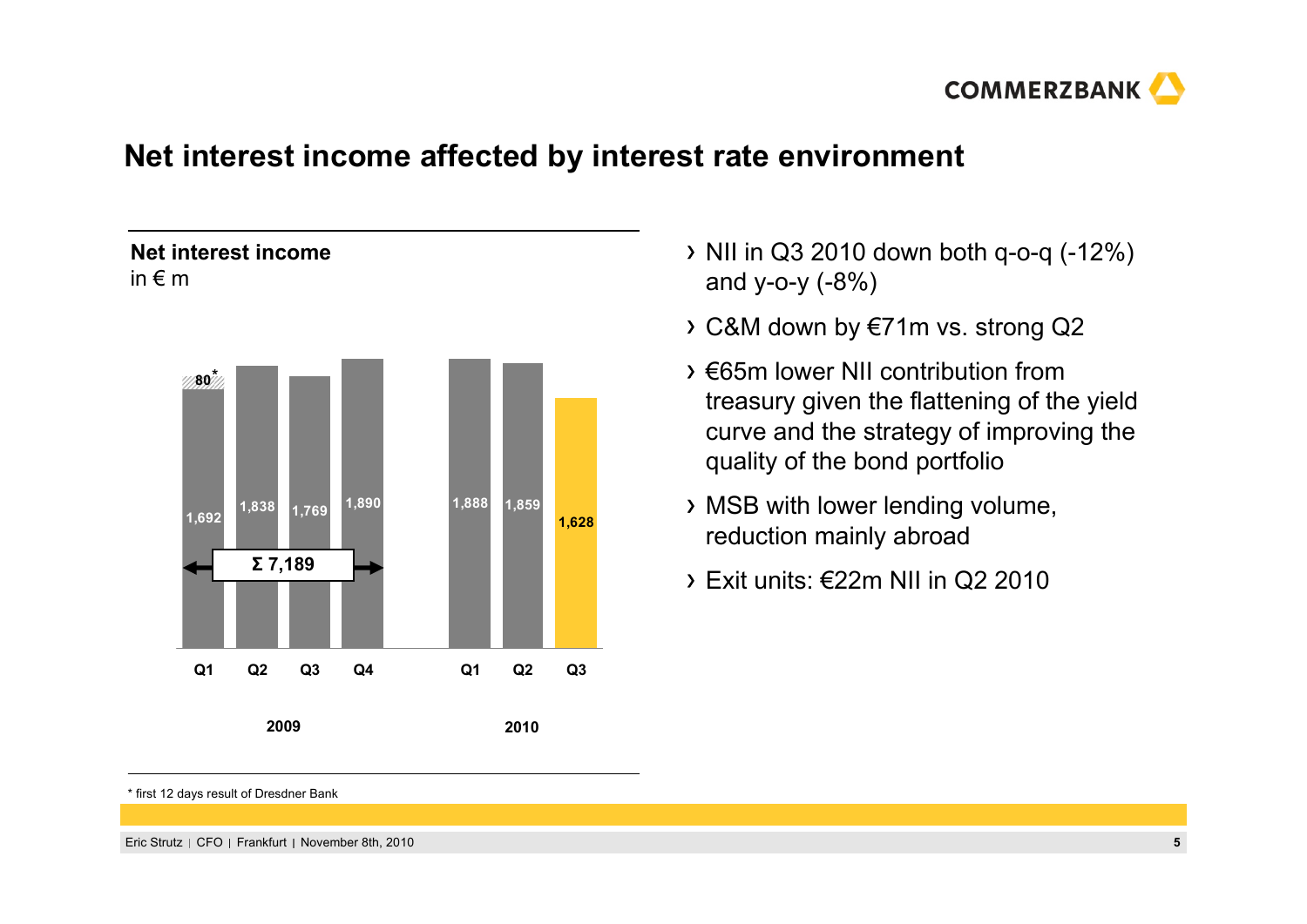

## **Net interest income affected by interest rate environment**

#### **Net interest income**in € m



- $\rightarrow$  NII in Q3 2010 down both q-o-q (-12%) and y-o-y (-8%)
- C&M down by €71m vs. strong Q2
- €65m lower NII contribution from treasury given the flattening of the yield curve and the strategy of improving the quality of the bond portfolio
- MSB with lower lending volume, reduction mainly abroad
- $\rightarrow$  Fxit units:  $\epsilon$ 22m NII in Q2 2010

\* first 12 days result of Dresdner Bank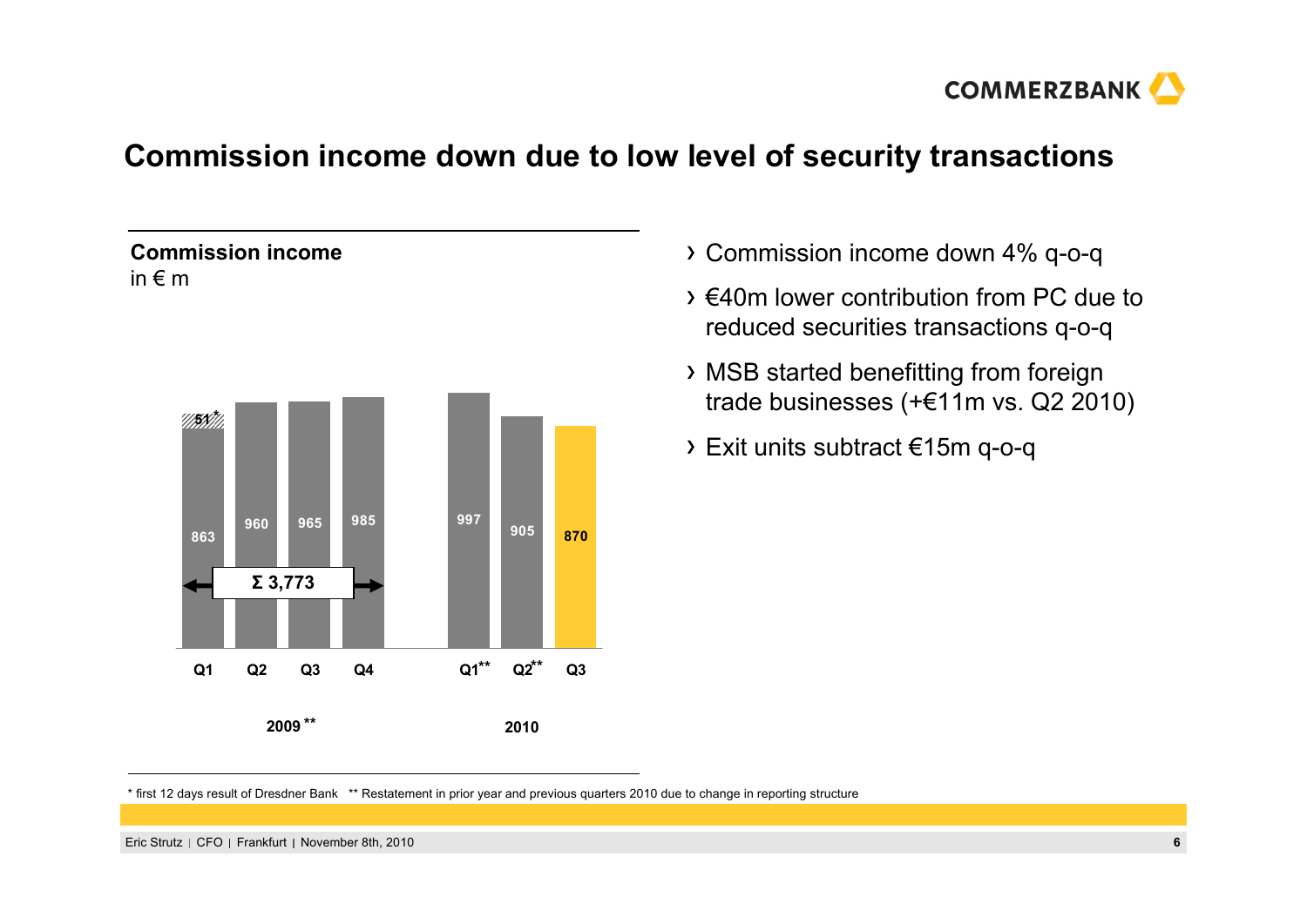

# **Commission income down due to low level of security transactions**

#### **Commission income**in € m



- Commission income down 4% q-o-q
- €40m lower contribution from PC due to reduced securities transactions q-o-q
- MSB started benefitting from foreign trade businesses (+€11m vs. Q2 2010)
- Exit units subtract €15m q-o-q

\* first 12 days result of Dresdner Bank \*\* Restatement in prior year and previous quarters 2010 due to change in reporting structure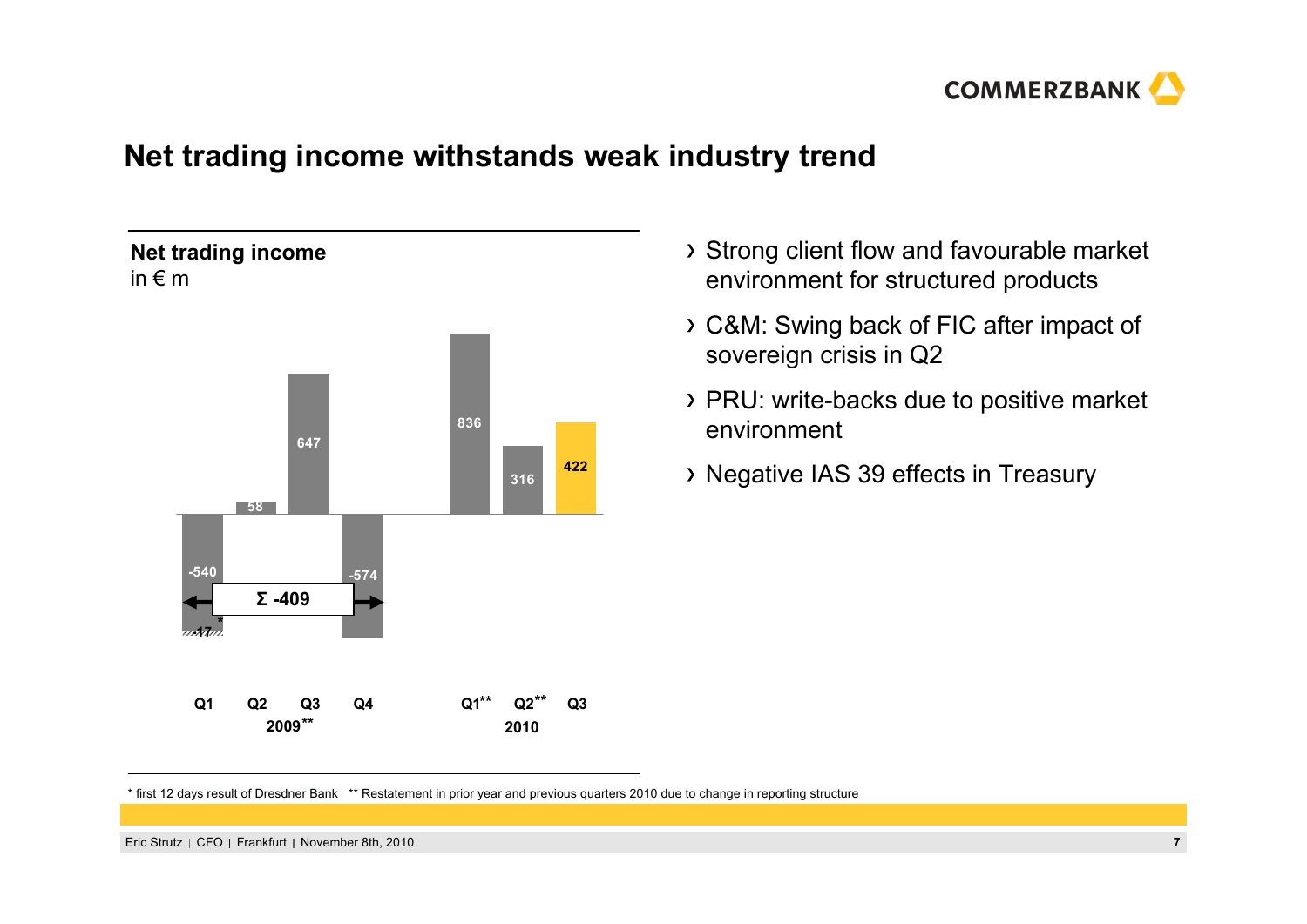

# **Net trading income withstands weak industry trend**



- Strong client flow and favourable market environment for structured products
- C&M: Swing back of FIC after impact of sovereign crisis in Q2
- PRU: write-backs due to positive market environment
- Negative IAS 39 effects in Treasury

\* first 12 days result of Dresdner Bank \*\* Restatement in prior year and previous quarters 2010 due to change in reporting structure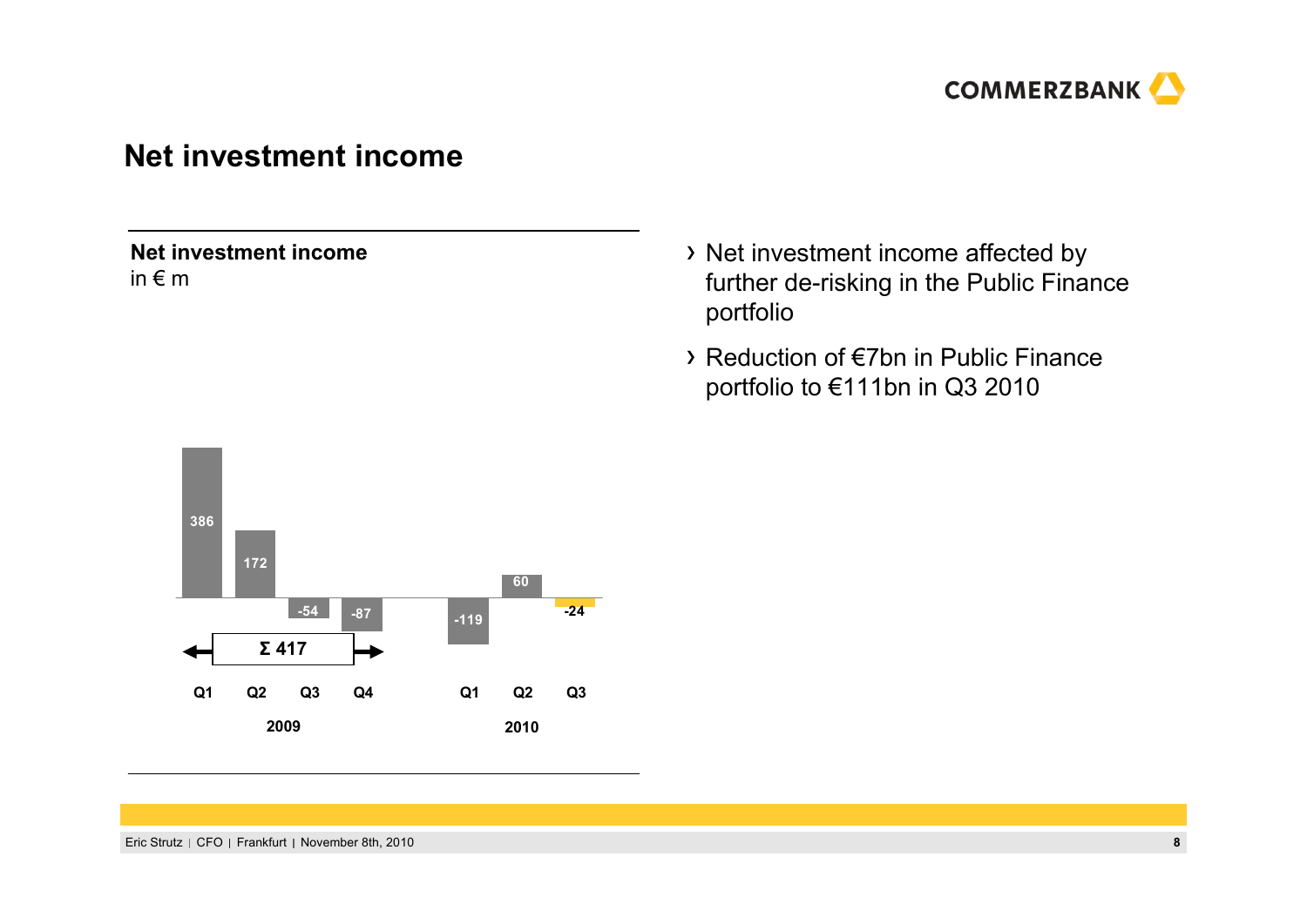

#### **Net investment income**

**Net investment income**in € m

- > Net investment income affected by further de-risking in the Public Finance portfolio
- Reduction of €7bn in Public Finance portfolio to €111bn in Q3 2010

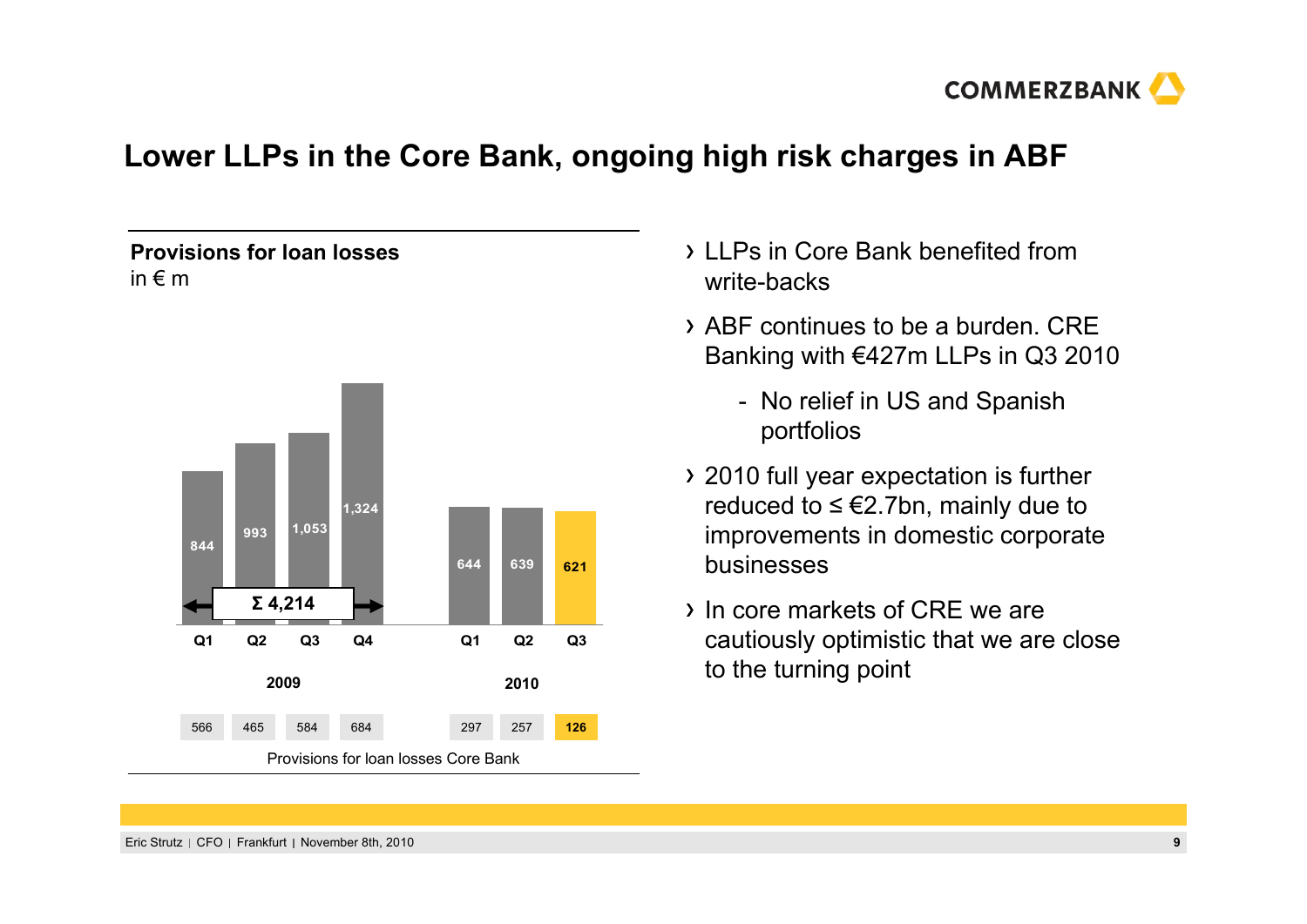

# **Lower LLPs in the Core Bank, ongoing high risk charges in ABF**

#### **Provisions for loan losses** in € m



- LLPs in Core Bank benefited from write-backs
- ABF continues to be a burden. CRE Banking with €427m LLPs in Q3 2010
	- No relief in US and Spanish portfolios
- 2010 full year expectation is further reduced to ≤ €2.7bn, mainly due to improvements in domestic corporate businesses
- In core markets of CRE we are cautiously optimistic that we are close to the turning point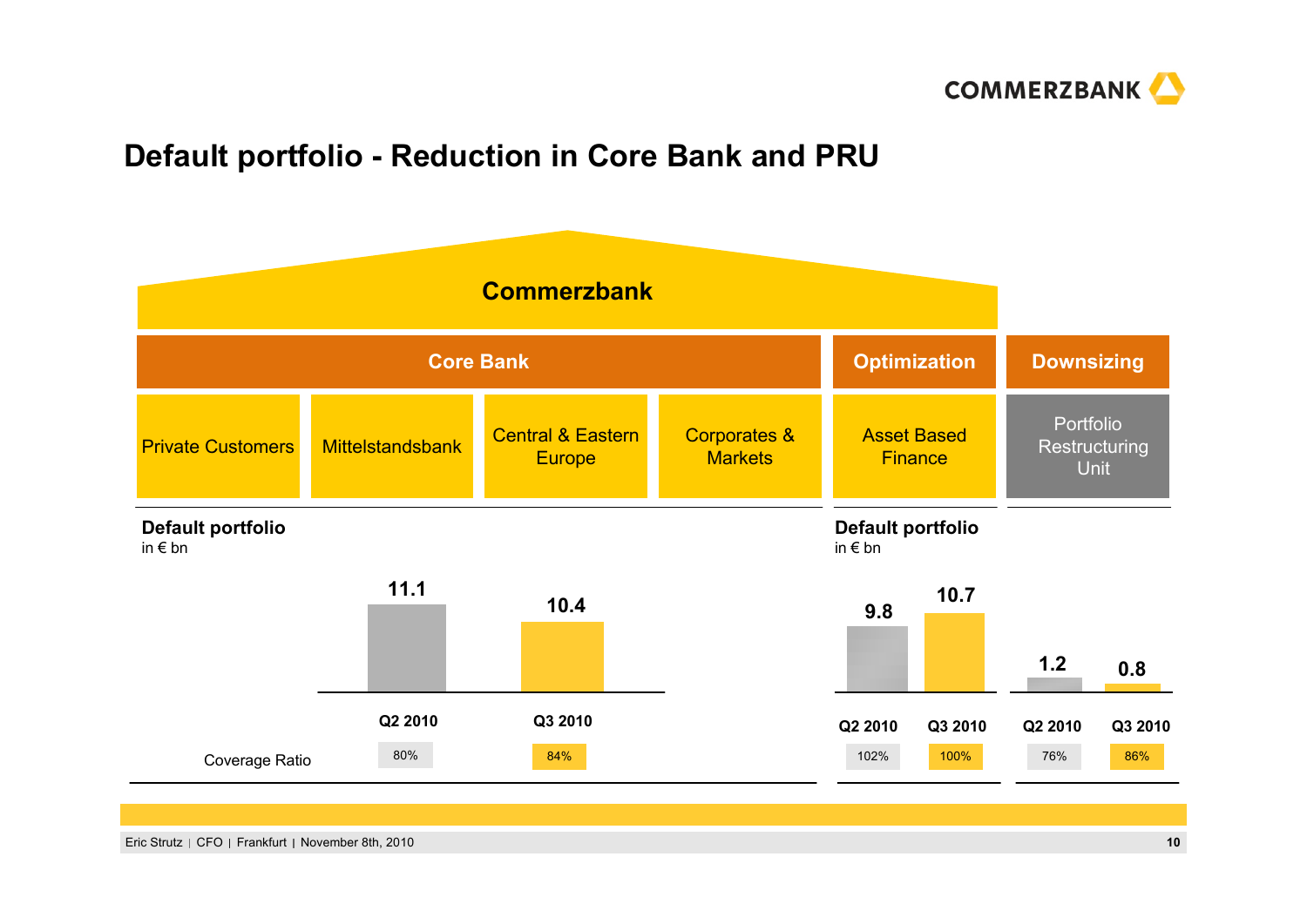

# **Default portfolio - Reduction in Core Bank and PRU**

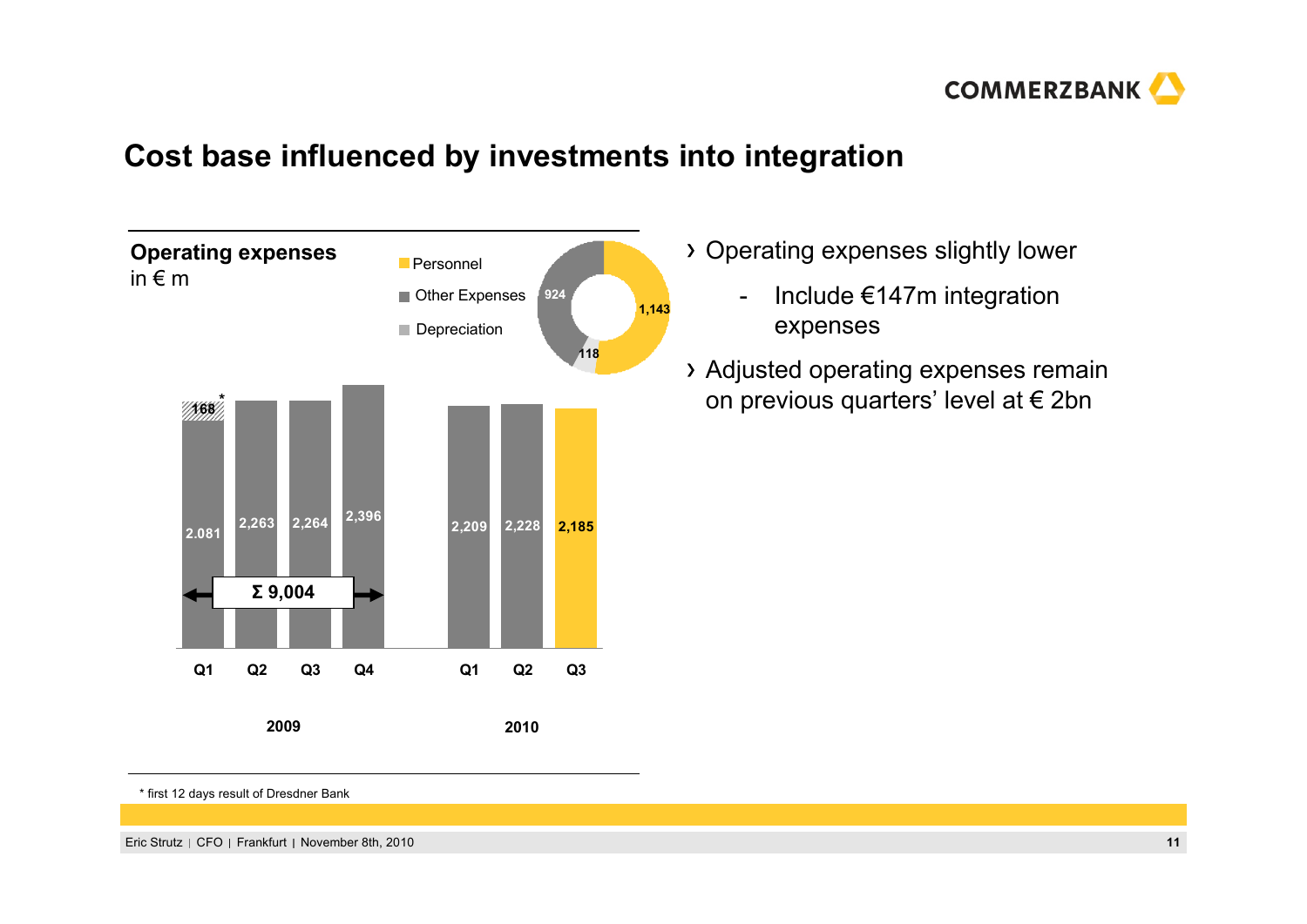

# **Cost base influenced by investments into integration**



- Operating expenses slightly lower
	- - Include €147m integration expenses
- Adjusted operating expenses remain on previous quarters' level at € 2bn

\* first 12 days result of Dresdner Bank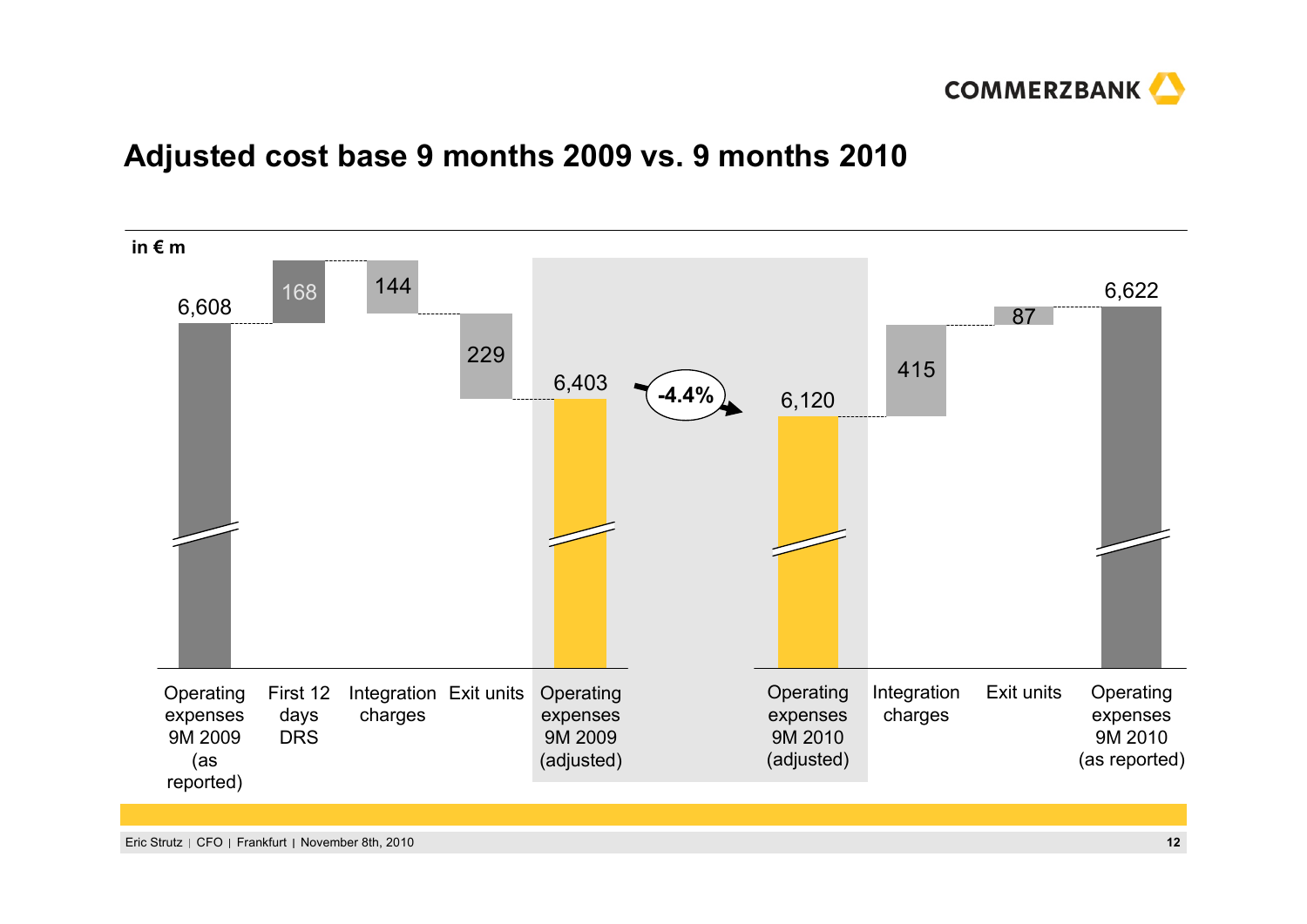

## **Adjusted cost base 9 months 2009 vs. 9 months 2010**

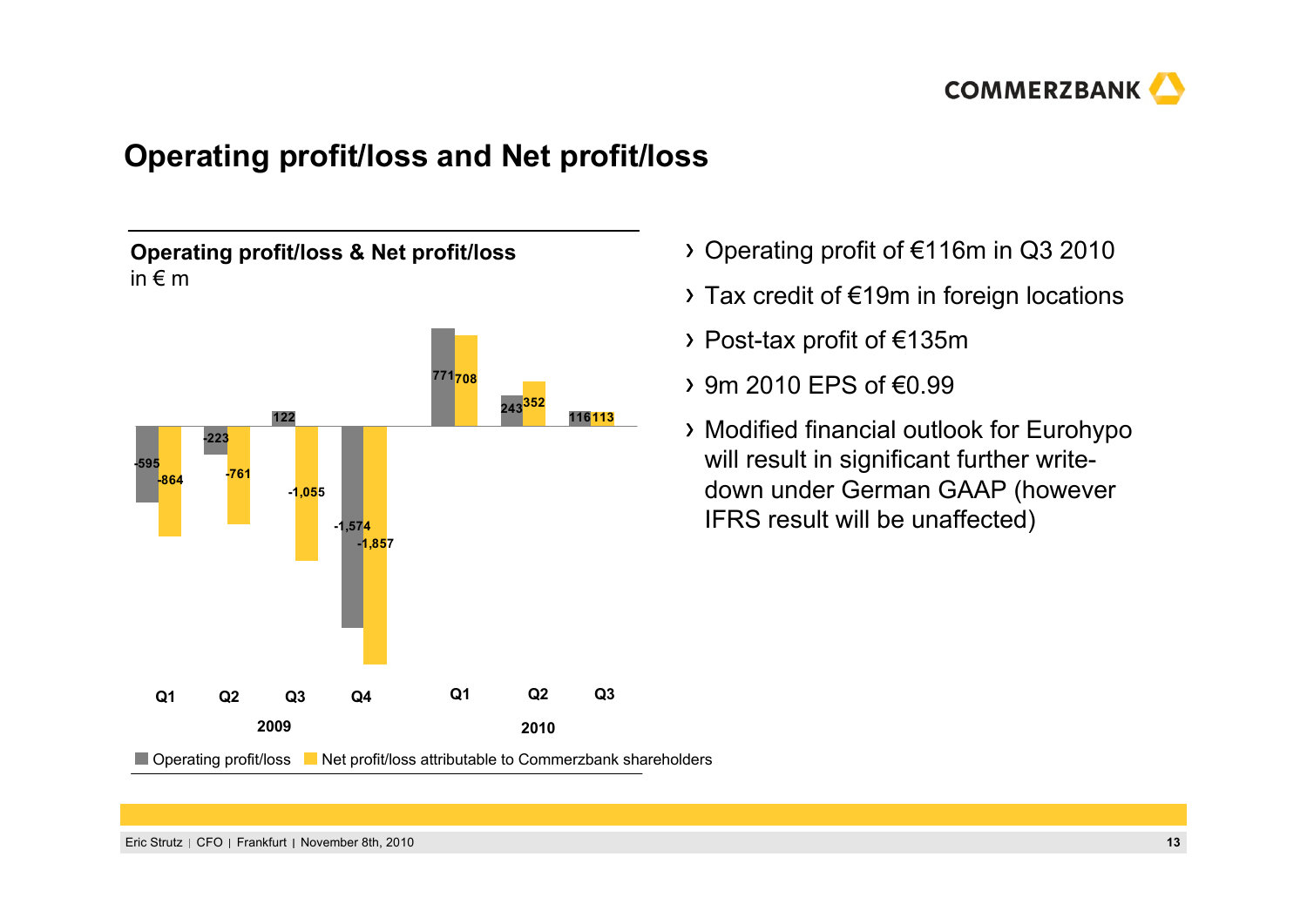

# **Operating profit/loss and Net profit/loss**

**Operating profit/loss & Net profit/loss** in € m



- Operating profit of €116m in Q3 2010
- Tax credit of €19m in foreign locations
- Post-tax profit of €135m
- 9m 2010 EPS of €0.99
- Modified financial outlook for Eurohypo will result in significant further writedown under German GAAP (however IFRS result will be unaffected)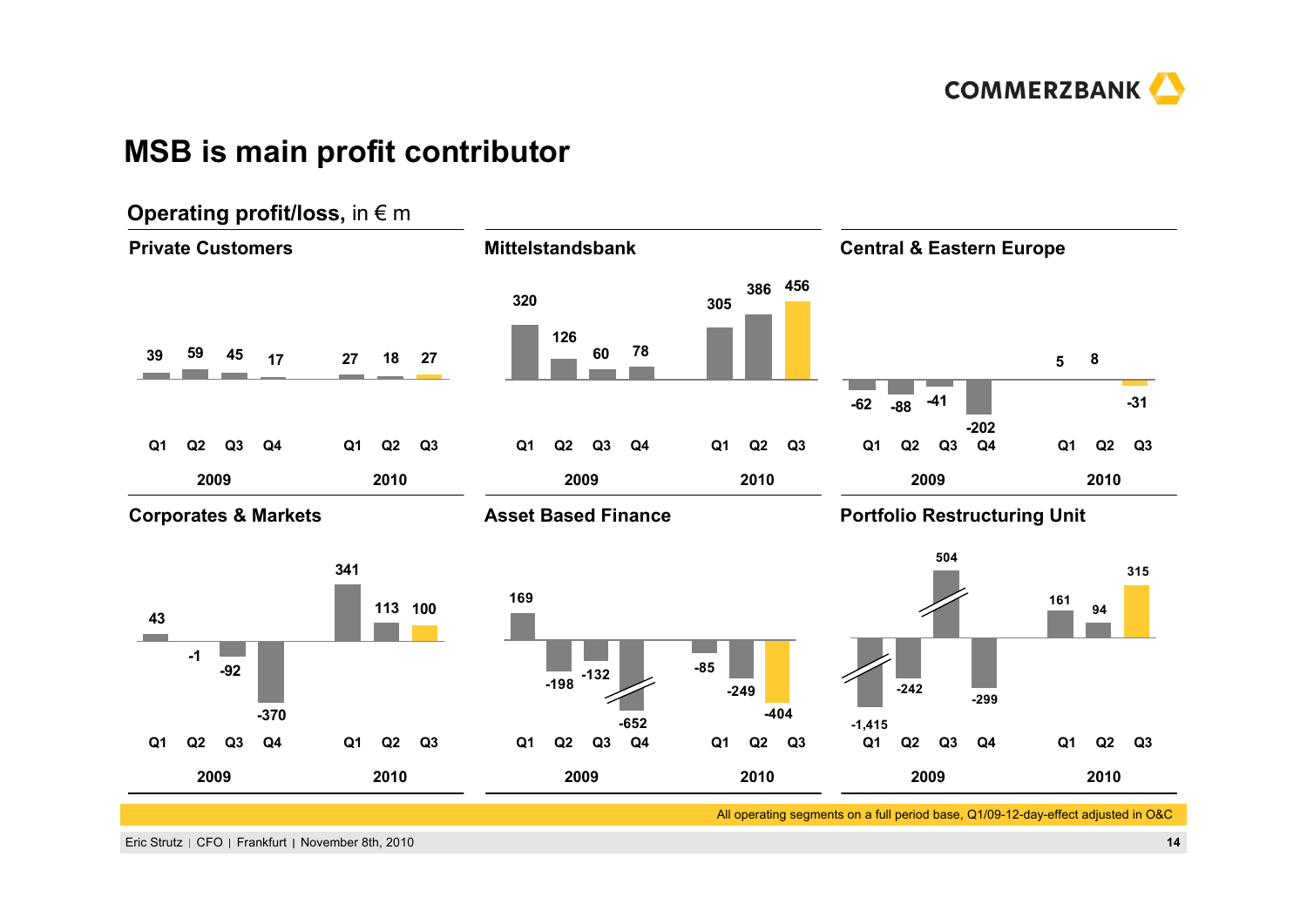

## **MSB is main profit contributor**

#### **Operating profit/loss, in € m Private Customers Mittelstandsbank Central & Eastern Europe 386 456 320305126 78 60 <sup>27</sup> <sup>18</sup> <sup>27</sup> <sup>39</sup> <sup>59</sup> 45 175 8 -41-31 -62 -88-202Q1 Q2 Q3 Q4 Q1 Q2 Q3 Q1 Q2 Q3 Q4 Q1 Q2 Q3 Q1 Q2 Q3 Q4 Q1 Q2 Q3 2009 2010 2009 2010 2009 2010Corporates & Markets Asset Based Finance Portfolio Restructuring Unit 504341315169161 113** 100 **94 43Contract -1-85-92-132 -198-249-242 -299-370-404-652-1,415 Q1 Q2 Q3 Q4 Q1 Q2 Q3 Q1 Q2 Q3 Q4 Q1 Q2 Q3 Q1 Q2 Q3 Q4 Q1 Q2 Q3 2009 2010 2010 2009 2010 2009**All operating segments on a full period base, Q1/09-12-day-effect adjusted in O&C

#### Eric Strutz CFO Frankfurt November 8th, 2010 **14**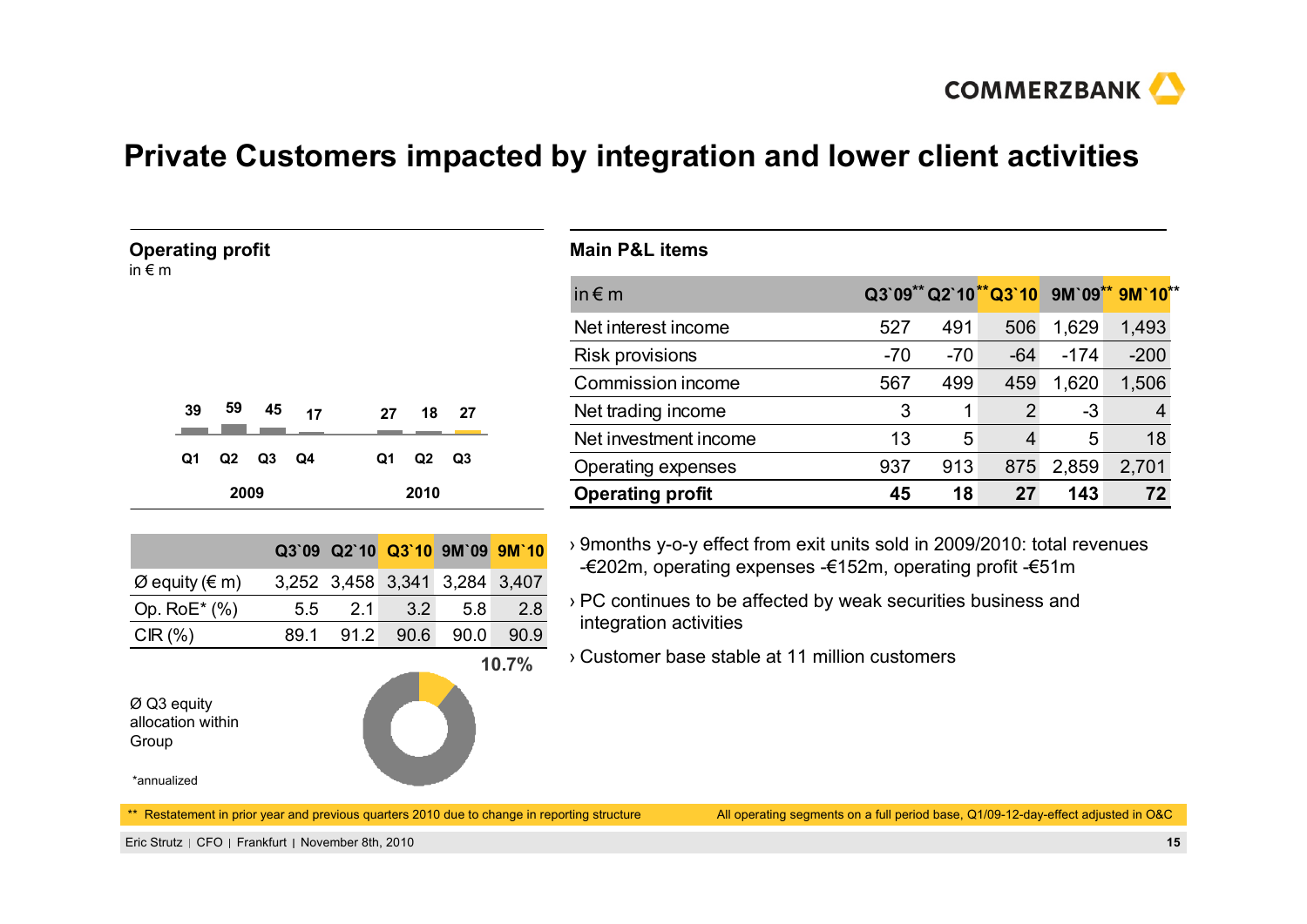

# **Private Customers impacted by integration and lower client activities**

| <b>Operating profit</b><br>in $\epsilon$ m |                 | <b>Main P&amp;L items</b> |       |       |                |        |                                      |
|--------------------------------------------|-----------------|---------------------------|-------|-------|----------------|--------|--------------------------------------|
|                                            |                 | in $\notin$ m             |       |       |                |        | Q3`09** Q2`10**Q3`10 9M`09** 9M`10** |
|                                            |                 | Net interest income       | 527   | 491   | 506            | 1,629  | 1,493                                |
|                                            |                 | Risk provisions           | $-70$ | $-70$ | $-64$          | $-174$ | $-200$                               |
|                                            |                 | Commission income         | 567   | 499   | 459            | 1,620  | 1,506                                |
| 59<br>45<br>39<br>17                       | -27<br>18<br>27 | Net trading income        | 3     |       | $\overline{2}$ | $-3$   | 4                                    |
|                                            |                 | Net investment income     | 13    | 5     | 4              | 5      | 18                                   |
| Q1<br>Q3<br>Q4<br>Q2                       | Q2<br>Q3<br>Q1  | Operating expenses        | 937   | 913   | 875            | 2,859  | 2,701                                |
| 2009                                       | 2010            | <b>Operating profit</b>   | 45    | 18    | 27             | 143    | 72                                   |

**10.7%**

| δ 9months y-o-y effect from exit units sold in 2009/2010: total revenues |
|--------------------------------------------------------------------------|
| -€202m, operating expenses -€152m, operating profit -€51m                |

- › PC continues to be affected by weak securities business and integration activities
- › Customer base stable at 11 million customers

| Ø Q3 equity       |
|-------------------|
| allocation within |
| Group             |

\*annualized

\*\* Restatement in prior year and previous quarters 2010 due to change in reporting structure

**Q3`09 Q2`10 Q3`10 9M`09 9M`10**

 $\varnothing$  equity (€ m) 3,252 3,458 3,341 3,284 3,407 Op. RoE\* (%) 5.5 2.1 3.2 5.8 2.8 CIR (%) 89.1 91.2 90.6 90.0 90.9

All operating segments on a full period base, Q1/09-12-day-effect adjusted in O&C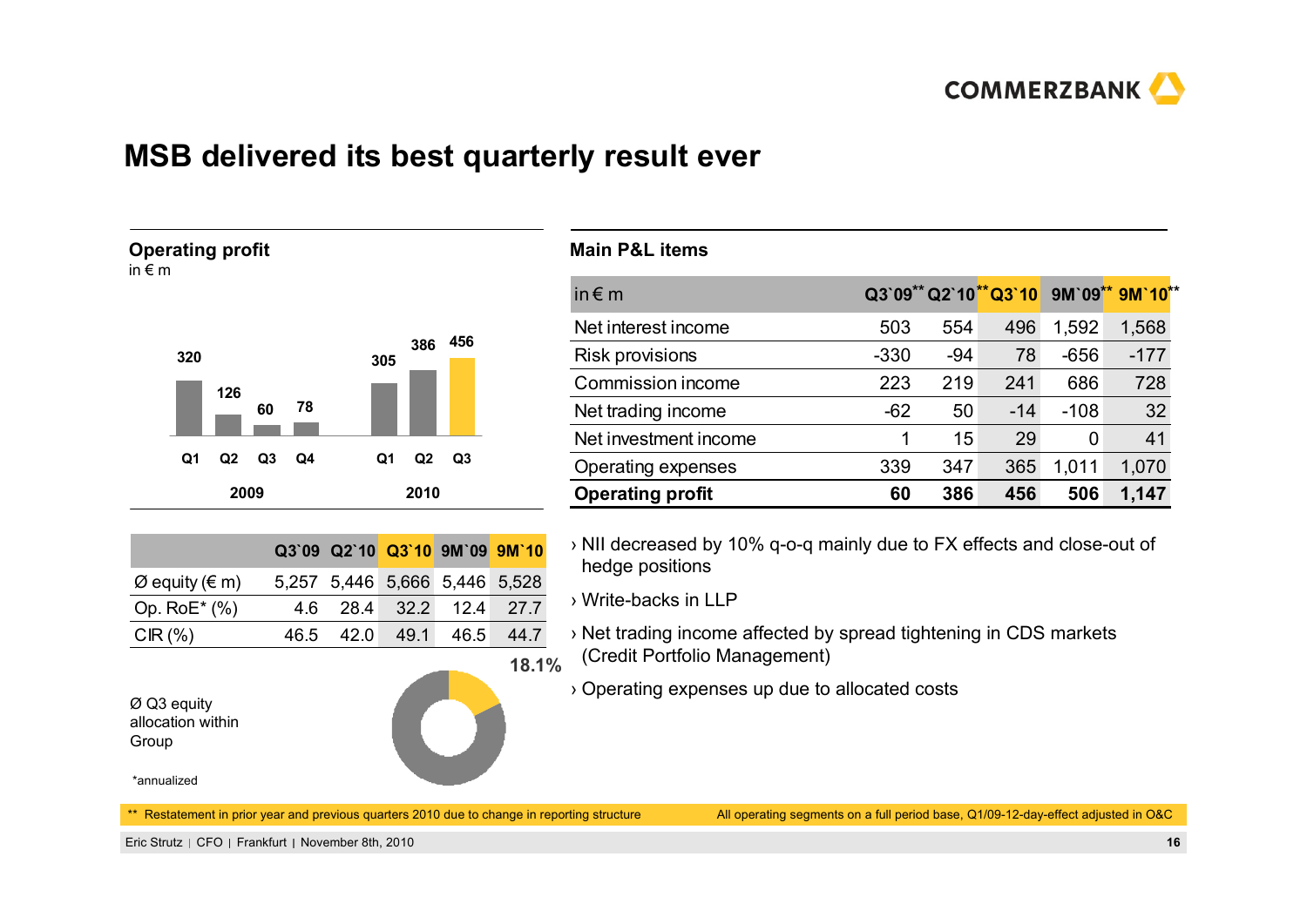

# **MSB delivered its best quarterly result ever**





|                                 |  | Q3`09 Q2`10 Q3`10 9M`09 9M`10 |  |
|---------------------------------|--|-------------------------------|--|
| $\varnothing$ equity ( $\in$ m) |  | 5,257 5,446 5,666 5,446 5,528 |  |
| Op. $RoE^*(% )$                 |  | 4.6 28.4 32.2 12.4 27.7       |  |
| $CIR(\%)$                       |  | 46.5 42.0 49.1 46.5 44.7      |  |

\*\* Restatement in prior year and previous quarters 2010 due to change in reporting structure

#### **Main P&L items**

| in $\notin$ m           |        |       |       |        | Q3`09** Q2`10**Q3`10 9M`09** 9M`10** |
|-------------------------|--------|-------|-------|--------|--------------------------------------|
| Net interest income     | 503    | 554   | 496   | 1,592  | 1,568                                |
| <b>Risk provisions</b>  | $-330$ | $-94$ | 78    | $-656$ | $-177$                               |
| Commission income       | 223    | 219   | 241   | 686    | 728                                  |
| Net trading income      | $-62$  | 50    | $-14$ | $-108$ | 32                                   |
| Net investment income   | 1      | 15    | 29    | 0      | 41                                   |
| Operating expenses      | 339    | 347   | 365   | 1,011  | 1,070                                |
| <b>Operating profit</b> | 60     | 386   | 456   | 506    | 1,147                                |

› NII decreased by 10% q-o-q mainly due to FX effects and close-out of hedge positions

› Write-backs in LLP

- **18.1%**› Net trading income affected by spread tightening in CDS markets (Credit Portfolio Management)
	- › Operating expenses up due to allocated costs

Ø Q3 equity allocation within Group

<sup>\*</sup>annualized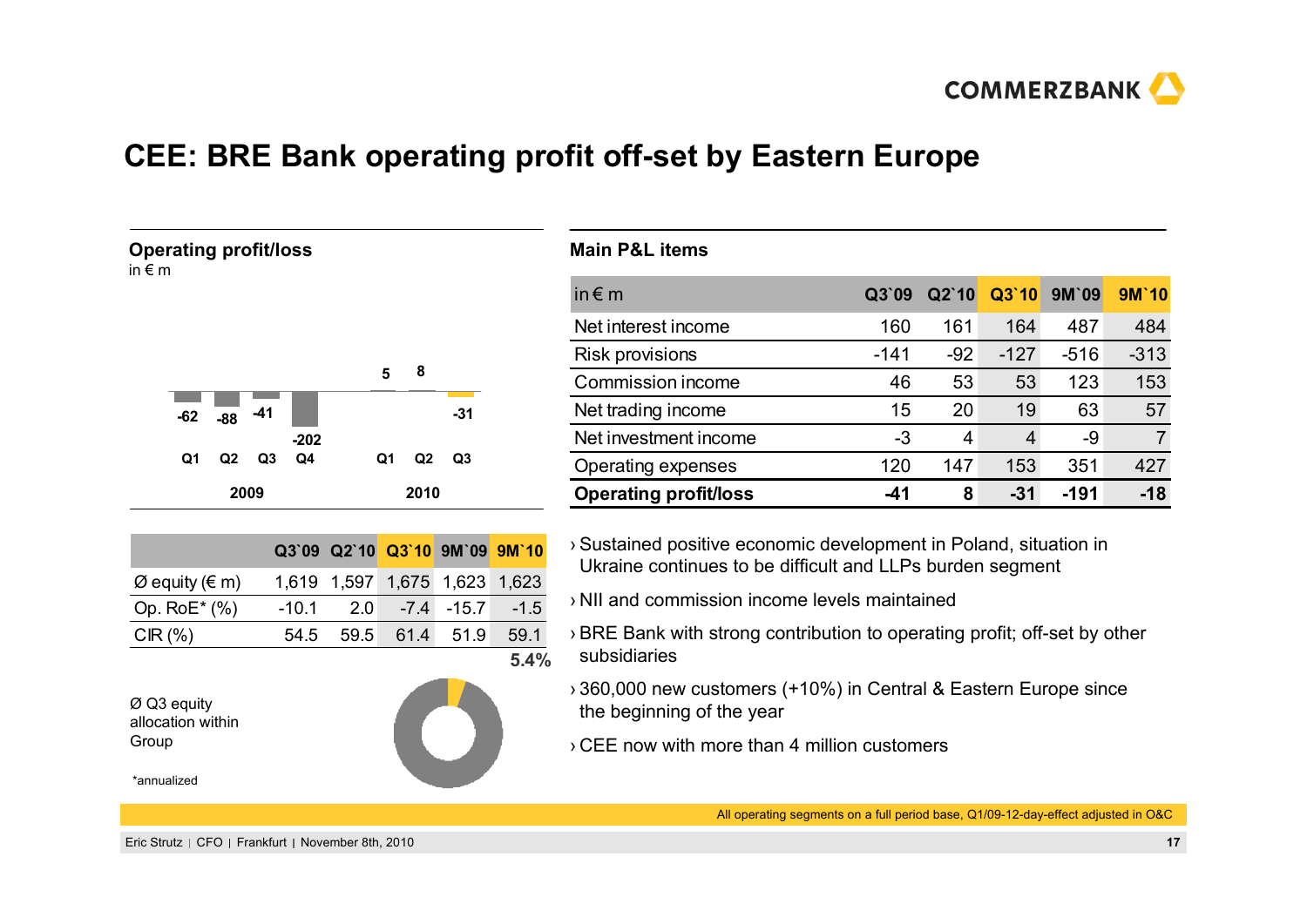

# **CEE: BRE Bank operating profit off-set by Eastern Europe**

#### **Operating profit/loss**

in € m



|                                 |      |  | Q3`09 Q2`10 Q3`10 9M`09 9M`10     |  |
|---------------------------------|------|--|-----------------------------------|--|
| $\varnothing$ equity ( $\in$ m) |      |  | 1,619 1,597 1,675 1,623 1,623     |  |
| Op. $RoE^*(% )$                 |      |  | $-10.1$ 2.0 $-7.4$ $-15.7$ $-1.5$ |  |
| CIR $(\%)$                      | 54.5 |  | 59.5 61.4 51.9 59.1               |  |
|                                 |      |  |                                   |  |

Ø Q3 equity allocation within Group

\*annualized



#### **Main P&L items**

| in $\notin$ m                | Q3'09  | $Q2$ `10 | Q3'10  | 9M'09  | 9M'10  |
|------------------------------|--------|----------|--------|--------|--------|
| Net interest income          | 160    | 161      | 164    | 487    | 484    |
| <b>Risk provisions</b>       | $-141$ | $-92$    | $-127$ | $-516$ | $-313$ |
| Commission income            | 46     | 53       | 53     | 123    | 153    |
| Net trading income           | 15     | 20       | 19     | 63     | 57     |
| Net investment income        | -3     | 4        | 4      | -9     |        |
| Operating expenses           | 120    | 147      | 153    | 351    | 427    |
| <b>Operating profit/loss</b> | -41    | 8        | $-31$  | -191   | $-18$  |

- › Sustained positive economic development in Poland, situation in Ukraine continues to be difficult and LLPs burden segment
- › NII and commission income levels maintained
- › BRE Bank with strong contribution to operating profit; off-set by other subsidiaries
- › 360,000 new customers (+10%) in Central & Eastern Europe since the beginning of the year
- › CEE now with more than 4 million customers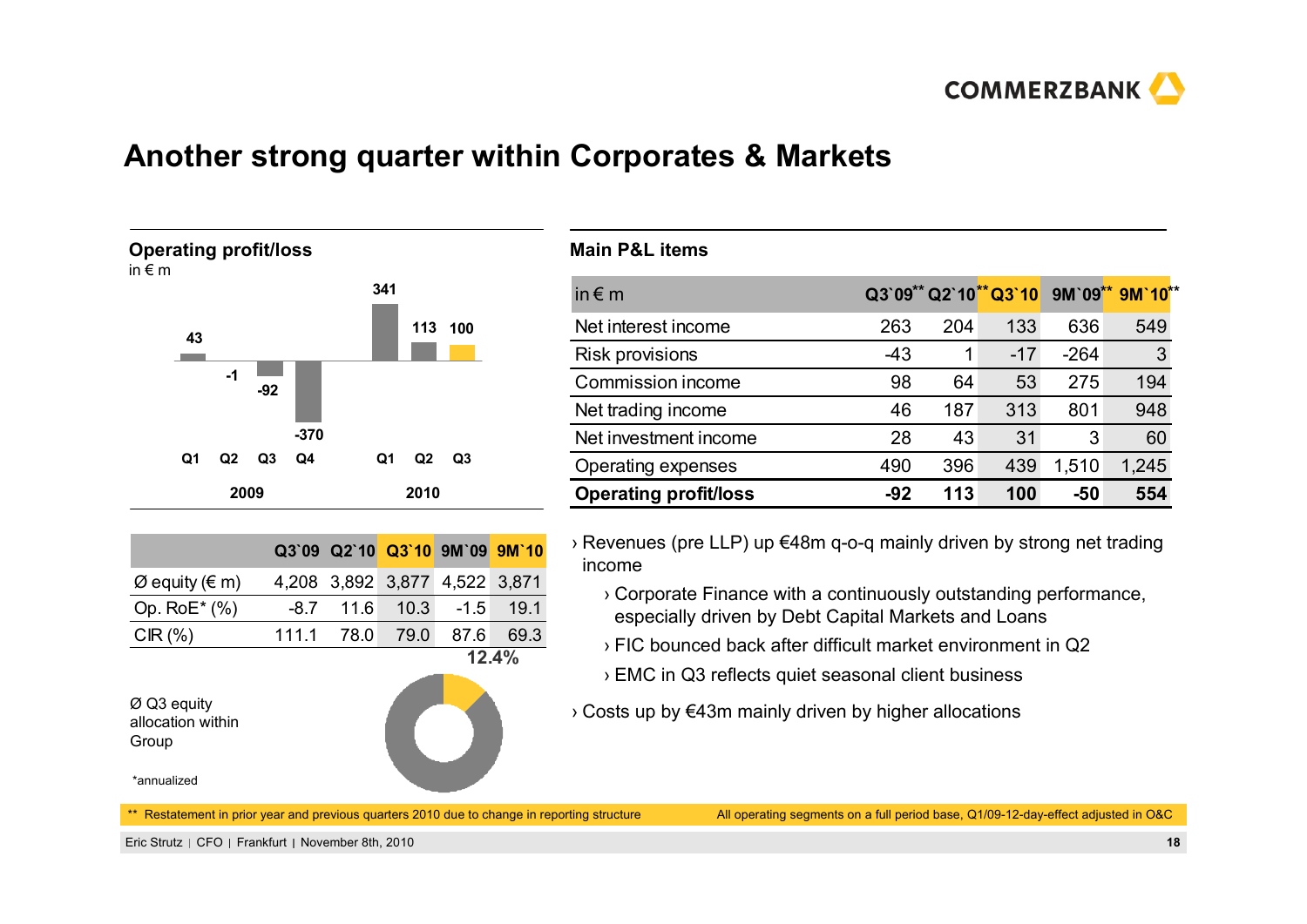

# **Another strong quarter within Corporates & Markets**



|                                 |  | Q3`09 Q2`10 Q3`10 9M`09 9M`10 |        |
|---------------------------------|--|-------------------------------|--------|
| $\varnothing$ equity ( $\in$ m) |  | 4,208 3,892 3,877 4,522 3,871 |        |
| Op. $RoE^*(% )$                 |  | $-8.7$ 11.6 10.3 $-1.5$ 19.1  |        |
| CIR $(\%)$                      |  | 111.1 78.0 79.0 87.6 69.3     |        |
|                                 |  |                               | 19 AD/ |

Ø Q3 equity allocation within Group

\*annualized

**12.4%**

#### **Main P&L items**

| in $\epsilon$ m              |       |     |       |        | Q3`09** Q2`10** Q3`10 9M`09** 9M`10** |
|------------------------------|-------|-----|-------|--------|---------------------------------------|
| Net interest income          | 263   | 204 | 133   | 636    | 549                                   |
| <b>Risk provisions</b>       | $-43$ |     | $-17$ | $-264$ | 3                                     |
| Commission income            | 98    | 64  | 53    | 275    | 194                                   |
| Net trading income           | 46    | 187 | 313   | 801    | 948                                   |
| Net investment income        | 28    | 43  | 31    | 3      | 60                                    |
| Operating expenses           | 490   | 396 | 439   | 1,510  | 1,245                                 |
| <b>Operating profit/loss</b> | -92   | 113 | 100   | -50    | 554                                   |

› Revenues (pre LLP) up €48m q-o-q mainly driven by strong net trading income

- › Corporate Finance with a continuously outstanding performance, especially driven by Debt Capital Markets and Loans
- › FIC bounced back after difficult market environment in Q2
- › EMC in Q3 reflects quiet seasonal client business
- › Costs up by €43m mainly driven by higher allocations

\*\* Restatement in prior year and previous quarters 2010 due to change in reporting structure

All operating segments on a full period base, Q1/09-12-day-effect adjusted in O&C

Eric Strutz CFO Frankfurt November 8th, 2010 **18**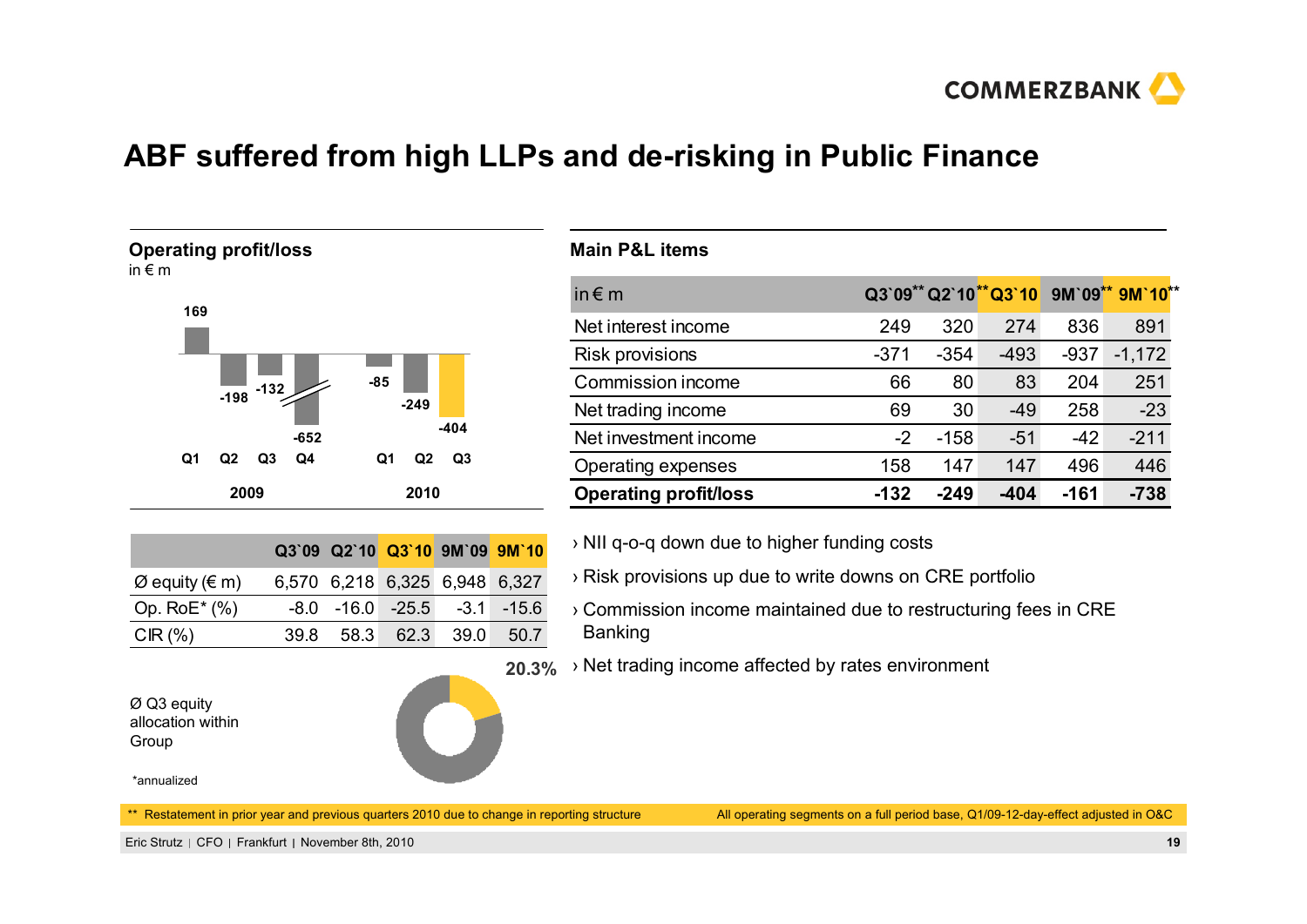

# **ABF suffered from high LLPs and de-risking in Public Finance**



in € m



|                                 | Q3`09 Q2`10 Q3`10 9M`09 9M`10         |  |  |
|---------------------------------|---------------------------------------|--|--|
| $\varnothing$ equity ( $\in$ m) | 6,570 6,218 6,325 6,948 6,327         |  |  |
| Op. $RoE^*(\%)$                 | $-8.0$ $-16.0$ $-25.5$ $-3.1$ $-15.6$ |  |  |
| CIR $(\%)$                      | 39.8 58.3 62.3 39.0 50.7              |  |  |

| Ø Q3 equity       |
|-------------------|
| allocation within |
| Group             |



#### **Main P&L items**

| in $\epsilon$ m              |        |        |        |        | Q3`09** Q2`10**Q3`10 9M`09** 9M`10** |
|------------------------------|--------|--------|--------|--------|--------------------------------------|
| Net interest income          | 249    | 320    | 274    | 836    | 891                                  |
| <b>Risk provisions</b>       | $-371$ | $-354$ | $-493$ | $-937$ | $-1,172$                             |
| Commission income            | 66     | 80     | 83     | 204    | 251                                  |
| Net trading income           | 69     | 30     | $-49$  | 258    | $-23$                                |
| Net investment income        | $-2$   | $-158$ | $-51$  | $-42$  | $-211$                               |
| <b>Operating expenses</b>    | 158    | 147    | 147    | 496    | 446                                  |
| <b>Operating profit/loss</b> | $-132$ | $-249$ | $-404$ | $-161$ | $-738$                               |

- › NII q-o-q down due to higher funding costs
- › Risk provisions up due to write downs on CRE portfolio
- › Commission income maintained due to restructuring fees in CRE Banking
- **20.3%**› Net trading income affected by rates environment

\*annualized

\*\* Restatement in prior year and previous quarters 2010 due to change in reporting structure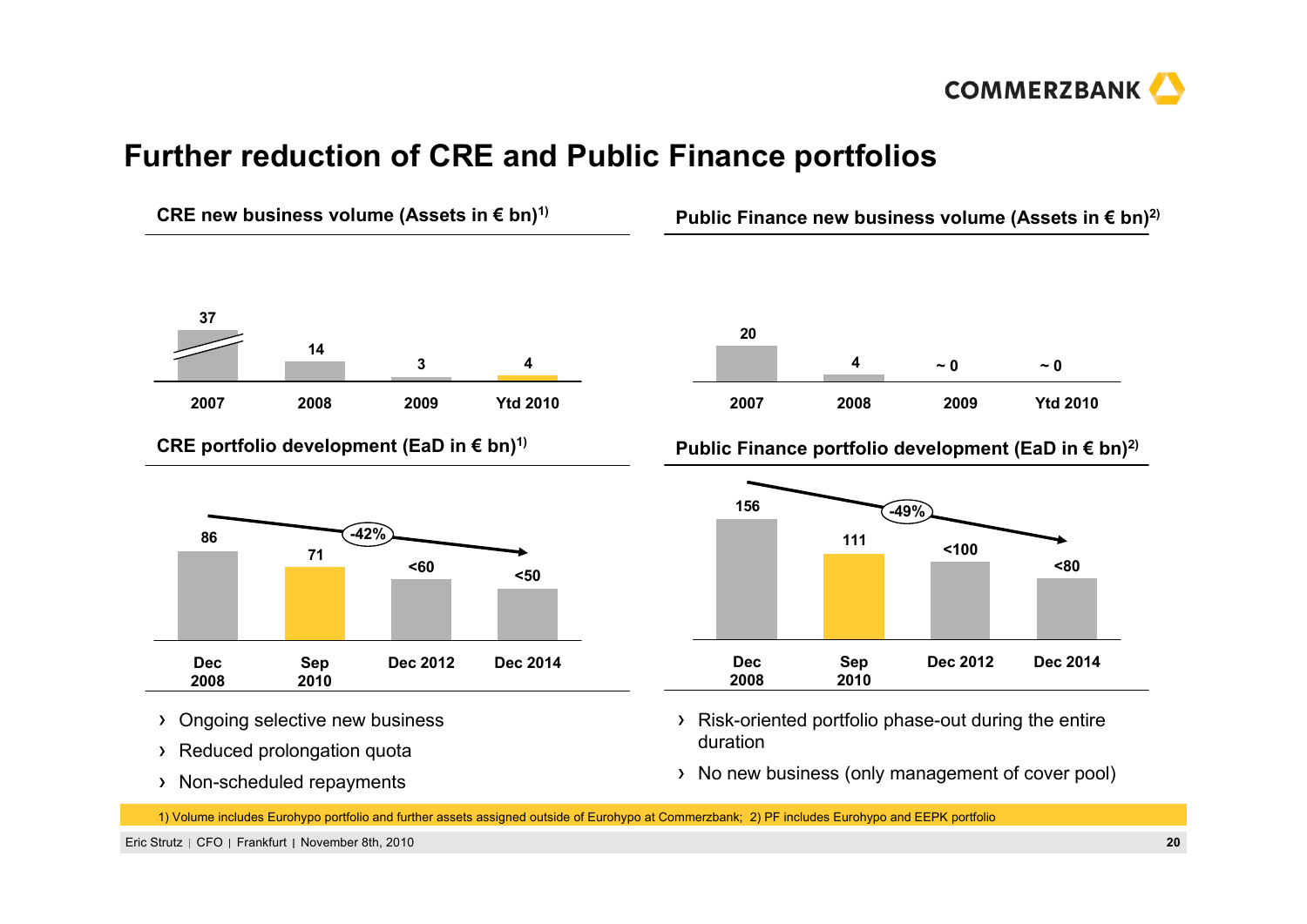

# **Further reduction of CRE and Public Finance portfolios**



> Non-scheduled repayments

No new business (only management of cover pool)

1) Volume includes Eurohypo portfolio and further assets assigned outside of Eurohypo at Commerzbank; 2) PF includes Eurohypo and EEPK portfolio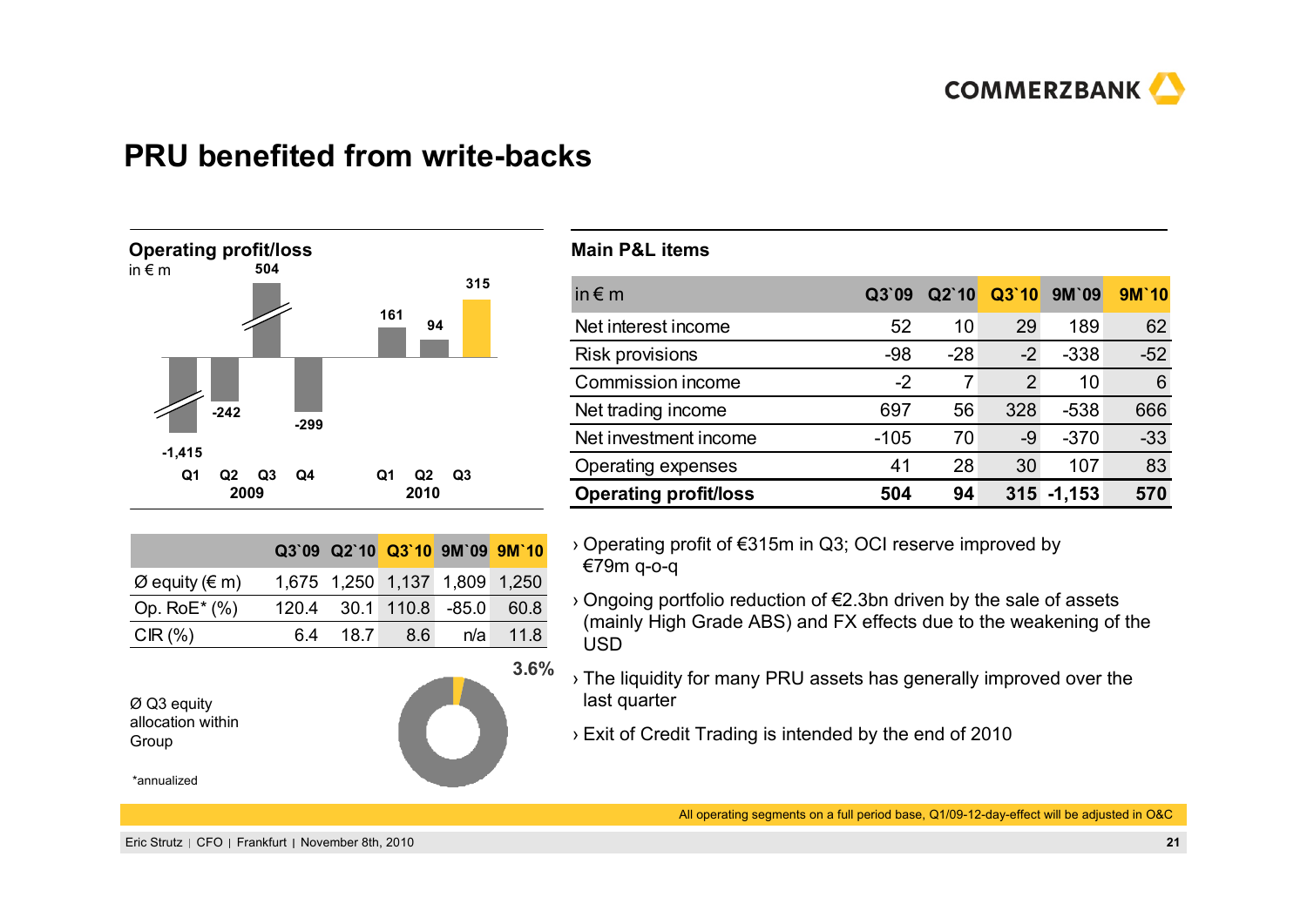

#### **PRU benefited from write-backs**



|                                 |          |       | Q3`09 Q2`10 Q3`10 9M`09 9M`10 |      |
|---------------------------------|----------|-------|-------------------------------|------|
| $\varnothing$ equity ( $\in$ m) |          |       | 1,675 1,250 1,137 1,809 1,250 |      |
| Op. $RoE^*(\%)$                 |          |       | 120.4 30.1 110.8 -85.0 60.8   |      |
| CIR $(\% )$                     | 6.4 18.7 | - 8.6 | n/a                           | 11.8 |



**3.6%**

#### **Main P&L items**

| in $\notin$ m                | Q3'09  | Q2'10 | Q3'10          | 9M'09    | 9M'10 |
|------------------------------|--------|-------|----------------|----------|-------|
| Net interest income          | 52     | 10    | 29             | 189      | 62    |
| <b>Risk provisions</b>       | $-98$  | $-28$ | $-2$           | $-338$   | $-52$ |
| Commission income            | $-2$   | 7     | $\overline{2}$ | 10       | 6     |
| Net trading income           | 697    | 56    | 328            | $-538$   | 666   |
| Net investment income        | $-105$ | 70    | -9             | $-370$   | $-33$ |
| Operating expenses           | 41     | 28    | 30             | 107      | 83    |
| <b>Operating profit/loss</b> | 504    | 94    | 315            | $-1,153$ | 570   |

› Operating profit of €315m in Q3; OCI reserve improved by €79m q-o-q

- › Ongoing portfolio reduction of €2.3bn driven by the sale of assets (mainly High Grade ABS) and FX effects due to the weakening of the USD
- › The liquidity for many PRU assets has generally improved over the last quarter
	- › Exit of Credit Trading is intended by the end of 2010

\*annualized

Group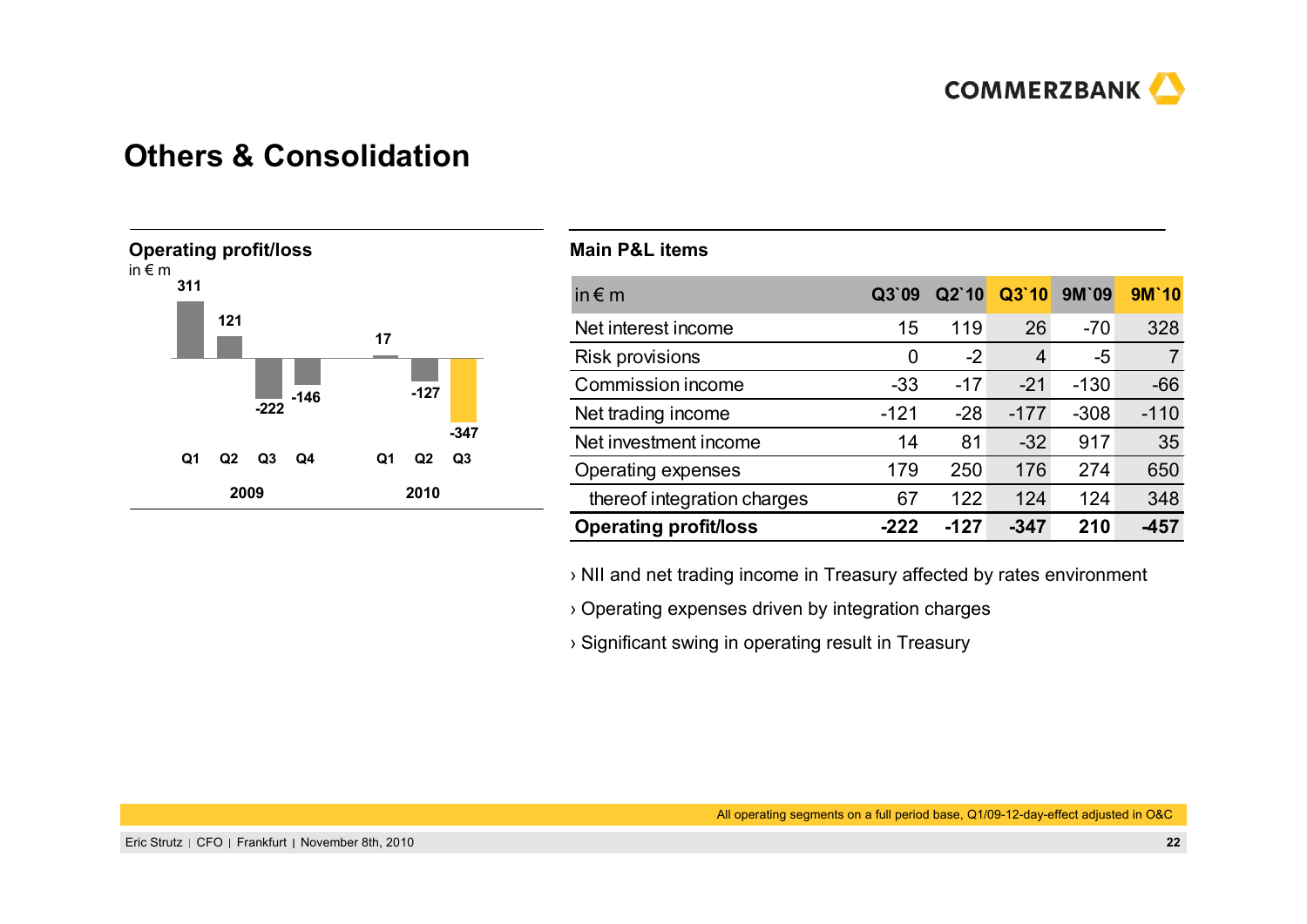

#### **Others & Consolidation**



#### **Main P&L items**

| in $\notin$ m                | Q3'09  | Q2'10  | Q3'10  | <b>9M'09</b> | <b>9M'10</b> |
|------------------------------|--------|--------|--------|--------------|--------------|
| Net interest income          | 15     | 119    | 26     | $-70$        | 328          |
| <b>Risk provisions</b>       | 0      | $-2$   | 4      | -5           | 7            |
| Commission income            | $-33$  | $-17$  | $-21$  | $-130$       | $-66$        |
| Net trading income           | $-121$ | $-28$  | $-177$ | $-308$       | $-110$       |
| Net investment income        | 14     | 81     | $-32$  | 917          | 35           |
| Operating expenses           | 179    | 250    | 176    | 274          | 650          |
| thereof integration charges  | 67     | 122    | 124    | 124          | 348          |
| <b>Operating profit/loss</b> | -222   | $-127$ | $-347$ | 210          | -457         |

› NII and net trading income in Treasury affected by rates environment

› Operating expenses driven by integration charges

› Significant swing in operating result in Treasury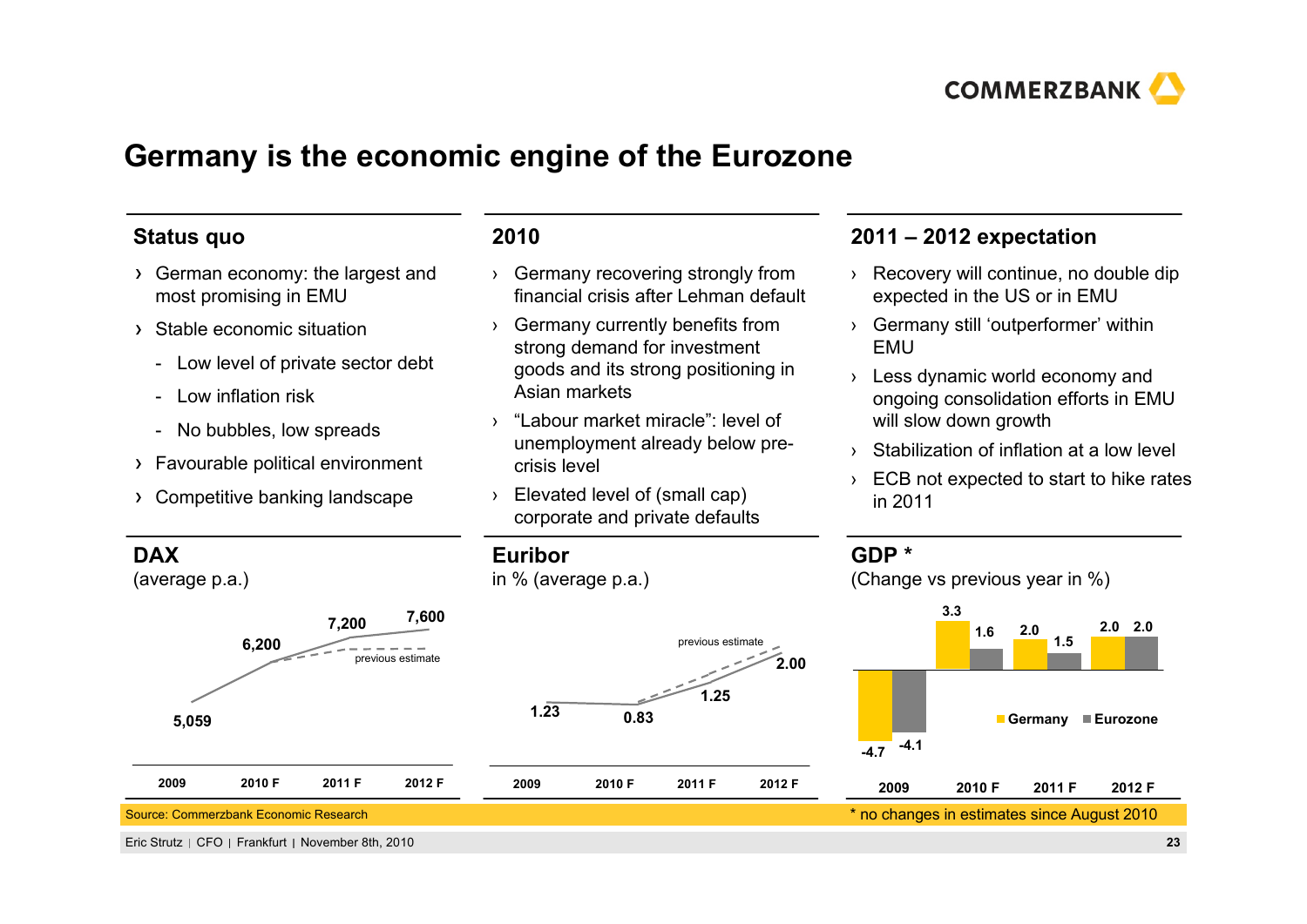

## **Germany is the economic engine of the Eurozone**

#### **Status quo**

- German economy: the largest and most promising in EMU
- Stable economic situation
	- Low level of private sector debt
	- Low inflation risk
	- -No bubbles, low spreads
- Favourable political environment
- Competitive banking landscape

#### **2010**

**Euribor**

**1.23**

**2009 2010 F**

in % (average p.a.)

- › Germany recovering strongly from financial crisis after Lehman default
- › Germany currently benefits from strong demand for investment goods and its strong positioning in Asian markets
- › "Labour market miracle": level of unemployment already below precrisis level
- › Elevated level of (small cap) corporate and private defaults

**0.83**

#### **2011 – 2012 expectation**

- › Recovery will continue, no double dip expected in the US or in EMU
- › Germany still 'outperformer' within EMU
- › Less dynamic world economy and ongoing consolidation efforts in EMU will slow down growth
- › Stabilization of inflation at a low level
- › ECB not expected to start to hike rates in 2011

**1.25**

previous estimate

**2011 F 2012 F**

(Change vs previous year in %)

**GDP \***

**2.00**



#### **DAX**

(average p.a.)

#### **5,059 7,600 7,200 6,200 2009 2010 F 2011 F 2012 F** previous estimate

#### Source: Commerzbank Economic Research

Eric Strutz CFO Frankfurt November 8th, 2010 **23**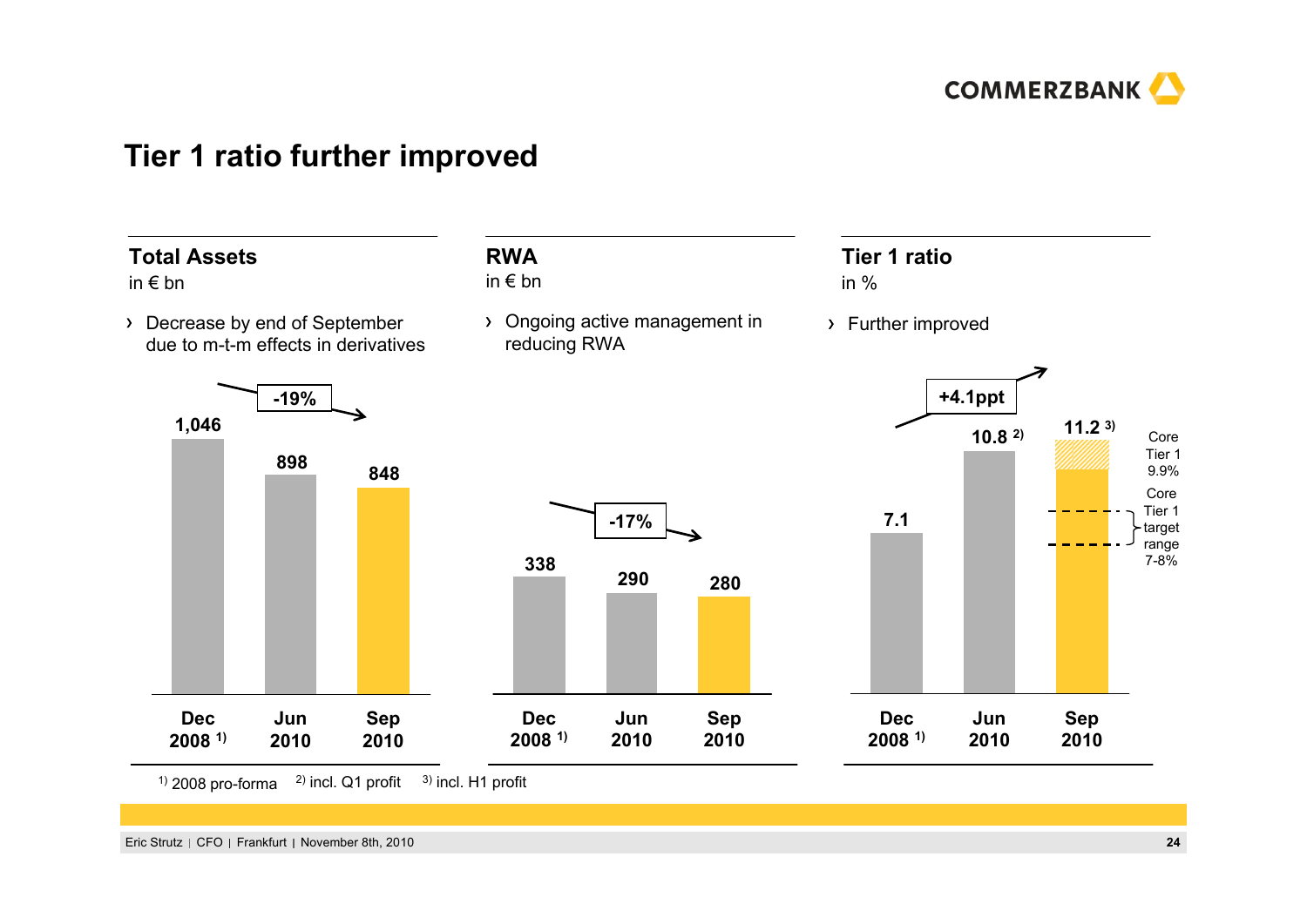

#### **Tier 1 ratio further improved**



 $1)$  2008 pro-forma  $2)$  incl. Q1 profit <sup>3)</sup> incl. H1 profit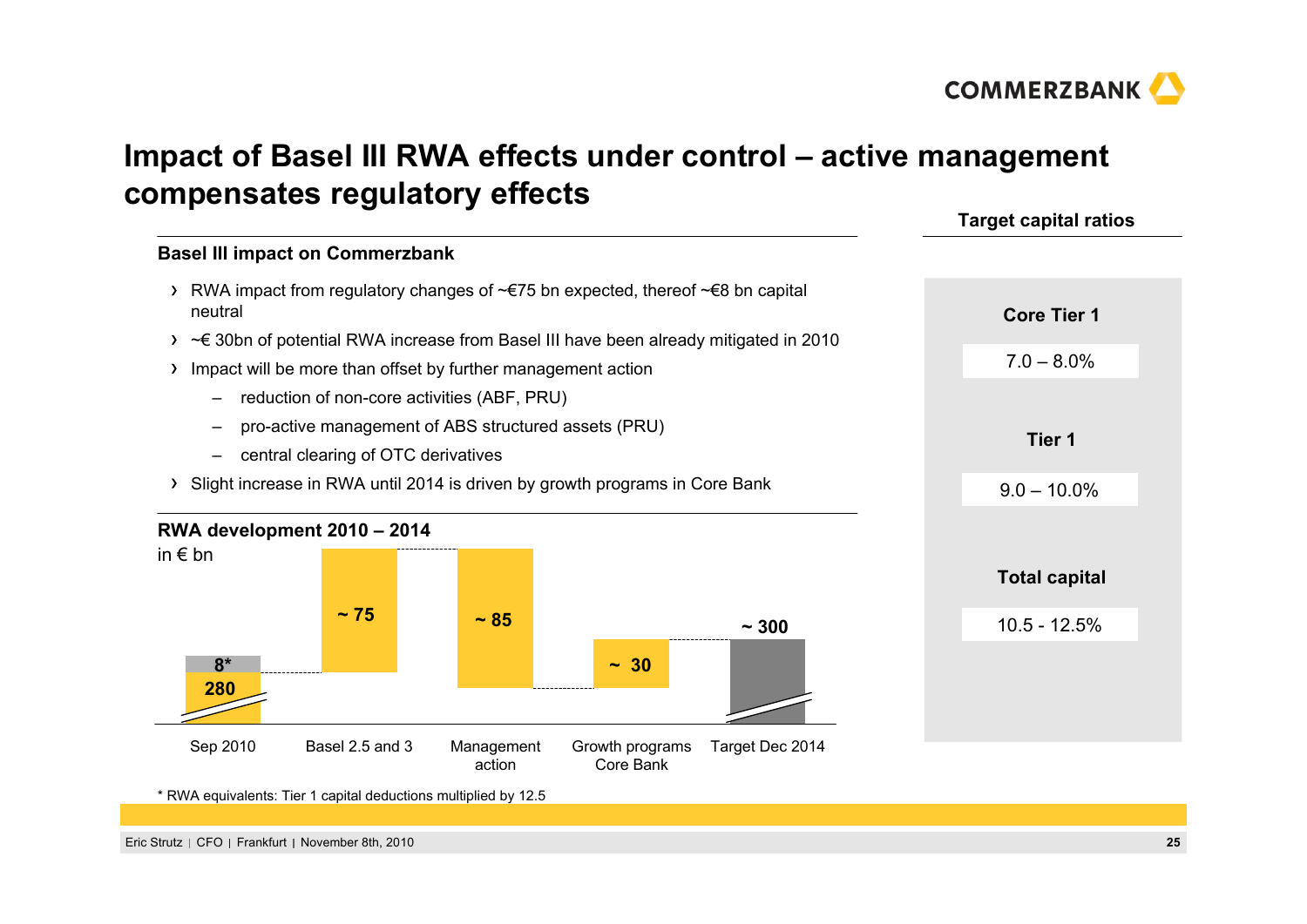

# **Impact of Basel III RWA effects under control – active management compensates regulatory effects**

#### **Basel III impact on Commerzbank**

- RWA impact from regulatory changes of ~€75 bn expected, thereof ~€8 bn capital neutral
- ~€ 30bn of potential RWA increase from Basel III have been already mitigated in 2010
- Impact will be more than offset by further management action
	- reduction of non-core activities (ABF, PRU)
	- pro-active management of ABS structured assets (PRU)
	- central clearing of OTC derivatives
- Slight increase in RWA until 2014 is driven by growth programs in Core Bank



\* RWA equivalents: Tier 1 capital deductions multiplied by 12.5

# **Total capital**

**Target capital ratios**

**Core Tier 1**

7.0 – 8.0%

**Tier 1**

 $9.0 - 10.0\%$ 

10.5 - 12.5%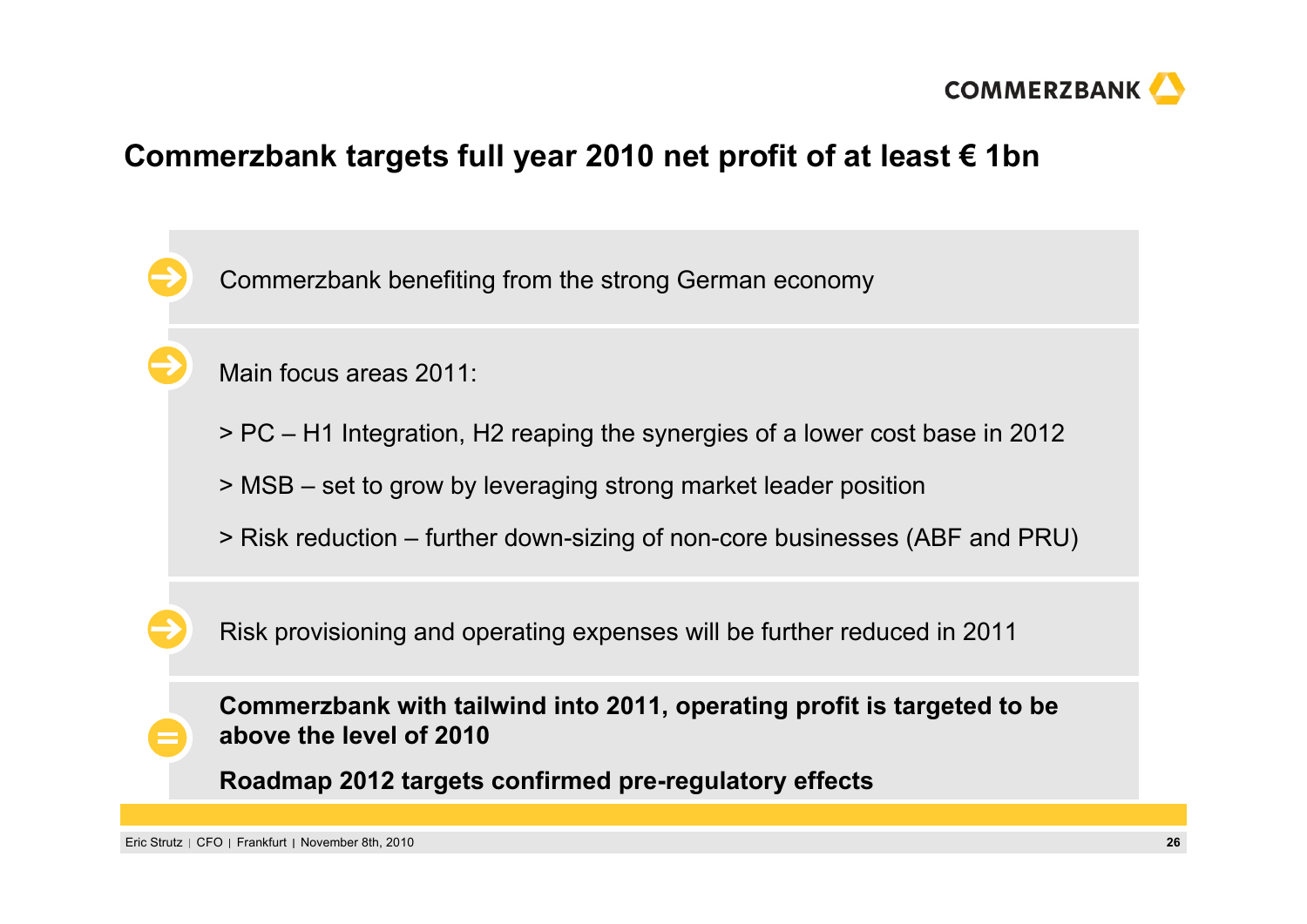

## **Commerzbank targets full year 2010 net profit of at least € 1bn**

Commerzbank benefiting from the strong German economy

Main focus areas 2011:

- > PC H1 Integration, H2 reaping the synergies of a lower cost base in 2012
- > MSB set to grow by leveraging strong market leader position
- > Risk reduction further down-sizing of non-core businesses (ABF and PRU)

Risk provisioning and operating expenses will be further reduced in 2011

**Commerzbank with tailwind into 2011, operating profit is targeted to be above the level of 2010**

**Roadmap 2012 targets confirmed pre-regulatory effects**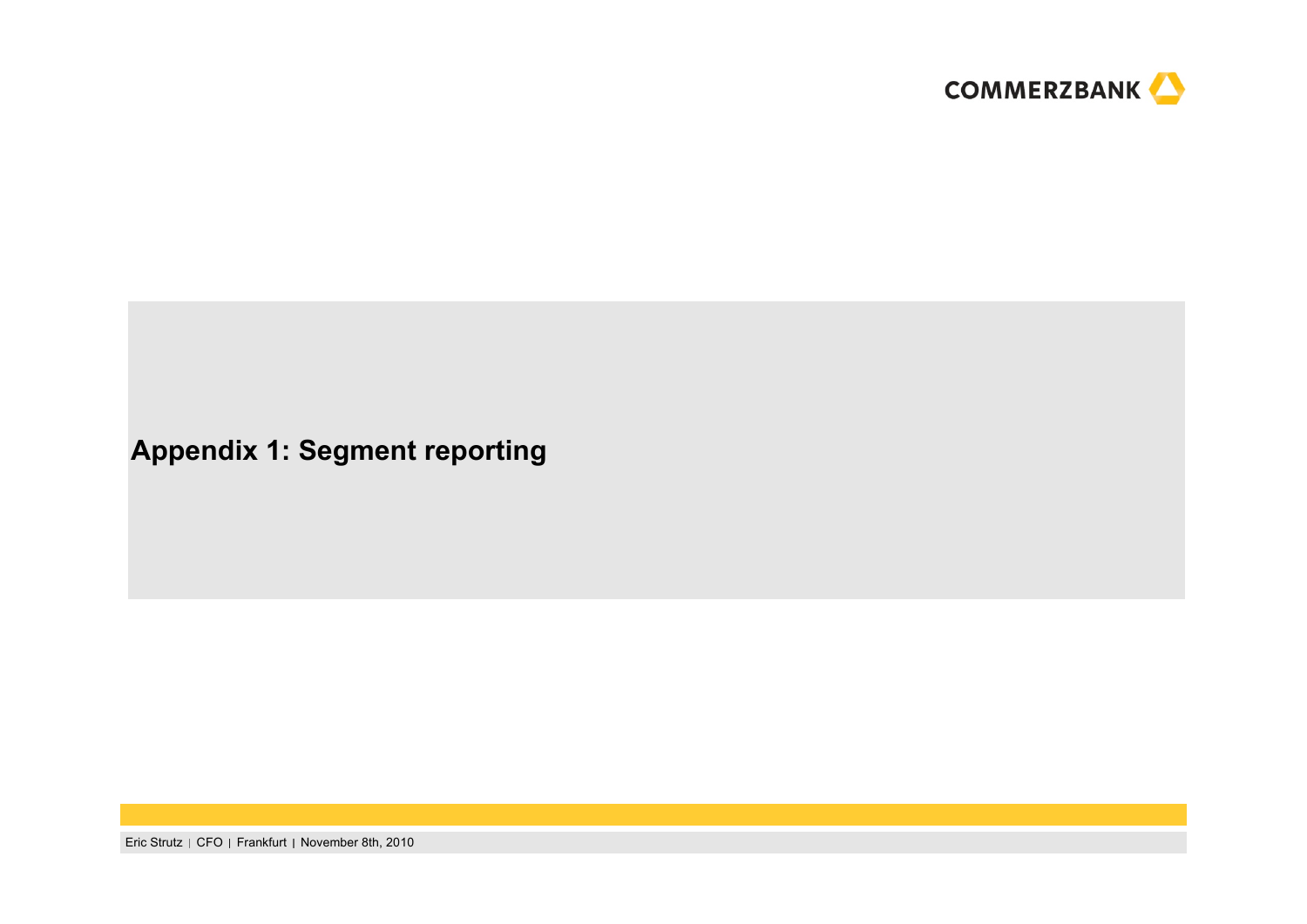

# **Appendix 1: Segment reporting**

Eric Strutz | CFO | Frankfurt | November 8th, 2010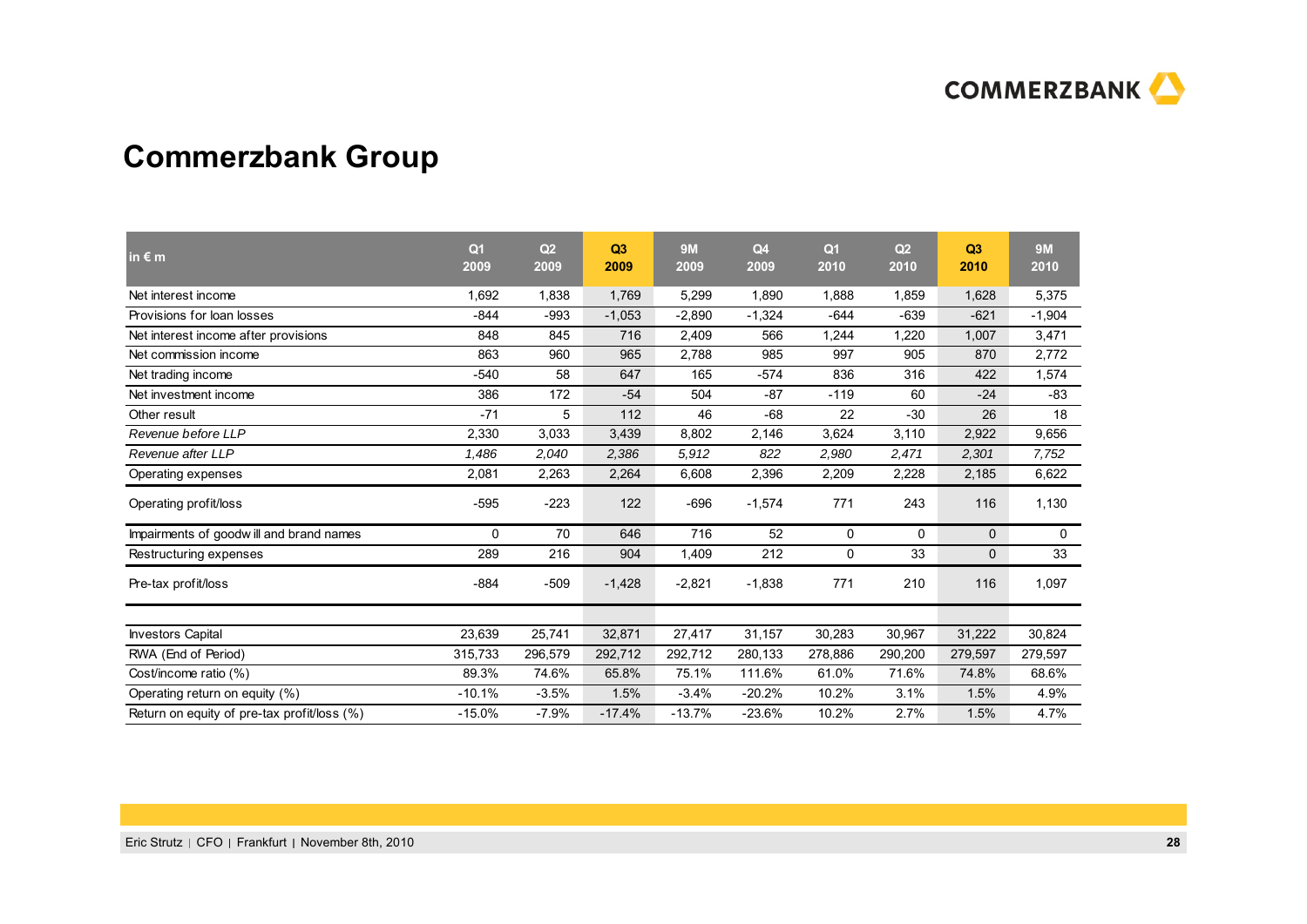

# **Commerzbank Group**

| in $\epsilon$ m                             | Q <sub>1</sub><br>2009 | Q <sub>2</sub><br>2009 | Q3<br>2009 | <b>9M</b><br>2009 | Q <sub>4</sub><br>2009 | Q <sub>1</sub><br>2010 | Q <sub>2</sub><br>2010 | Q3<br>2010  | <b>9M</b><br>2010 |
|---------------------------------------------|------------------------|------------------------|------------|-------------------|------------------------|------------------------|------------------------|-------------|-------------------|
| Net interest income                         | 1.692                  | 1.838                  | 1,769      | 5,299             | 1.890                  | 1,888                  | 1.859                  | 1,628       | 5.375             |
| Provisions for loan losses                  | $-844$                 | $-993$                 | $-1,053$   | $-2,890$          | $-1,324$               | $-644$                 | $-639$                 | $-621$      | $-1,904$          |
| Net interest income after provisions        | 848                    | 845                    | 716        | 2,409             | 566                    | 1,244                  | 1,220                  | 1,007       | 3,471             |
| Net commission income                       | 863                    | 960                    | 965        | 2,788             | 985                    | 997                    | 905                    | 870         | 2,772             |
| Net trading income                          | $-540$                 | 58                     | 647        | 165               | $-574$                 | 836                    | 316                    | 422         | 1,574             |
| Net investment income                       | 386                    | 172                    | $-54$      | 504               | $-87$                  | $-119$                 | 60                     | $-24$       | $-83$             |
| Other result                                | $-71$                  | 5                      | 112        | 46                | $-68$                  | 22                     | $-30$                  | 26          | 18                |
| Revenue before LLP                          | 2,330                  | 3,033                  | 3,439      | 8,802             | 2,146                  | 3,624                  | 3,110                  | 2,922       | 9,656             |
| Revenue after LLP                           | 1.486                  | 2,040                  | 2,386      | 5,912             | 822                    | 2,980                  | 2,471                  | 2,301       | 7,752             |
| Operating expenses                          | 2,081                  | 2,263                  | 2,264      | 6,608             | 2,396                  | 2,209                  | 2,228                  | 2,185       | 6,622             |
| Operating profit/loss                       | $-595$                 | $-223$                 | 122        | $-696$            | $-1,574$               | 771                    | 243                    | 116         | 1,130             |
| Impairments of goodwill and brand names     | $\mathbf{0}$           | 70                     | 646        | 716               | 52                     | 0                      | 0                      | $\mathbf 0$ | 0                 |
| Restructuring expenses                      | 289                    | 216                    | 904        | 1,409             | 212                    | 0                      | 33                     | 0           | 33                |
| Pre-tax profit/loss                         | $-884$                 | $-509$                 | $-1,428$   | $-2,821$          | $-1,838$               | 771                    | 210                    | 116         | 1,097             |
|                                             |                        |                        |            |                   |                        |                        |                        |             |                   |
| <b>Investors Capital</b>                    | 23,639                 | 25,741                 | 32,871     | 27,417            | 31,157                 | 30,283                 | 30,967                 | 31,222      | 30,824            |
| RWA (End of Period)                         | 315,733                | 296,579                | 292,712    | 292,712           | 280,133                | 278,886                | 290,200                | 279,597     | 279,597           |
| Cost/income ratio (%)                       | 89.3%                  | 74.6%                  | 65.8%      | 75.1%             | 111.6%                 | 61.0%                  | 71.6%                  | 74.8%       | 68.6%             |
| Operating return on equity (%)              | $-10.1%$               | $-3.5%$                | 1.5%       | $-3.4%$           | $-20.2%$               | 10.2%                  | 3.1%                   | 1.5%        | 4.9%              |
| Return on equity of pre-tax profit/loss (%) | $-15.0%$               | $-7.9%$                | $-17.4%$   | $-13.7%$          | $-23.6%$               | 10.2%                  | 2.7%                   | 1.5%        | 4.7%              |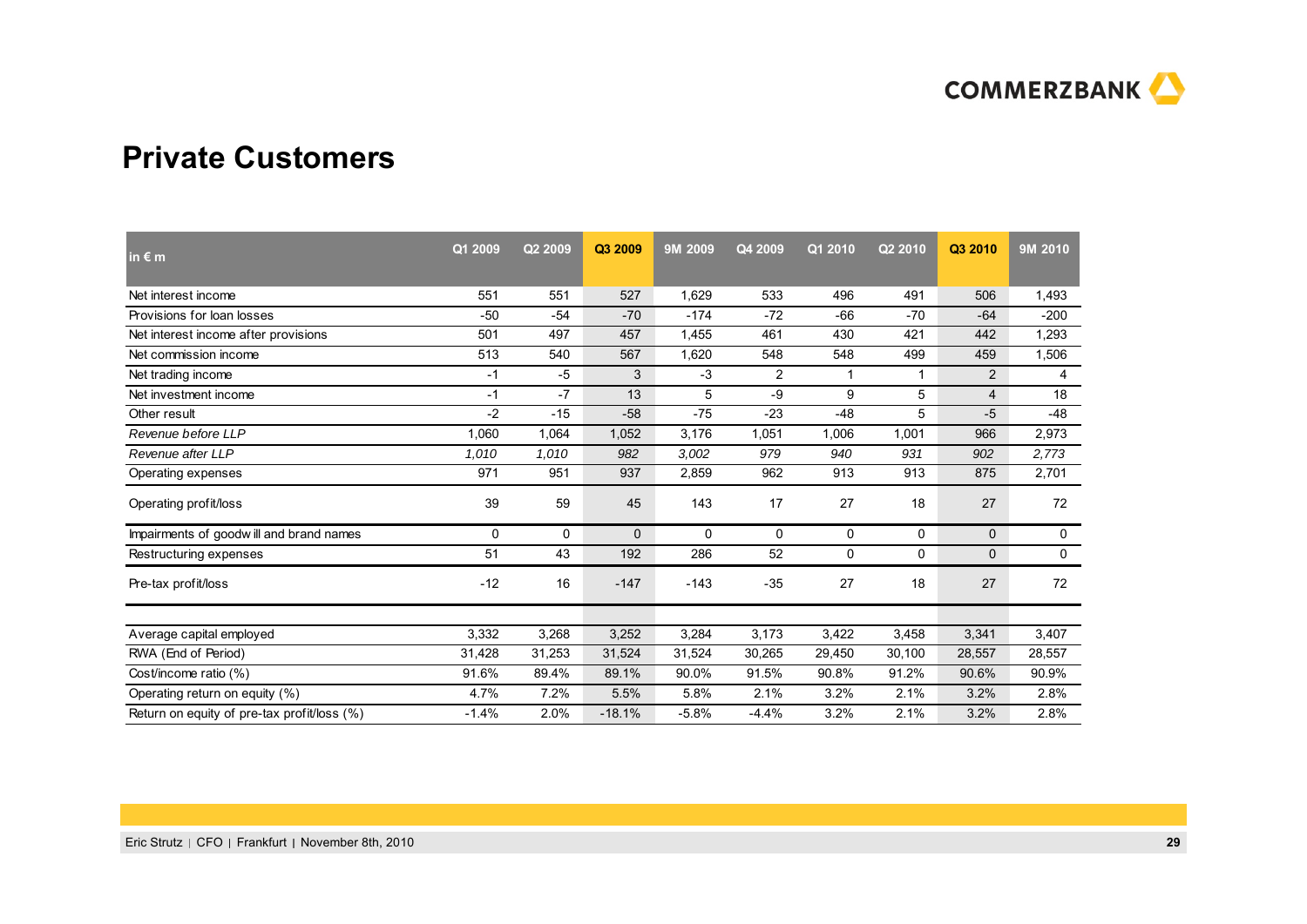

#### **Private Customers**

| in $\epsilon$ m                             | Q1 2009 | Q2 2009 | Q3 2009  | 9M 2009  | Q4 2009        | Q1 2010 | Q2 2010 | Q3 2010        | 9M 2010      |
|---------------------------------------------|---------|---------|----------|----------|----------------|---------|---------|----------------|--------------|
| Net interest income                         | 551     | 551     | 527      | 1,629    | 533            | 496     | 491     | 506            | 1,493        |
| Provisions for loan losses                  | $-50$   | $-54$   | $-70$    | $-174$   | $-72$          | $-66$   | $-70$   | $-64$          | $-200$       |
| Net interest income after provisions        | 501     | 497     | 457      | 1,455    | 461            | 430     | 421     | 442            | 1,293        |
| Net commission income                       | 513     | 540     | 567      | 1,620    | 548            | 548     | 499     | 459            | 1,506        |
| Net trading income                          | -1      | -5      | 3        | $-3$     | $\overline{2}$ | 1       | 1       | 2              | 4            |
| Net investment income                       | -1      | -7      | 13       | 5        | -9             | 9       | 5       | $\overline{4}$ | 18           |
| Other result                                | $-2$    | $-15$   | $-58$    | $-75$    | $-23$          | $-48$   | 5       | $-5$           | $-48$        |
| Revenue before LLP                          | 060.    | 1,064   | 1,052    | 3,176    | 1,051          | 1,006   | 1,001   | 966            | 2,973        |
| Revenue after LLP                           | 1,010   | 1,010   | 982      | 3,002    | 979            | 940     | 931     | 902            | 2,773        |
| Operating expenses                          | 971     | 951     | 937      | 2,859    | 962            | 913     | 913     | 875            | 2,701        |
| Operating profit/loss                       | 39      | 59      | 45       | 143      | 17             | 27      | 18      | 27             | 72           |
| Impairments of goodwill and brand names     | 0       | 0       | 0        | $\Omega$ | $\Omega$       | 0       | 0       | $\mathbf 0$    | 0            |
| Restructuring expenses                      | 51      | 43      | 192      | 286      | 52             | 0       | 0       | $\mathbf 0$    | $\mathsf{O}$ |
| Pre-tax profit/loss                         | $-12$   | 16      | $-147$   | $-143$   | $-35$          | 27      | 18      | 27             | 72           |
| Average capital employed                    | 3,332   | 3,268   | 3,252    | 3,284    | 3,173          | 3,422   | 3,458   | 3,341          | 3,407        |
| RWA (End of Period)                         | 31,428  | 31,253  | 31,524   | 31,524   | 30,265         | 29,450  | 30,100  | 28,557         | 28,557       |
| Cost/income ratio (%)                       | 91.6%   | 89.4%   | 89.1%    | 90.0%    | 91.5%          | 90.8%   | 91.2%   | 90.6%          | 90.9%        |
| Operating return on equity (%)              | 4.7%    | 7.2%    | 5.5%     | 5.8%     | 2.1%           | 3.2%    | 2.1%    | 3.2%           | 2.8%         |
| Return on equity of pre-tax profit/loss (%) | $-1.4%$ | 2.0%    | $-18.1%$ | $-5.8%$  | $-4.4%$        | 3.2%    | 2.1%    | 3.2%           | 2.8%         |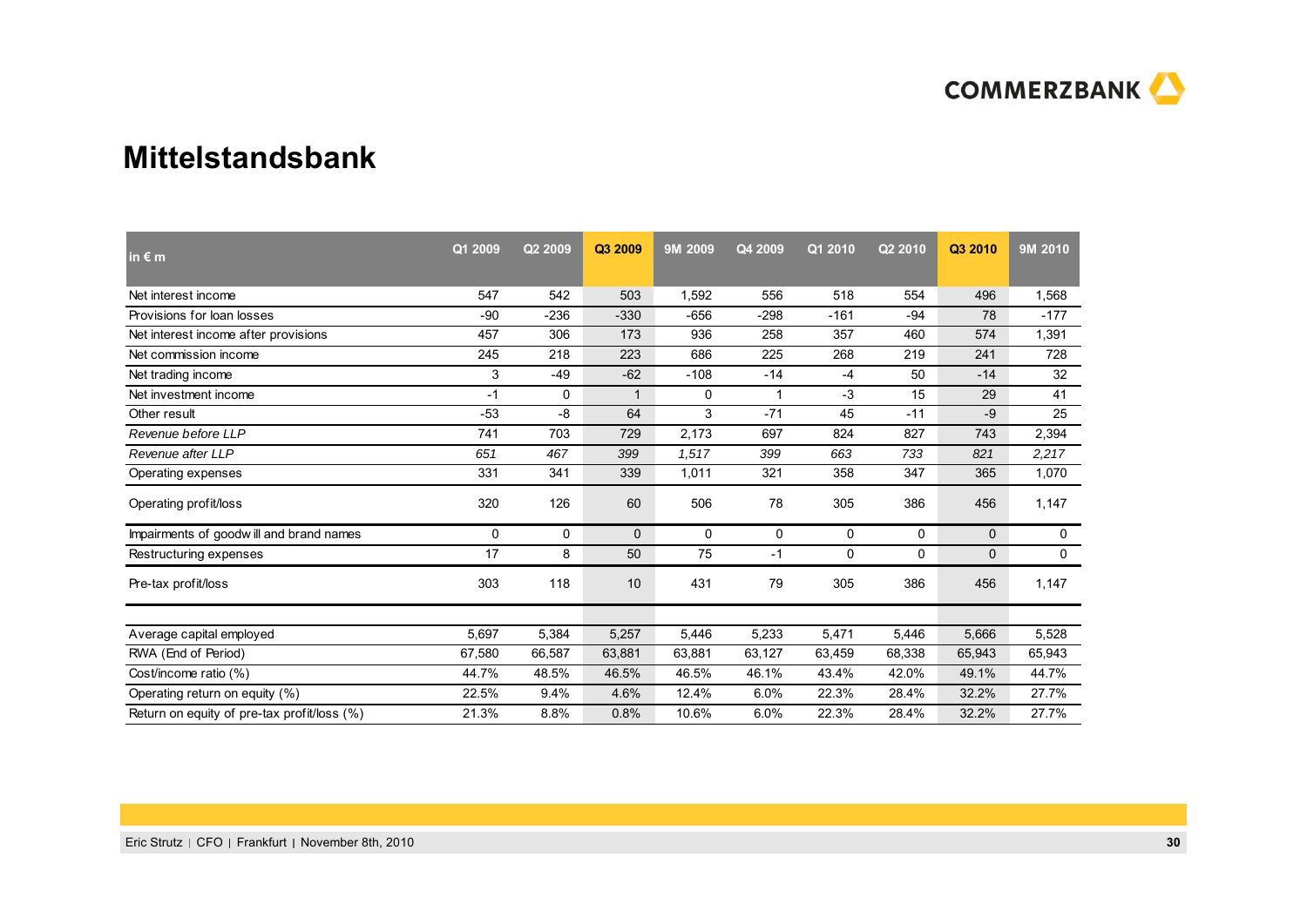

#### **Mittelstandsbank**

| in $\epsilon$ m                             | Q1 2009 | Q2 2009 | Q3 2009  | 9M 2009 | Q4 2009 | Q1 2010 | Q2 2010 | Q3 2010     | 9M 2010     |
|---------------------------------------------|---------|---------|----------|---------|---------|---------|---------|-------------|-------------|
| Net interest income                         | 547     | 542     | 503      | 1,592   | 556     | 518     | 554     | 496         | 1,568       |
| Provisions for loan losses                  | -90     | $-236$  | $-330$   | $-656$  | $-298$  | $-161$  | $-94$   | 78          | $-177$      |
| Net interest income after provisions        | 457     | 306     | 173      | 936     | 258     | 357     | 460     | 574         | 1,391       |
| Net commission income                       | 245     | 218     | 223      | 686     | 225     | 268     | 219     | 241         | 728         |
| Net trading income                          | 3       | -49     | $-62$    | $-108$  | $-14$   | -4      | 50      | $-14$       | 32          |
| Net investment income                       | $-1$    | 0       |          | 0       | 1       | $-3$    | 15      | 29          | 41          |
| Other result                                | $-53$   | -8      | 64       | 3       | $-71$   | 45      | $-11$   | $-9$        | 25          |
| Revenue before LLP                          | 741     | 703     | 729      | 2,173   | 697     | 824     | 827     | 743         | 2,394       |
| Revenue after LLP                           | 651     | 467     | 399      | 1,517   | 399     | 663     | 733     | 821         | 2,217       |
| Operating expenses                          | 331     | 341     | 339      | 1,011   | 321     | 358     | 347     | 365         | 1,070       |
| Operating profit/loss                       | 320     | 126     | 60       | 506     | 78      | 305     | 386     | 456         | 1,147       |
| Impairments of goodwill and brand names     | 0       | 0       | $\Omega$ | 0       | 0       | 0       | 0       | $\mathbf 0$ | $\mathbf 0$ |
| Restructuring expenses                      | 17      | 8       | 50       | 75      | $-1$    | 0       | 0       | $\mathbf 0$ | $\mathbf 0$ |
| Pre-tax profit/loss                         | 303     | 118     | 10       | 431     | 79      | 305     | 386     | 456         | 1,147       |
| Average capital employed                    | 5,697   | 5,384   | 5,257    | 5,446   | 5,233   | 5,471   | 5,446   | 5,666       | 5,528       |
| RWA (End of Period)                         | 67,580  | 66,587  | 63,881   | 63,881  | 63,127  | 63,459  | 68,338  | 65,943      | 65,943      |
| Cost/income ratio (%)                       | 44.7%   | 48.5%   | 46.5%    | 46.5%   | 46.1%   | 43.4%   | 42.0%   | 49.1%       | 44.7%       |
| Operating return on equity (%)              | 22.5%   | 9.4%    | 4.6%     | 12.4%   | 6.0%    | 22.3%   | 28.4%   | 32.2%       | 27.7%       |
| Return on equity of pre-tax profit/loss (%) | 21.3%   | 8.8%    | 0.8%     | 10.6%   | 6.0%    | 22.3%   | 28.4%   | 32.2%       | 27.7%       |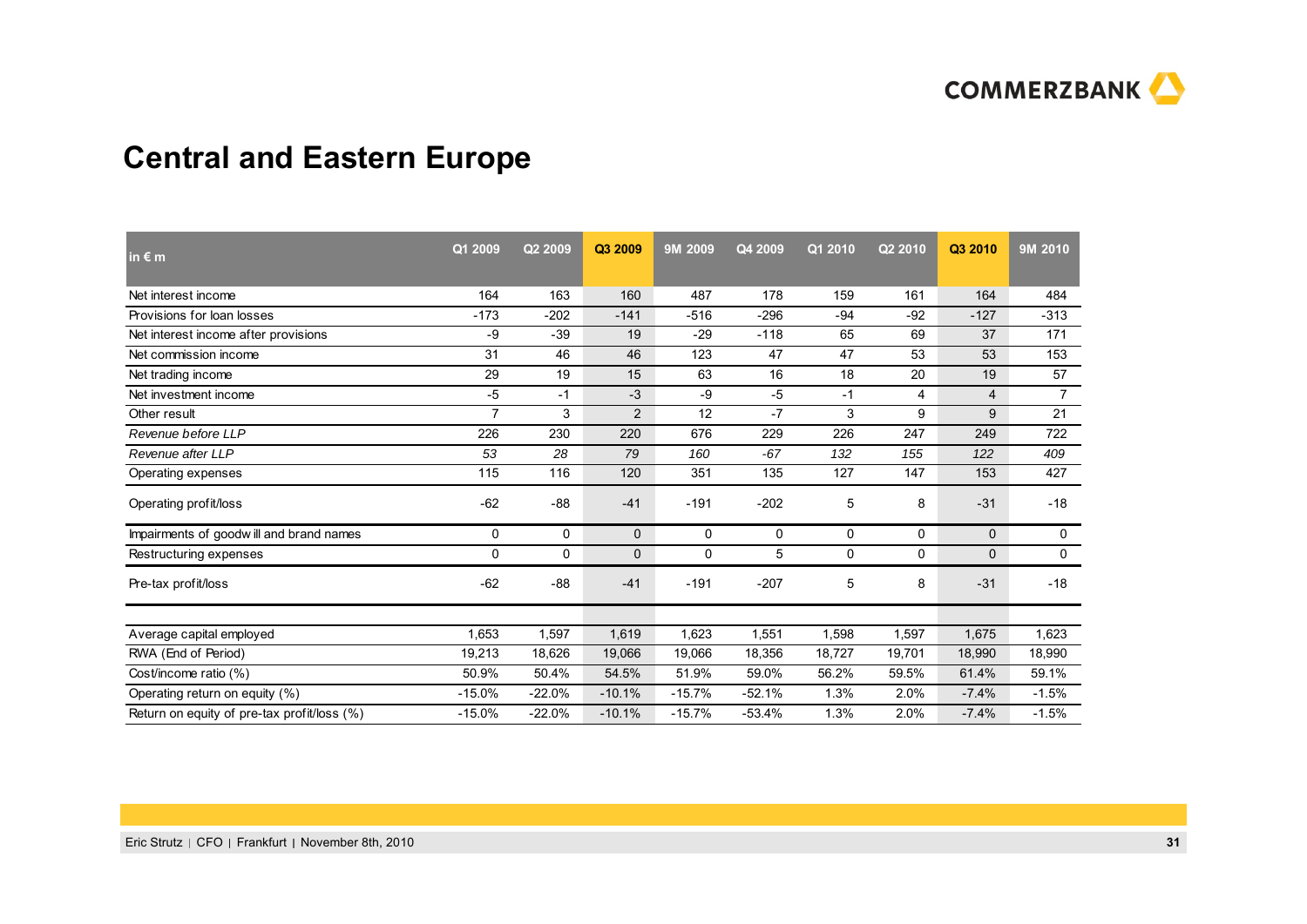

# **Central and Eastern Europe**

| in $\epsilon$ m                             | Q1 2009        | Q2 2009  | Q3 2009        | 9M 2009  | Q4 2009  | Q1 2010     | Q <sub>2</sub> 2010 | Q3 2010      | 9M 2010        |
|---------------------------------------------|----------------|----------|----------------|----------|----------|-------------|---------------------|--------------|----------------|
| Net interest income                         | 164            | 163      | 160            | 487      | 178      | 159         | 161                 | 164          | 484            |
| Provisions for loan losses                  | $-173$         | $-202$   | $-141$         | $-516$   | $-296$   | -94         | $-92$               | $-127$       | $-313$         |
| Net interest income after provisions        | -9             | -39      | 19             | $-29$    | $-118$   | 65          | 69                  | 37           | 171            |
| Net commission income                       | 31             | 46       | 46             | 123      | 47       | 47          | 53                  | 53           | 153            |
| Net trading income                          | 29             | 19       | 15             | 63       | 16       | 18          | 20                  | 19           | 57             |
| Net investment income                       | -5             | $-1$     | $-3$           | -9       | $-5$     | $-1$        | 4                   | 4            | $\overline{7}$ |
| Other result                                | $\overline{7}$ | 3        | $\overline{2}$ | 12       | $-7$     | 3           | 9                   | 9            | 21             |
| Revenue before LLP                          | 226            | 230      | 220            | 676      | 229      | 226         | 247                 | 249          | 722            |
| Revenue after LLP                           | 53             | 28       | 79             | 160      | $-67$    | 132         | 155                 | 122          | 409            |
| Operating expenses                          | 115            | 116      | 120            | 351      | 135      | 127         | 147                 | 153          | 427            |
| Operating profit/loss                       | $-62$          | $-88$    | $-41$          | $-191$   | $-202$   | 5           | 8                   | $-31$        | $-18$          |
| Impairments of goodwill and brand names     | 0              | 0        | $\mathbf{0}$   | 0        | 0        | 0           | 0                   | $\mathbf{0}$ | 0              |
| Restructuring expenses                      | 0              | 0        | 0              | 0        | 5        | $\mathbf 0$ | 0                   | $\mathbf 0$  | $\mathbf 0$    |
| Pre-tax profit/loss                         | $-62$          | $-88$    | $-41$          | $-191$   | $-207$   | 5           | 8                   | $-31$        | $-18$          |
| Average capital employed                    | 1,653          | 1,597    | 1,619          | 1,623    | 1,551    | 1,598       | 1,597               | 1,675        | 1,623          |
| RWA (End of Period)                         | 19,213         | 18,626   | 19,066         | 19,066   | 18,356   | 18,727      | 19,701              | 18,990       | 18,990         |
| Cost/income ratio (%)                       | 50.9%          | 50.4%    | 54.5%          | 51.9%    | 59.0%    | 56.2%       | 59.5%               | 61.4%        | 59.1%          |
| Operating return on equity (%)              | $-15.0%$       | $-22.0%$ | $-10.1%$       | $-15.7%$ | $-52.1%$ | 1.3%        | 2.0%                | $-7.4%$      | $-1.5%$        |
| Return on equity of pre-tax profit/loss (%) | $-15.0%$       | $-22.0%$ | $-10.1%$       | $-15.7%$ | $-53.4%$ | 1.3%        | 2.0%                | $-7.4%$      | $-1.5%$        |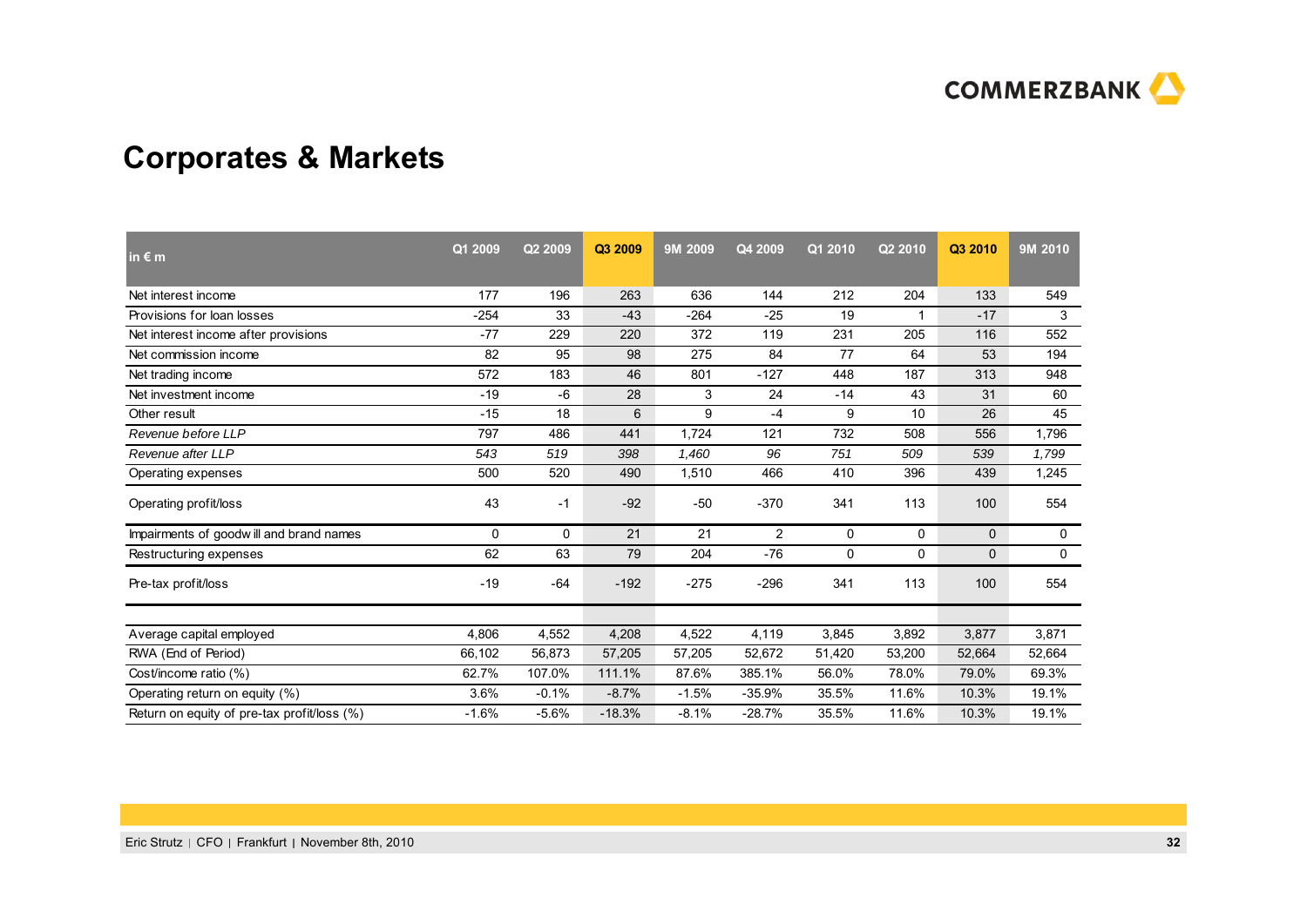

# **Corporates & Markets**

| in $\epsilon$ m                             | Q1 2009 | Q2 2009  | Q3 2009  | 9M 2009 | Q4 2009        | Q1 2010 | Q2 2010 | Q3 2010      | 9M 2010 |
|---------------------------------------------|---------|----------|----------|---------|----------------|---------|---------|--------------|---------|
| Net interest income                         | 177     | 196      | 263      | 636     | 144            | 212     | 204     | 133          | 549     |
| Provisions for loan losses                  | $-254$  | 33       | $-43$    | $-264$  | $-25$          | 19      | 1       | $-17$        | 3       |
| Net interest income after provisions        | $-77$   | 229      | 220      | 372     | 119            | 231     | 205     | 116          | 552     |
| Net commission income                       | 82      | 95       | 98       | 275     | 84             | 77      | 64      | 53           | 194     |
| Net trading income                          | 572     | 183      | 46       | 801     | $-127$         | 448     | 187     | 313          | 948     |
| Net investment income                       | $-19$   | -6       | 28       | 3       | 24             | $-14$   | 43      | 31           | 60      |
| Other result                                | $-15$   | 18       | 6        | 9       | $-4$           | 9       | 10      | 26           | 45      |
| Revenue before LLP                          | 797     | 486      | 441      | 1,724   | 121            | 732     | 508     | 556          | 1,796   |
| Revenue after LLP                           | 543     | 519      | 398      | 1,460   | 96             | 751     | 509     | 539          | 1,799   |
| Operating expenses                          | 500     | 520      | 490      | 1,510   | 466            | 410     | 396     | 439          | 1,245   |
| Operating profit/loss                       | 43      | $-1$     | $-92$    | $-50$   | $-370$         | 341     | 113     | 100          | 554     |
| Impairments of goodwill and brand names     | 0       | $\Omega$ | 21       | 21      | $\overline{2}$ | 0       | 0       | $\mathbf{0}$ | 0       |
| Restructuring expenses                      | 62      | 63       | 79       | 204     | $-76$          | 0       | 0       | $\mathbf 0$  | 0       |
| Pre-tax profit/loss                         | $-19$   | $-64$    | $-192$   | $-275$  | $-296$         | 341     | 113     | 100          | 554     |
| Average capital employed                    | 4,806   | 4,552    | 4,208    | 4,522   | 4,119          | 3,845   | 3,892   | 3,877        | 3,871   |
| RWA (End of Period)                         | 66,102  | 56,873   | 57,205   | 57,205  | 52.672         | 51,420  | 53,200  | 52,664       | 52,664  |
| Cost/income ratio (%)                       | 62.7%   | 107.0%   | 111.1%   | 87.6%   | 385.1%         | 56.0%   | 78.0%   | 79.0%        | 69.3%   |
| Operating return on equity (%)              | 3.6%    | $-0.1%$  | $-8.7%$  | $-1.5%$ | $-35.9%$       | 35.5%   | 11.6%   | 10.3%        | 19.1%   |
| Return on equity of pre-tax profit/loss (%) | $-1.6%$ | $-5.6%$  | $-18.3%$ | $-8.1%$ | $-28.7%$       | 35.5%   | 11.6%   | 10.3%        | 19.1%   |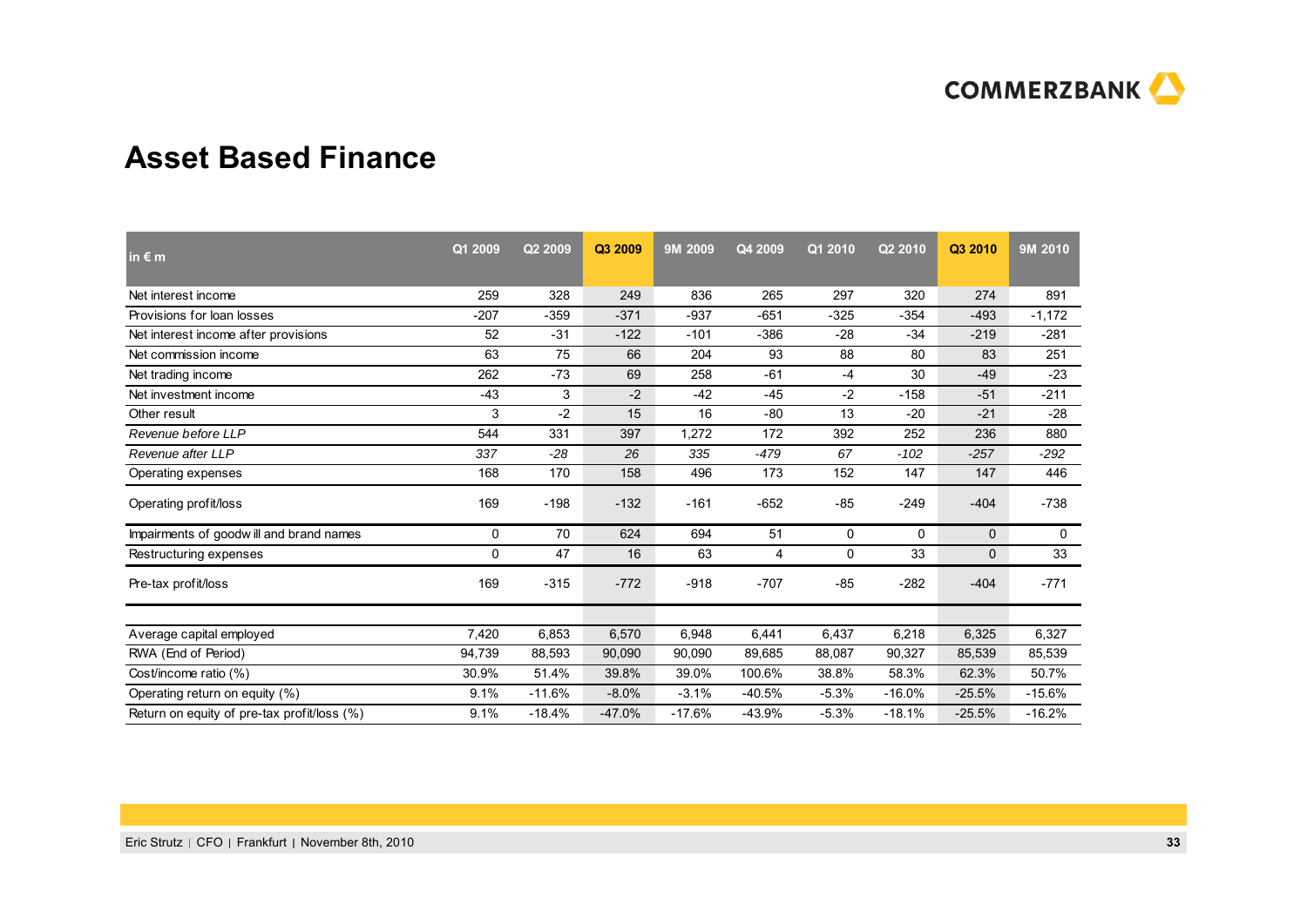

#### **Asset Based Finance**

| in $\epsilon$ m                             | Q1 2009 | Q2 2009  | Q3 2009  | 9M 2009  | Q4 2009  | Q1 2010 | Q2 2010  | Q3 2010      | 9M 2010  |
|---------------------------------------------|---------|----------|----------|----------|----------|---------|----------|--------------|----------|
| Net interest income                         | 259     | 328      | 249      | 836      | 265      | 297     | 320      | 274          | 891      |
| Provisions for loan losses                  | $-207$  | $-359$   | $-371$   | $-937$   | $-651$   | $-325$  | $-354$   | $-493$       | $-1,172$ |
| Net interest income after provisions        | 52      | $-31$    | $-122$   | $-101$   | $-386$   | $-28$   | $-34$    | $-219$       | $-281$   |
| Net commission income                       | 63      | 75       | 66       | 204      | 93       | 88      | 80       | 83           | 251      |
| Net trading income                          | 262     | $-73$    | 69       | 258      | $-61$    | $-4$    | 30       | $-49$        | $-23$    |
| Net investment income                       | $-43$   | 3        | $-2$     | $-42$    | $-45$    | $-2$    | $-158$   | $-51$        | $-211$   |
| Other result                                | 3       | $-2$     | 15       | 16       | $-80$    | 13      | $-20$    | $-21$        | $-28$    |
| Revenue before LLP                          | 544     | 331      | 397      | 1,272    | 172      | 392     | 252      | 236          | 880      |
| Revenue after LLP                           | 337     | $-28$    | 26       | 335      | $-479$   | 67      | $-102$   | $-257$       | $-292$   |
| Operating expenses                          | 168     | 170      | 158      | 496      | 173      | 152     | 147      | 147          | 446      |
| Operating profit/loss                       | 169     | $-198$   | $-132$   | $-161$   | $-652$   | $-85$   | $-249$   | $-404$       | $-738$   |
| Impairments of goodwill and brand names     | 0       | 70       | 624      | 694      | 51       | 0       | $\Omega$ | $\mathbf{0}$ | 0        |
| Restructuring expenses                      | 0       | 47       | 16       | 63       | 4        | 0       | 33       | 0            | 33       |
| Pre-tax profit/loss                         | 169     | $-315$   | $-772$   | $-918$   | $-707$   | $-85$   | $-282$   | $-404$       | $-771$   |
| Average capital employed                    | 7,420   | 6,853    | 6,570    | 6,948    | 6,441    | 6,437   | 6,218    | 6,325        | 6,327    |
| RWA (End of Period)                         | 94,739  | 88,593   | 90,090   | 90,090   | 89.685   | 88,087  | 90,327   | 85,539       | 85,539   |
| Cost/income ratio (%)                       | 30.9%   | 51.4%    | 39.8%    | 39.0%    | 100.6%   | 38.8%   | 58.3%    | 62.3%        | 50.7%    |
| Operating return on equity (%)              | 9.1%    | $-11.6%$ | $-8.0%$  | $-3.1%$  | $-40.5%$ | $-5.3%$ | $-16.0%$ | $-25.5%$     | $-15.6%$ |
| Return on equity of pre-tax profit/loss (%) | 9.1%    | $-18.4%$ | $-47.0%$ | $-17.6%$ | $-43.9%$ | $-5.3%$ | $-18.1%$ | $-25.5%$     | $-16.2%$ |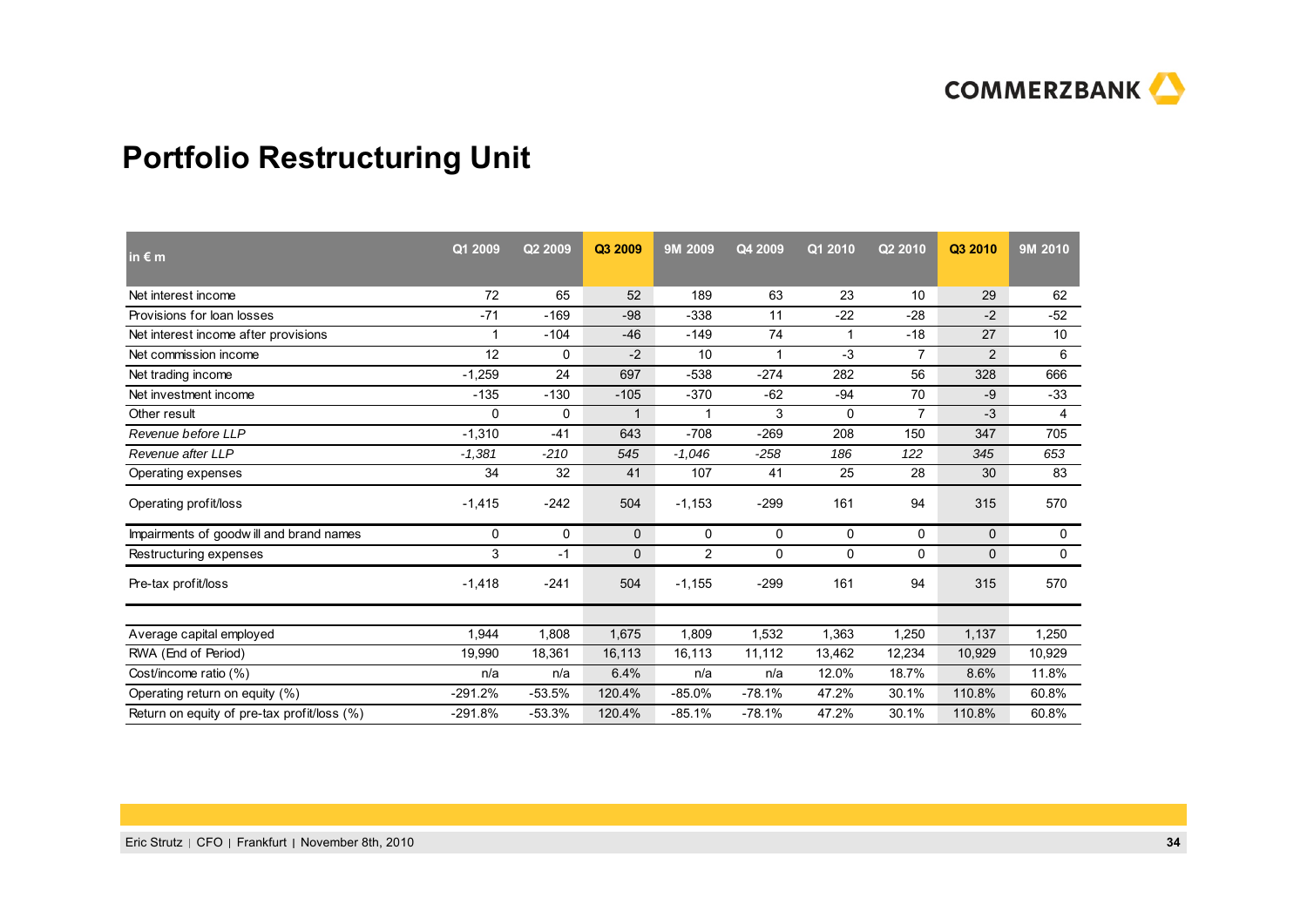

# **Portfolio Restructuring Unit**

| in $\epsilon$ m                             | Q1 2009      | Q <sub>2</sub> 2009 | Q3 2009      | 9M 2009  | Q4 2009  | Q1 2010 | Q2 2010        | Q3 2010      | 9M 2010         |
|---------------------------------------------|--------------|---------------------|--------------|----------|----------|---------|----------------|--------------|-----------------|
| Net interest income                         | 72           | 65                  | 52           | 189      | 63       | 23      | 10             | 29           | 62              |
| Provisions for loan losses                  | $-71$        | $-169$              | $-98$        | -338     | 11       | $-22$   | $-28$          | $-2$         | $-52$           |
| Net interest income after provisions        |              | $-104$              | $-46$        | $-149$   | 74       | 1       | $-18$          | 27           | 10 <sup>°</sup> |
| Net commission income                       | 12           | 0                   | $-2$         | 10       | -1       | $-3$    | $\overline{7}$ | 2            | 6               |
| Net trading income                          | $-1,259$     | 24                  | 697          | $-538$   | $-274$   | 282     | 56             | 328          | 666             |
| Net investment income                       | $-135$       | $-130$              | $-105$       | $-370$   | $-62$    | $-94$   | 70             | -9           | $-33$           |
| Other result                                | $\mathbf{0}$ | 0                   | $\mathbf{1}$ | -1       | 3        | 0       | $\overline{7}$ | $-3$         | 4               |
| Revenue before LLP                          | $-1.310$     | $-41$               | 643          | $-708$   | $-269$   | 208     | 150            | 347          | 705             |
| Revenue after LLP                           | $-1,381$     | $-210$              | 545          | $-1,046$ | $-258$   | 186     | 122            | 345          | 653             |
| Operating expenses                          | 34           | 32                  | 41           | 107      | 41       | 25      | 28             | 30           | 83              |
| Operating profit/loss                       | $-1,415$     | $-242$              | 504          | $-1,153$ | $-299$   | 161     | 94             | 315          | 570             |
| Impairments of goodwill and brand names     | 0            | 0                   | $\mathbf{0}$ | 0        | 0        | 0       | 0              | $\mathbf{0}$ | 0               |
| Restructuring expenses                      | 3            | $-1$                | 0            | 2        | 0        | 0       | 0              | 0            | 0               |
| Pre-tax profit/loss                         | $-1,418$     | $-241$              | 504          | $-1,155$ | $-299$   | 161     | 94             | 315          | 570             |
| Average capital employed                    | 1.944        | 1,808               | 1,675        | 1,809    | 1.532    | 1,363   | 1,250          | 1,137        | 1,250           |
| RWA (End of Period)                         | 19,990       | 18,361              | 16,113       | 16,113   | 11,112   | 13,462  | 12,234         | 10,929       | 10,929          |
| Cost/income ratio (%)                       | n/a          | n/a                 | 6.4%         | n/a      | n/a      | 12.0%   | 18.7%          | 8.6%         | 11.8%           |
| Operating return on equity (%)              | $-291.2%$    | $-53.5%$            | 120.4%       | $-85.0%$ | $-78.1%$ | 47.2%   | 30.1%          | 110.8%       | 60.8%           |
| Return on equity of pre-tax profit/loss (%) | $-291.8%$    | $-53.3%$            | 120.4%       | $-85.1%$ | $-78.1%$ | 47.2%   | 30.1%          | 110.8%       | 60.8%           |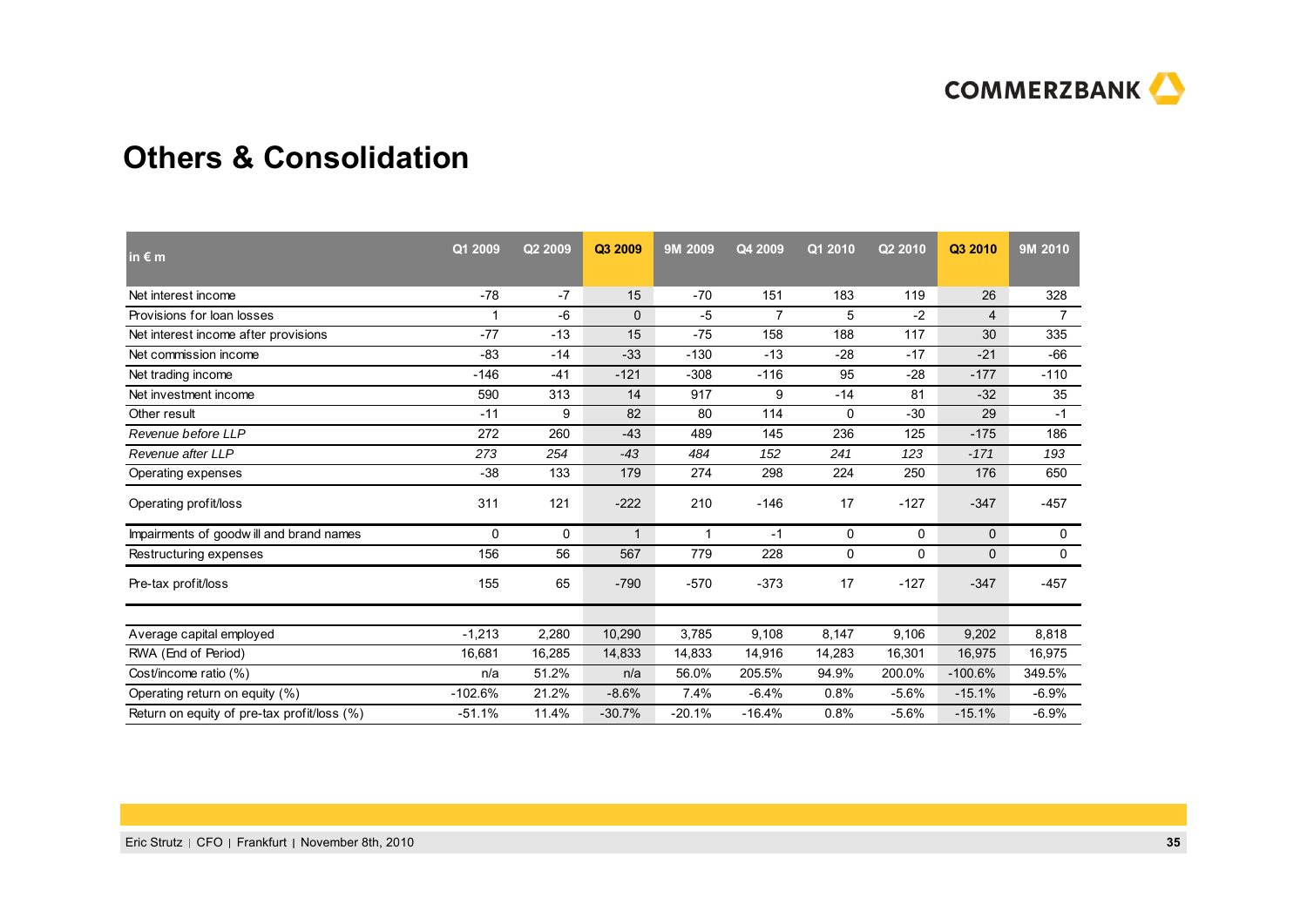

## **Others & Consolidation**

| $\ln \epsilon$ m                            | Q1 2009   | Q2 2009 | Q3 2009     | 9M 2009  | Q4 2009        | Q1 2010     | Q2 2010  | Q3 2010      | 9M 2010        |
|---------------------------------------------|-----------|---------|-------------|----------|----------------|-------------|----------|--------------|----------------|
| Net interest income                         | $-78$     | $-7$    | 15          | $-70$    | 151            | 183         | 119      | 26           | 328            |
| Provisions for loan losses                  | 1         | -6      | 0           | $-5$     | $\overline{7}$ | 5           | -2       | 4            | $\overline{7}$ |
| Net interest income after provisions        | $-77$     | $-13$   | 15          | $-75$    | 158            | 188         | 117      | 30           | 335            |
| Net commission income                       | -83       | $-14$   | $-33$       | $-130$   | $-13$          | $-28$       | $-17$    | $-21$        | $-66$          |
| Net trading income                          | -146      | $-41$   | $-121$      | $-308$   | $-116$         | 95          | $-28$    | $-177$       | $-110$         |
| Net investment income                       | 590       | 313     | 14          | 917      | 9              | $-14$       | 81       | $-32$        | 35             |
| Other result                                | $-11$     | 9       | 82          | 80       | 114            | $\mathbf 0$ | $-30$    | 29           | $-1$           |
| Revenue before LLP                          | 272       | 260     | $-43$       | 489      | 145            | 236         | 125      | $-175$       | 186            |
| Revenue after LLP                           | 273       | 254     | $-43$       | 484      | 152            | 241         | 123      | $-171$       | 193            |
| Operating expenses                          | $-38$     | 133     | 179         | 274      | 298            | 224         | 250      | 176          | 650            |
| Operating profit/loss                       | 311       | 121     | $-222$      | 210      | $-146$         | 17          | $-127$   | $-347$       | $-457$         |
| Impairments of goodwill and brand names     | $\Omega$  | 0       | $\mathbf 1$ | 1        | $-1$           | 0           | 0        | $\Omega$     | $\mathbf 0$    |
| Restructuring expenses                      | 156       | 56      | 567         | 779      | 228            | 0           | $\Omega$ | $\mathbf{0}$ | 0              |
| Pre-tax profit/loss                         | 155       | 65      | $-790$      | $-570$   | $-373$         | 17          | $-127$   | $-347$       | $-457$         |
|                                             | $-1,213$  |         |             | 3,785    | 9.108          | 8,147       |          | 9,202        | 8,818          |
| Average capital employed                    |           | 2,280   | 10,290      |          |                |             | 9,106    |              |                |
| RWA (End of Period)                         | 16,681    | 16,285  | 14,833      | 14,833   | 14.916         | 14,283      | 16,301   | 16,975       | 16,975         |
| Cost/income ratio (%)                       | n/a       | 51.2%   | n/a         | 56.0%    | 205.5%         | 94.9%       | 200.0%   | $-100.6%$    | 349.5%         |
| Operating return on equity (%)              | $-102.6%$ | 21.2%   | $-8.6%$     | 7.4%     | $-6.4%$        | 0.8%        | $-5.6%$  | $-15.1%$     | $-6.9%$        |
| Return on equity of pre-tax profit/loss (%) | $-51.1%$  | 11.4%   | $-30.7%$    | $-20.1%$ | $-16.4%$       | 0.8%        | $-5.6%$  | $-15.1%$     | $-6.9%$        |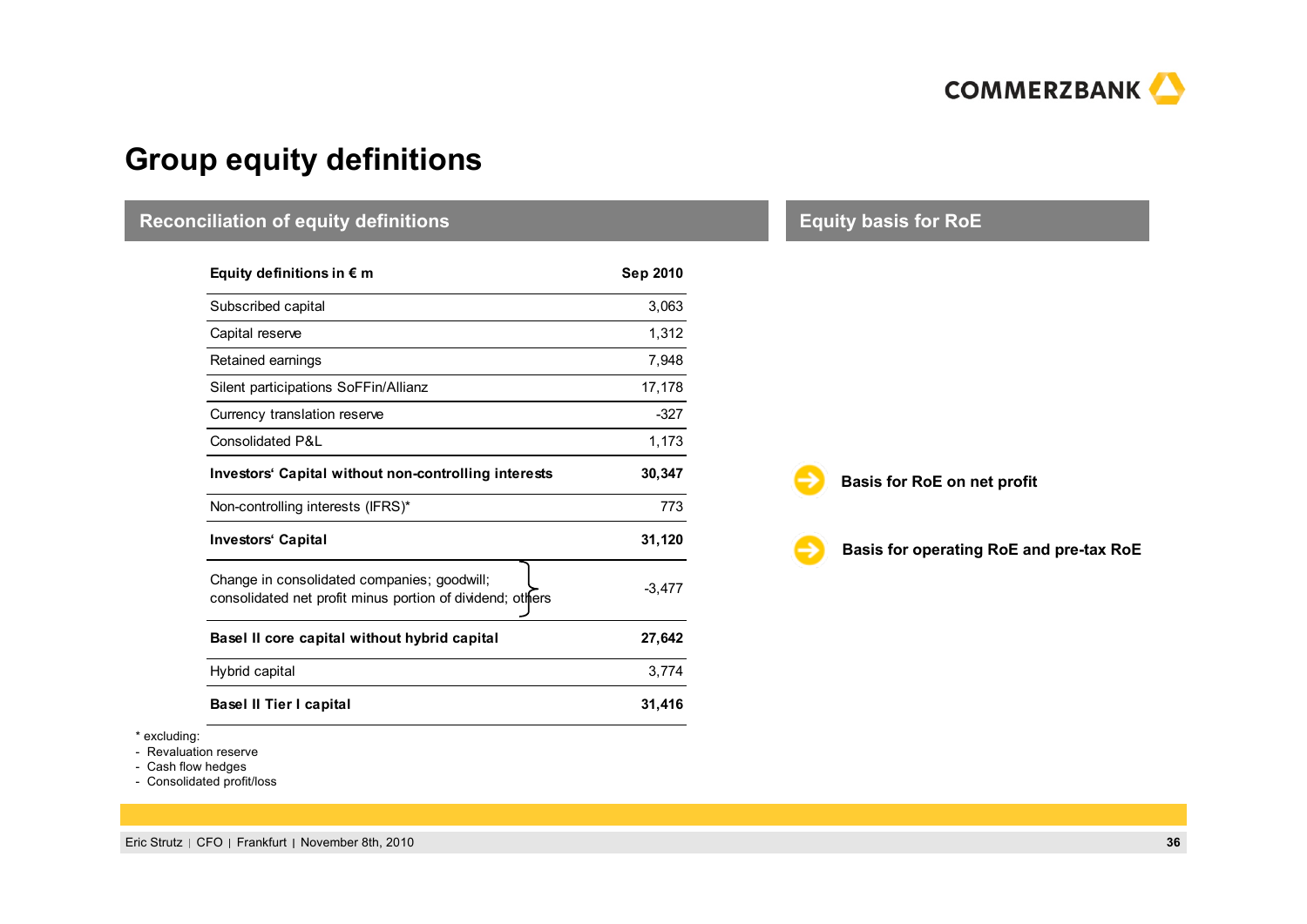

# **Group equity definitions**

| <b>Reconciliation of equity definitions</b>                                                              |          | <b>Equity basis for RoE</b>             |
|----------------------------------------------------------------------------------------------------------|----------|-----------------------------------------|
| Equity definitions in $\epsilon$ m                                                                       | Sep 2010 |                                         |
| Subscribed capital                                                                                       | 3,063    |                                         |
| Capital reserve                                                                                          | 1,312    |                                         |
| Retained earnings                                                                                        | 7,948    |                                         |
| Silent participations SoFFin/Allianz                                                                     | 17,178   |                                         |
| Currency translation reserve                                                                             | $-327$   |                                         |
| <b>Consolidated P&amp;L</b>                                                                              | 1,173    |                                         |
| Investors' Capital without non-controlling interests                                                     | 30,347   | Basis for RoE on net profit             |
| Non-controlling interests (IFRS)*                                                                        | 773      |                                         |
| <b>Investors' Capital</b>                                                                                | 31,120   | Basis for operating RoE and pre-tax RoE |
| Change in consolidated companies; goodwill;<br>consolidated net profit minus portion of dividend; others | $-3,477$ |                                         |
| Basel II core capital without hybrid capital                                                             | 27,642   |                                         |
| Hybrid capital                                                                                           | 3,774    |                                         |
| <b>Basel II Tier I capital</b>                                                                           | 31,416   |                                         |

\* excluding:

- Revaluation reserve

- Cash flow hedges

- Consolidated profit/loss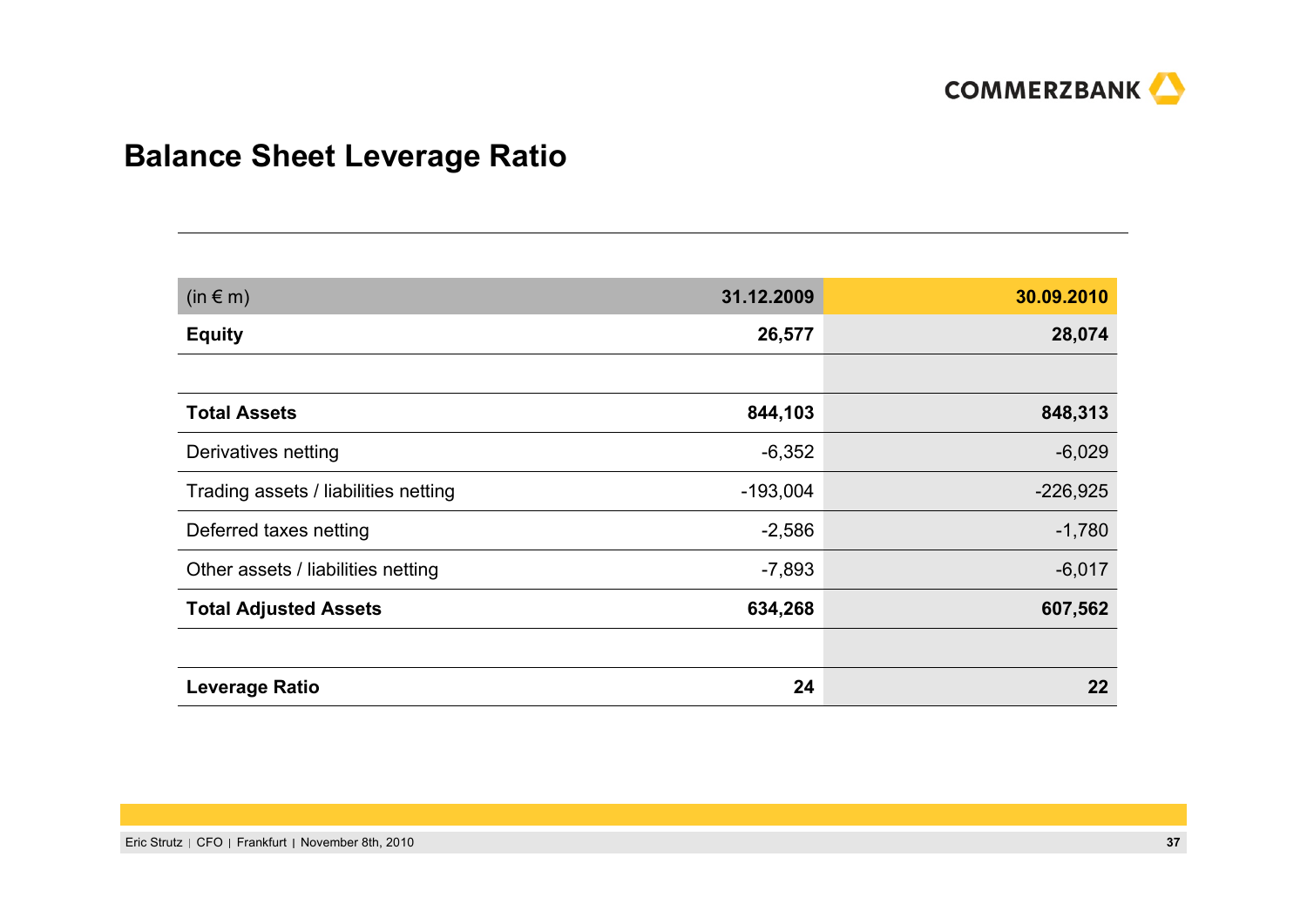

# **Balance Sheet Leverage Ratio**

| $(in \in m)$                         | 31.12.2009 | 30.09.2010 |  |  |
|--------------------------------------|------------|------------|--|--|
| <b>Equity</b>                        | 26,577     | 28,074     |  |  |
|                                      |            |            |  |  |
| <b>Total Assets</b>                  | 844,103    | 848,313    |  |  |
| Derivatives netting                  | $-6,352$   | $-6,029$   |  |  |
| Trading assets / liabilities netting | $-193,004$ | $-226,925$ |  |  |
| Deferred taxes netting               | $-2,586$   | $-1,780$   |  |  |
| Other assets / liabilities netting   | $-7,893$   | $-6,017$   |  |  |
| <b>Total Adjusted Assets</b>         | 634,268    | 607,562    |  |  |
|                                      |            |            |  |  |
| <b>Leverage Ratio</b>                | 24         | $22 \,$    |  |  |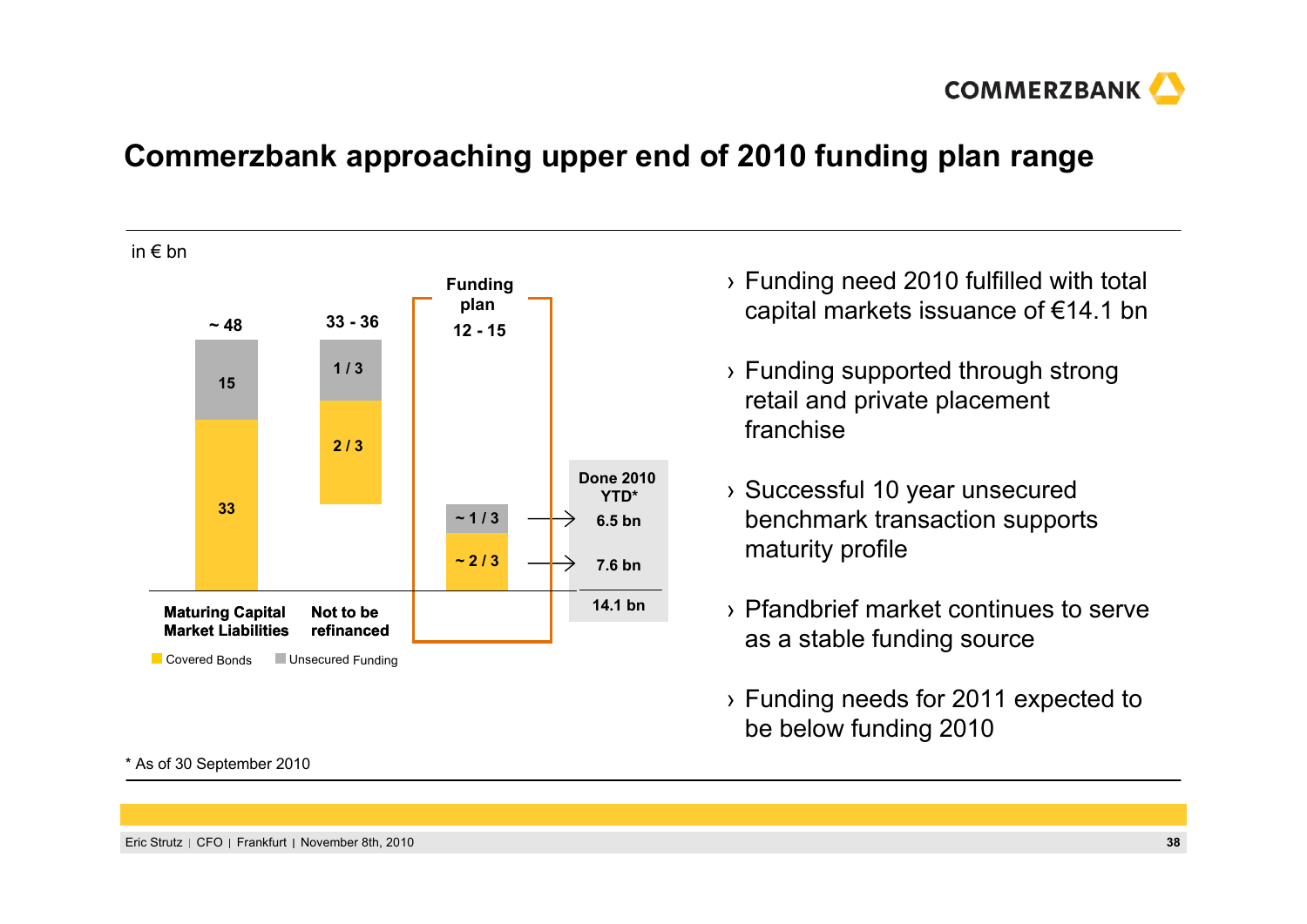

# **Commerzbank approaching upper end of 2010 funding plan range**

in € bn



\* As of 30 September 2010

- › Funding need 2010 fulfilled with total capital markets issuance of €14.1 bn
- › Funding supported through strong retail and private placement franchise
- › Successful 10 year unsecured benchmark transaction supports maturity profile
- › Pfandbrief market continues to serve as a stable funding source
- › Funding needs for 2011 expected to be below funding 2010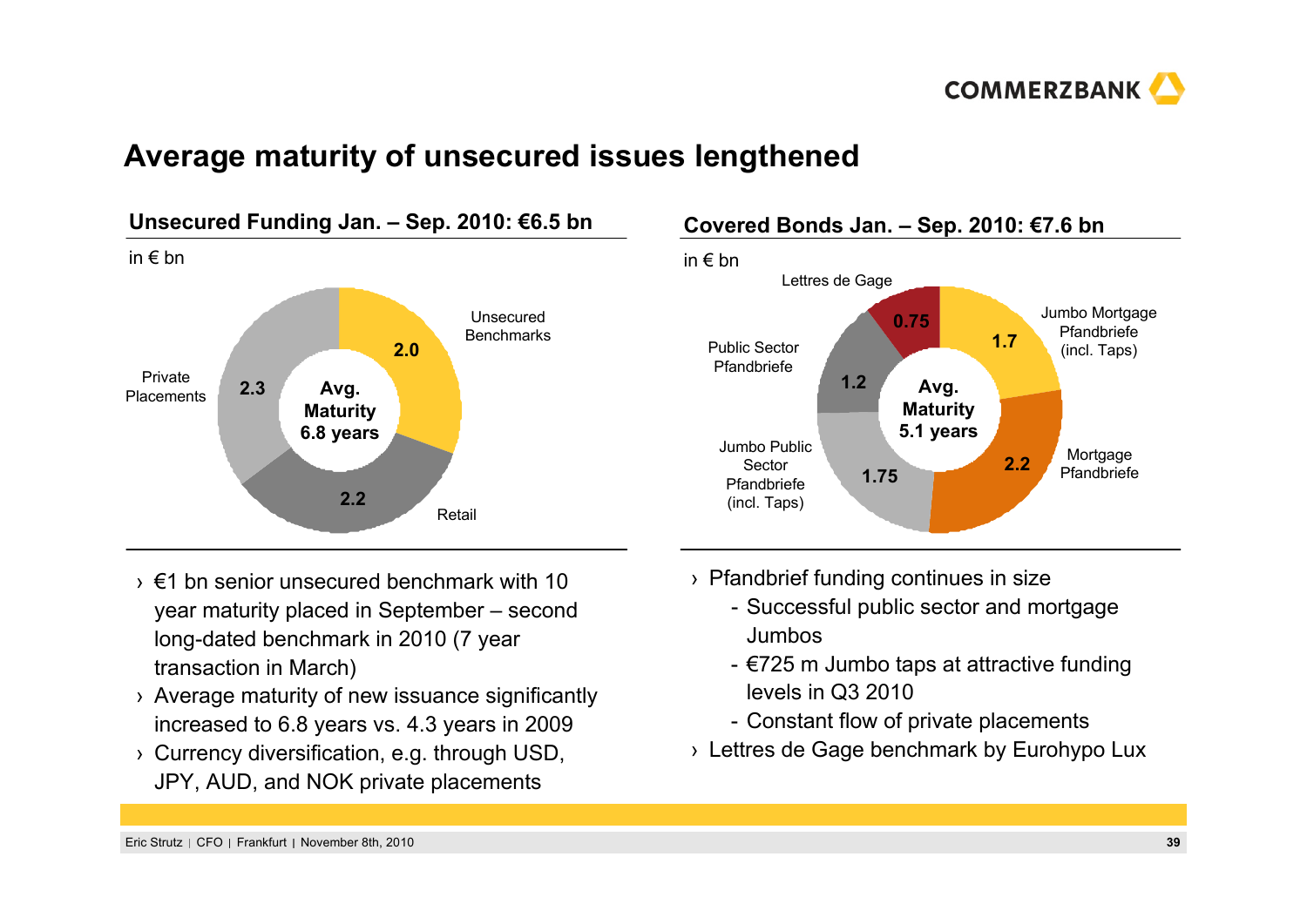

## **Average maturity of unsecured issues lengthened**



#### **Covered Bonds Jan. – Sep. 2010: €7.6 bn** in € bn Jumbo Public Sector Pfandbriefe(incl. Taps) Lettres de Gage **1.751.7**Mortgage PfandbriefePublic Sector Pfandbriefe**0.75Avg. Maturity 5.1 years** Jumbo Mortgage Pfandbriefe(incl. Taps) **2.2**

- $\rightarrow$  €1 bn senior unsecured benchmark with 10 year maturity placed in September – second long-dated benchmark in 2010 (7 year transaction in March)
- › Average maturity of new issuance significantly increased to 6.8 years vs. 4.3 years in 2009
- › Currency diversification, e.g. through USD, JPY, AUD, and NOK private placements
- › Pfandbrief funding continues in size
	- Successful public sector and mortgage Jumbos
	- €725 m Jumbo taps at attractive funding levels in Q3 2010
	- Constant flow of private placements
- › Lettres de Gage benchmark by Eurohypo Lux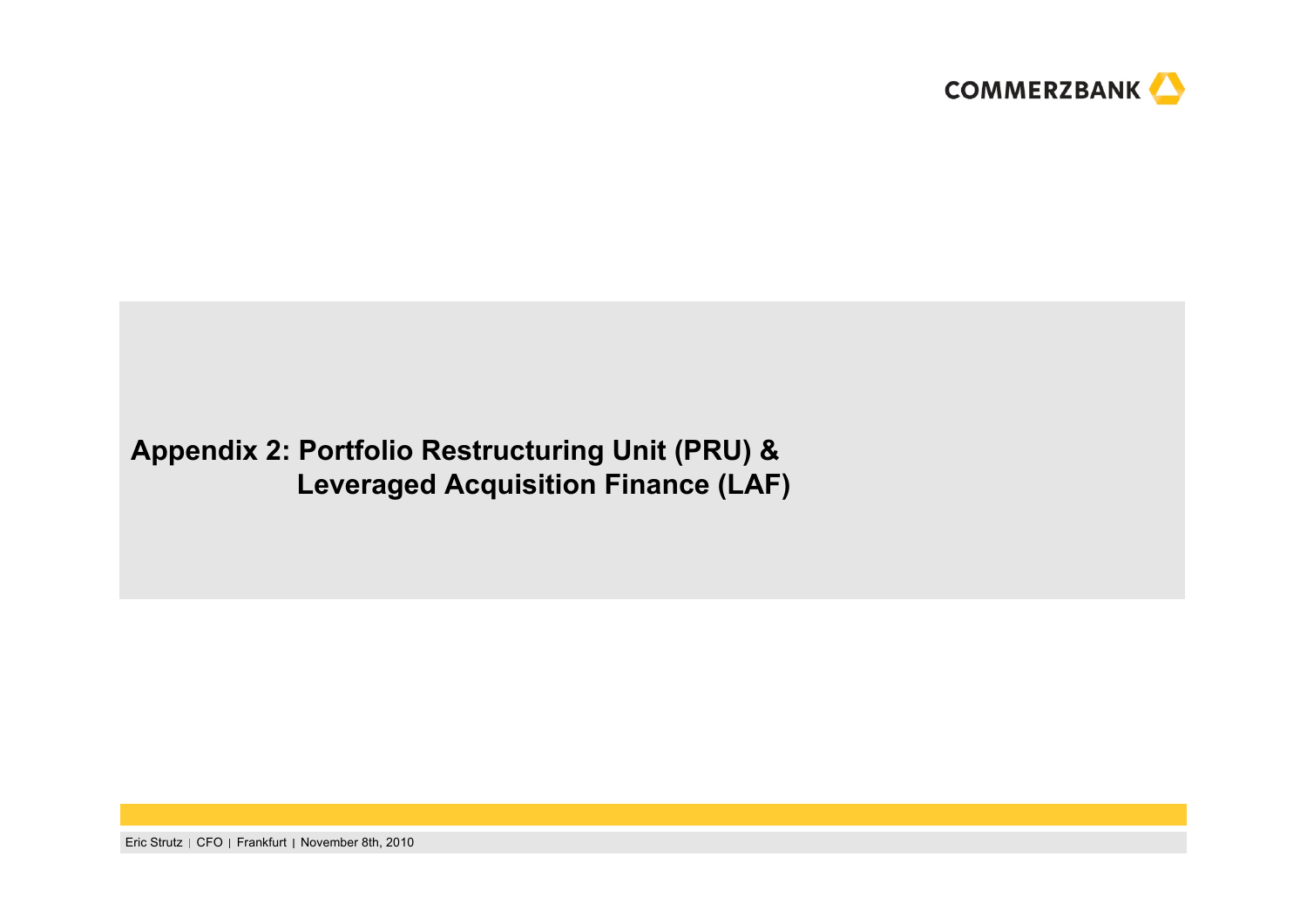

# **Appendix 2: Portfolio Restructuring Unit (PRU) & Leveraged Acquisition Finance (LAF)**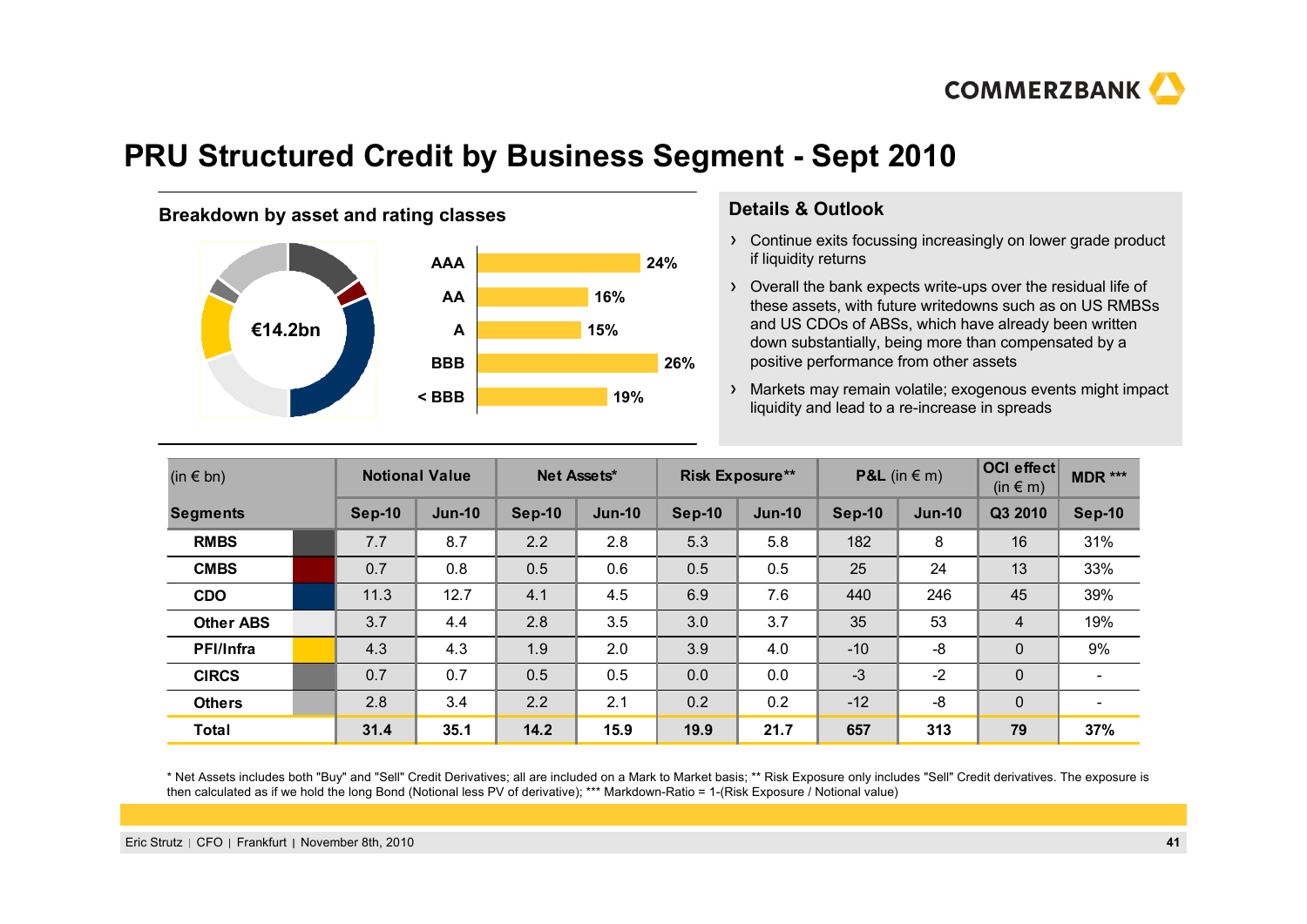

# **PRU Structured Credit by Business Segment - Sept 2010**

#### **Breakdown by asset and rating classes by Details & Outlook**



- Continue exits focussing increasingly on lower grade product if liquidity returns
- Overall the bank expects write-ups over the residual life of these assets, with future writedowns such as on US RMBSs and US CDOs of ABSs, which have already been written down substantially, being more than compensated by <sup>a</sup> positive performance from other assets
- Markets may remain volatile; exogenous events might impact liquidity and lead to a re-increase in spreads **< BBB 19%**

| $(in \in bn)$    |  | <b>Notional Value</b> |               | Net Assets*   |               | <b>Risk Exposure**</b> |               | <b>P&amp;L</b> (in $\in$ m) |               | <b>OCI</b> effect<br>$(in \in m)$ | $MDR$ ***                |
|------------------|--|-----------------------|---------------|---------------|---------------|------------------------|---------------|-----------------------------|---------------|-----------------------------------|--------------------------|
| <b>Segments</b>  |  | <b>Sep-10</b>         | <b>Jun-10</b> | <b>Sep-10</b> | <b>Jun-10</b> | <b>Sep-10</b>          | <b>Jun-10</b> | Sep-10                      | <b>Jun-10</b> | Q3 2010                           | <b>Sep-10</b>            |
| <b>RMBS</b>      |  | 7.7                   | 8.7           | 2.2           | 2.8           | 5.3                    | 5.8           | 182                         | 8             | 16                                | 31%                      |
| <b>CMBS</b>      |  | 0.7                   | 0.8           | 0.5           | 0.6           | 0.5                    | 0.5           | 25                          | 24            | 13                                | 33%                      |
| <b>CDO</b>       |  | 11.3                  | 12.7          | 4.1           | 4.5           | 6.9                    | 7.6           | 440                         | 246           | 45                                | 39%                      |
| <b>Other ABS</b> |  | 3.7                   | 4.4           | 2.8           | 3.5           | 3.0                    | 3.7           | 35                          | 53            | $\overline{4}$                    | 19%                      |
| <b>PFI/Infra</b> |  | 4.3                   | 4.3           | 1.9           | 2.0           | 3.9                    | 4.0           | $-10$                       | -8            | $\mathbf 0$                       | 9%                       |
| <b>CIRCS</b>     |  | 0.7                   | 0.7           | 0.5           | 0.5           | 0.0                    | 0.0           | $-3$                        | $-2$          | $\mathbf 0$                       |                          |
| <b>Others</b>    |  | 2.8                   | 3.4           | 2.2           | 2.1           | 0.2                    | 0.2           | $-12$                       | -8            | $\Omega$                          | $\overline{\phantom{0}}$ |
| <b>Total</b>     |  | 31.4                  | 35.1          | 14.2          | 15.9          | 19.9                   | 21.7          | 657                         | 313           | 79                                | 37%                      |

\* Net Assets includes both "Buy" and "Sell" Credit Derivatives; all are included on a Mark to Market basis; \*\* Risk Exposure only includes "Sell" Credit derivatives. The exposure is then calculated as if we hold the long Bond (Notional less PV of derivative); \*\*\* Markdown-Ratio = 1-(Risk Exposure / Notional value)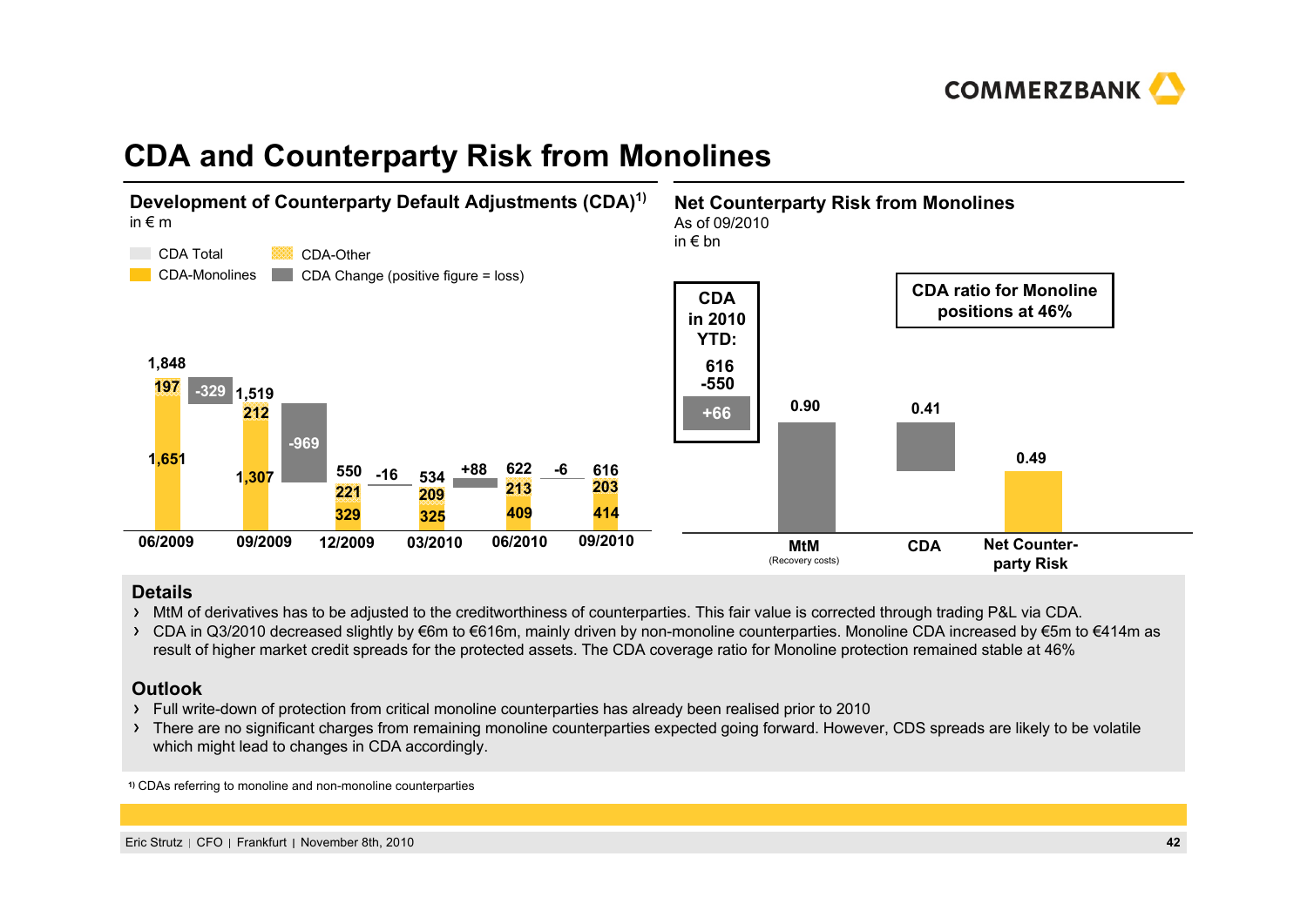

# **CDA and Counterparty Risk from Monolines**



#### **Details**

- MtM of derivatives has to be adjusted to the creditworthiness of counterparties. This fair value is corrected through trading P&L via CDA.
- > CDA in Q3/2010 decreased slightly by €6m to €616m, mainly driven by non-monoline counterparties. Monoline CDA increased by €5m to €414m as result of higher market credit spreads for the protected assets. The CDA coverage ratio for Monoline protection remained stable at 46%

#### **Outlook**

- Full write-down of protection from critical monoline counterparties has already been realised prior to 2010
- > There are no significant charges from remaining monoline counterparties expected going forward. However, CDS spreads are likely to be volatile which might lead to changes in CDA accordingly.

**1)** CDAs referring to monoline and non-monoline counterparties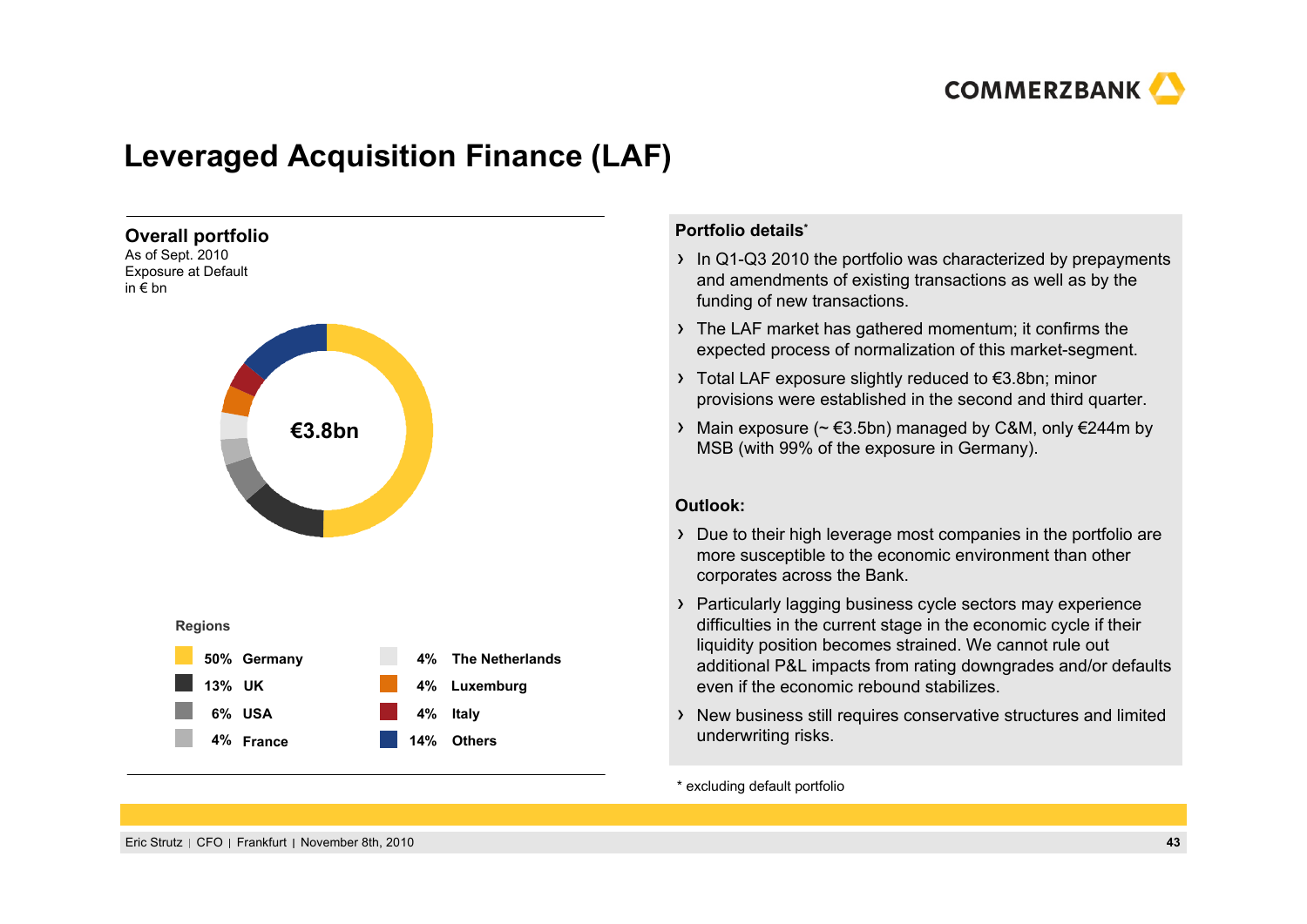

# **Leveraged Acquisition Finance (LAF)**



#### **Portfolio details\***

- $\rightarrow$  In Q1-Q3 2010 the portfolio was characterized by prepayments and amendments of existing transactions as well as by the funding of new transactions.
- The LAF market has gathered momentum; it confirms the expected process of normalization of this market-segment.
- Total LAF exposure slightly reduced to €3.8bn; minor provisions were established in the second and third quarter.
- $\rightarrow$  Main exposure (~ €3.5bn) managed by C&M, only €244m by MSB (with 99% of the exposure in Germany).

#### **Outlook:**

- Due to their high leverage most companies in the portfolio are more susceptible to the economic environment than other corporates across the Bank.
- Particularly lagging business cycle sectors may experience difficulties in the current stage in the economic cycle if their liquidity position becomes strained. We cannot rule out additional P&L impacts from rating downgrades and/or defaults even if the economic rebound stabilizes.
- New business still requires conservative structures and limited underwriting risks.

\* excluding default portfolio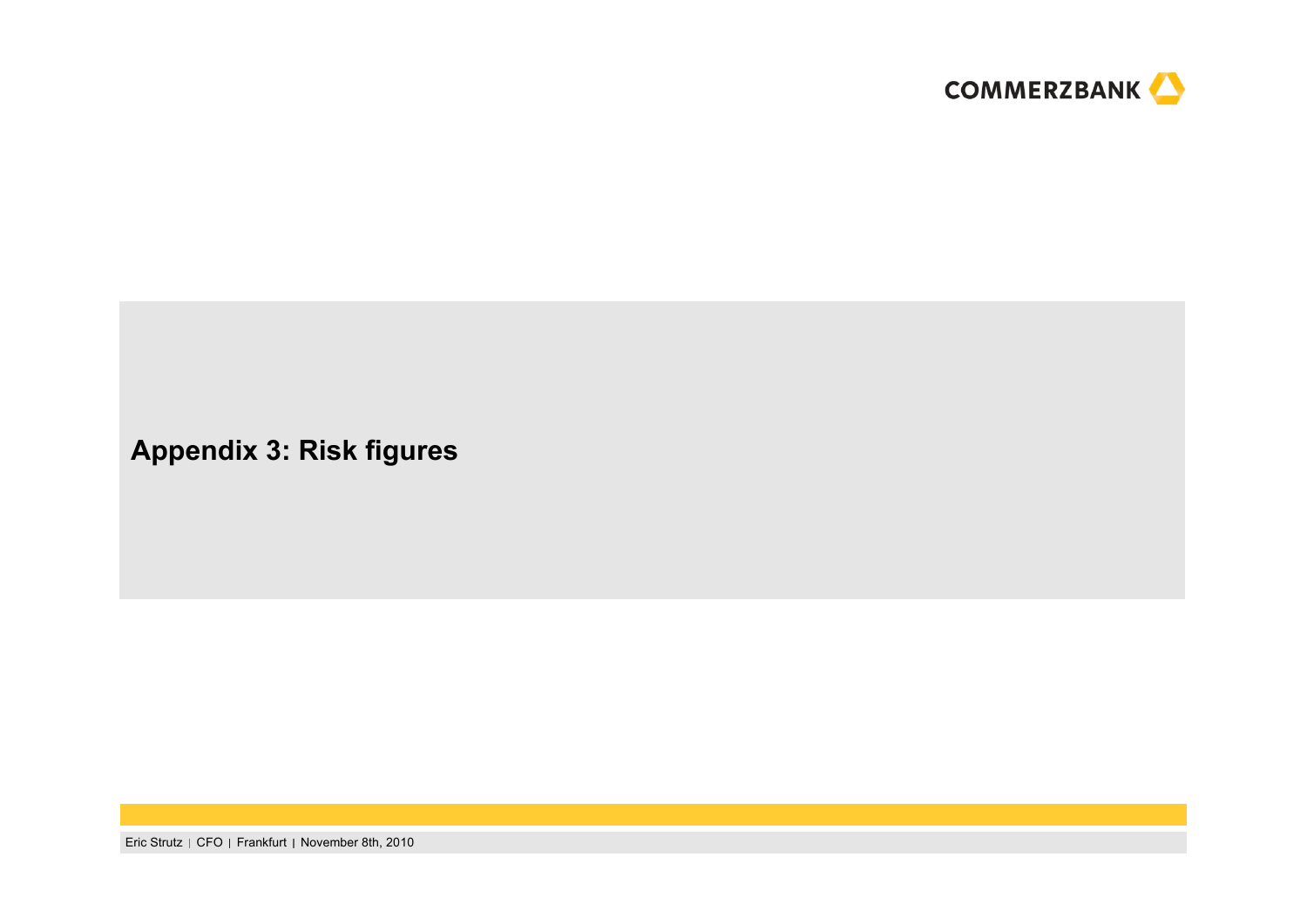

## **Appendix 3: Risk figures**

Eric Strutz | CFO | Frankfurt | November 8th, 2010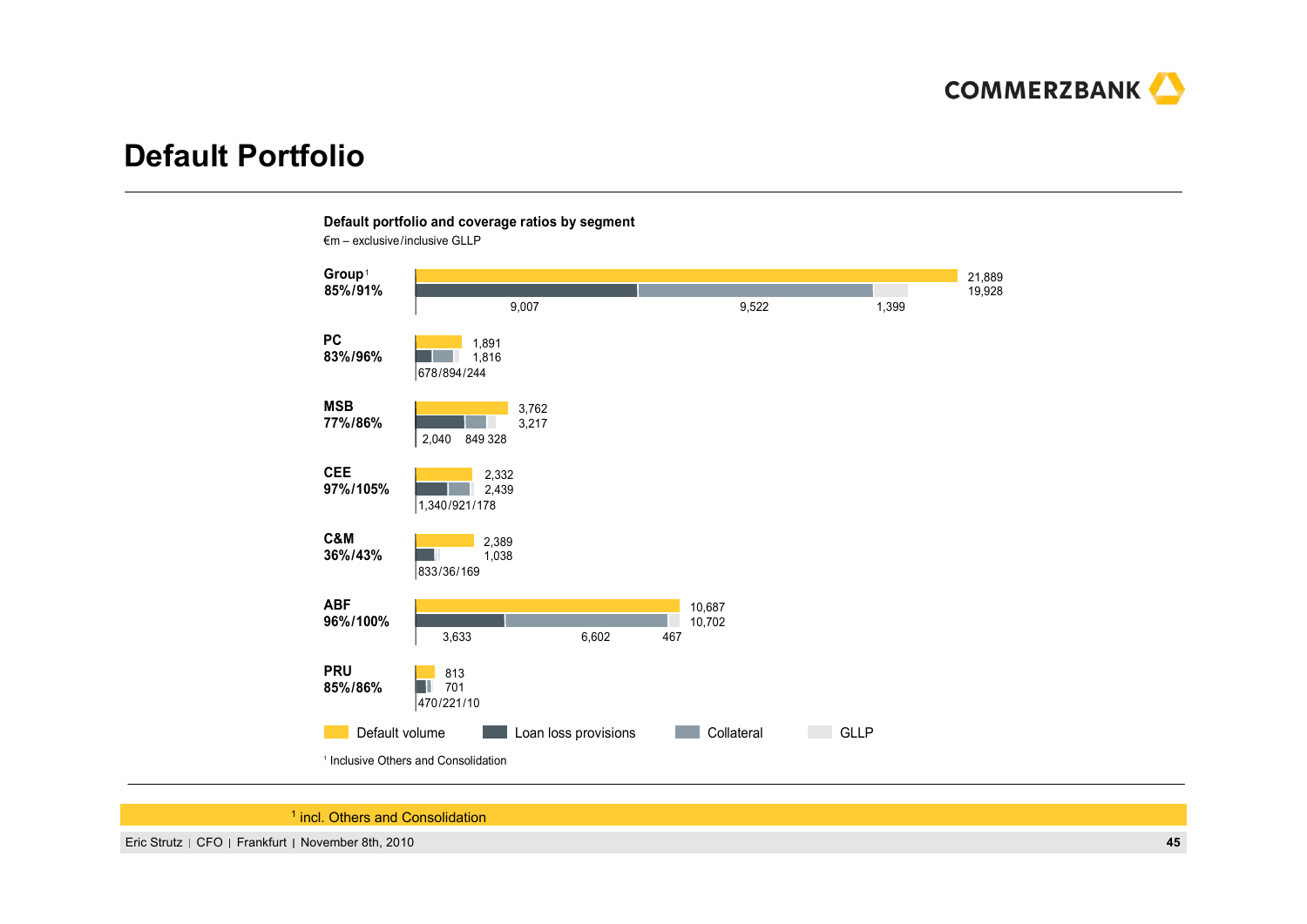

## **Default Portfolio**



**Default portfolio and coverage ratios by segment**

<sup>1</sup> incl. Others and Consolidation

Eric Strutz CFO Frankfurt November 8th, 2010 **45**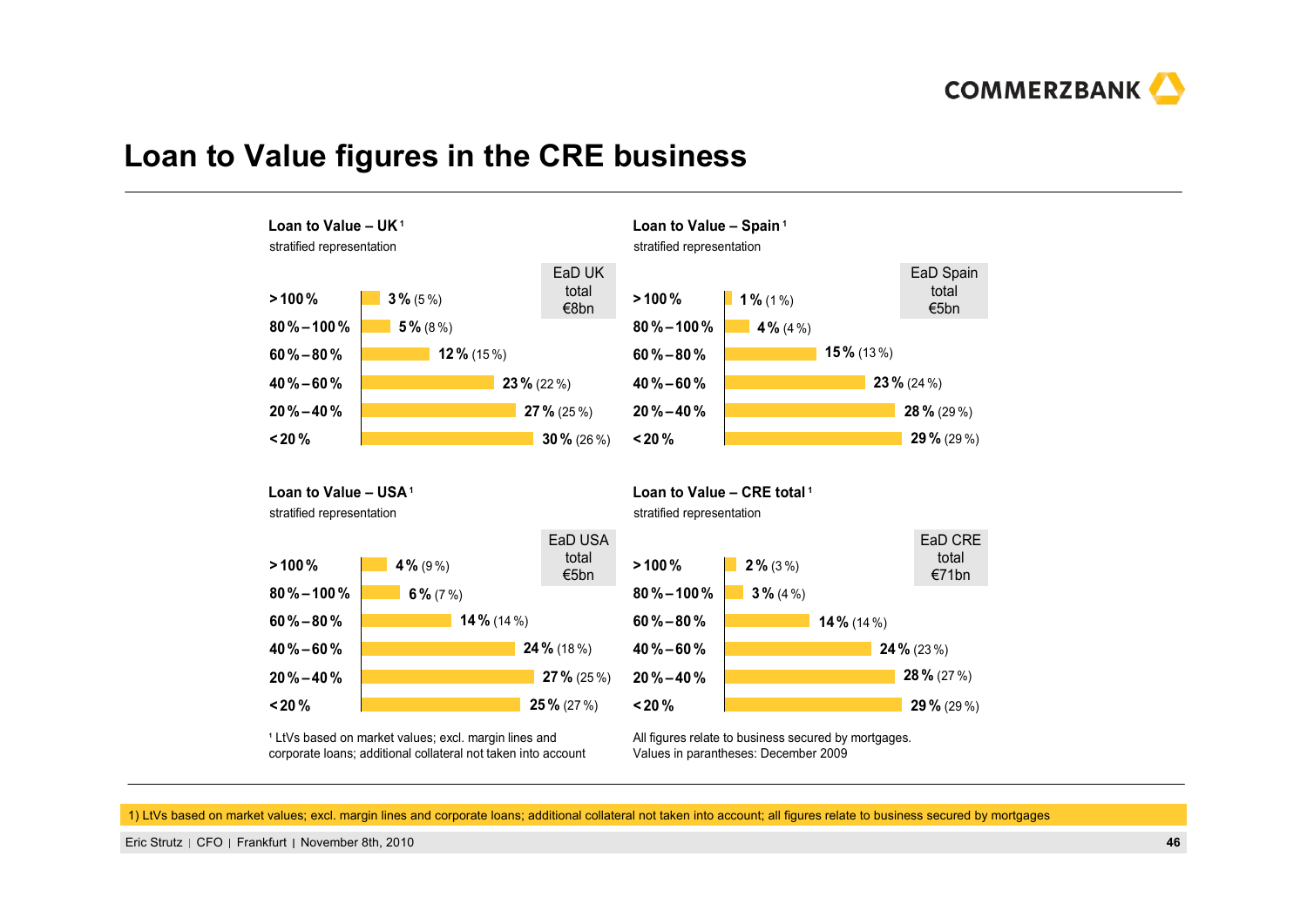

#### **Loan to Value figures in the CRE business**



corporate loans; additional collateral not taken into account

Values in parantheses: December 2009

1) LtVs based on market values; excl. margin lines and corporate loans; additional collateral not taken into account; all figures relate to business secured by mortgages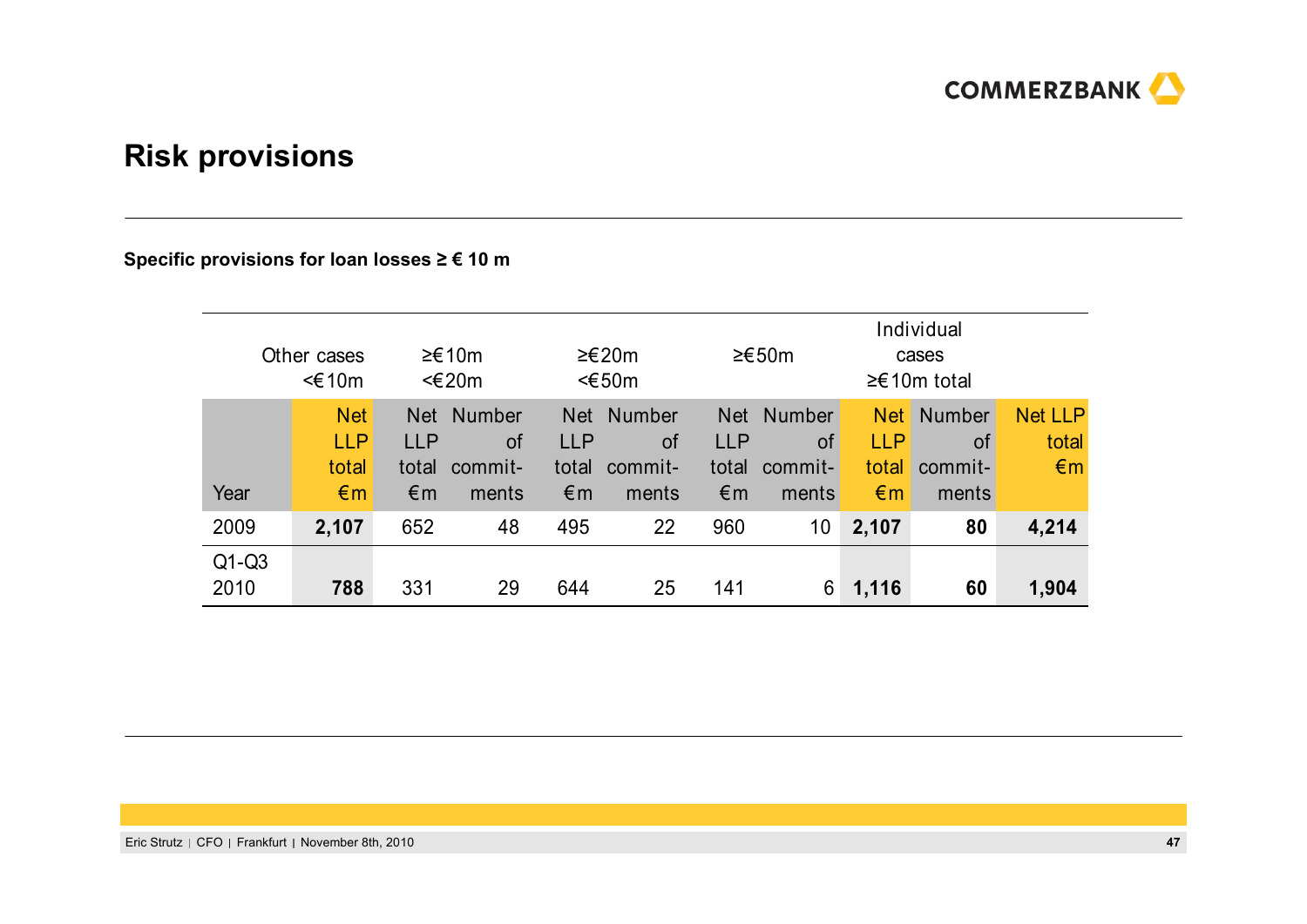

# **Risk provisions**

#### **Specific provisions for loan losses ≥ € 10 <sup>m</sup>**

| Other cases<br><€10m    |                                                   | ≥€10m<br>$\leq$ 20m                     |                                                |                                                   | ≥£20m<br>$<\epsilon$ 50m                |                                                   | ≥€50m                                   |                                                | Individual<br>cases<br>$≥€10m$ total           |                                         |
|-------------------------|---------------------------------------------------|-----------------------------------------|------------------------------------------------|---------------------------------------------------|-----------------------------------------|---------------------------------------------------|-----------------------------------------|------------------------------------------------|------------------------------------------------|-----------------------------------------|
| Year                    | <b>Net</b><br><b>LLP</b><br>total<br>$\epsilon$ m | <b>Net</b><br><b>LLP</b><br>total<br>€m | <b>Number</b><br><b>of</b><br>commit-<br>ments | <b>Net</b><br><b>LLP</b><br>total<br>$\epsilon$ m | <b>Number</b><br>0f<br>commit-<br>ments | <b>Net</b><br><b>LLP</b><br>total<br>$\epsilon$ m | <b>Number</b><br>οf<br>commit-<br>ments | <b>Net</b><br><b>LLP</b><br>total<br>$\n  6 m$ | <b>Number</b><br><b>of</b><br>commit-<br>ments | <b>Net LLP</b><br>total<br>$\epsilon$ m |
| 2009<br>$Q1-Q3$<br>2010 | 2,107<br>788                                      | 652<br>331                              | 48<br>29                                       | 495<br>644                                        | 22<br>25                                | 960<br>141                                        | 10<br>6                                 | 2,107<br>1,116                                 | 80<br>60                                       | 4,214<br>1,904                          |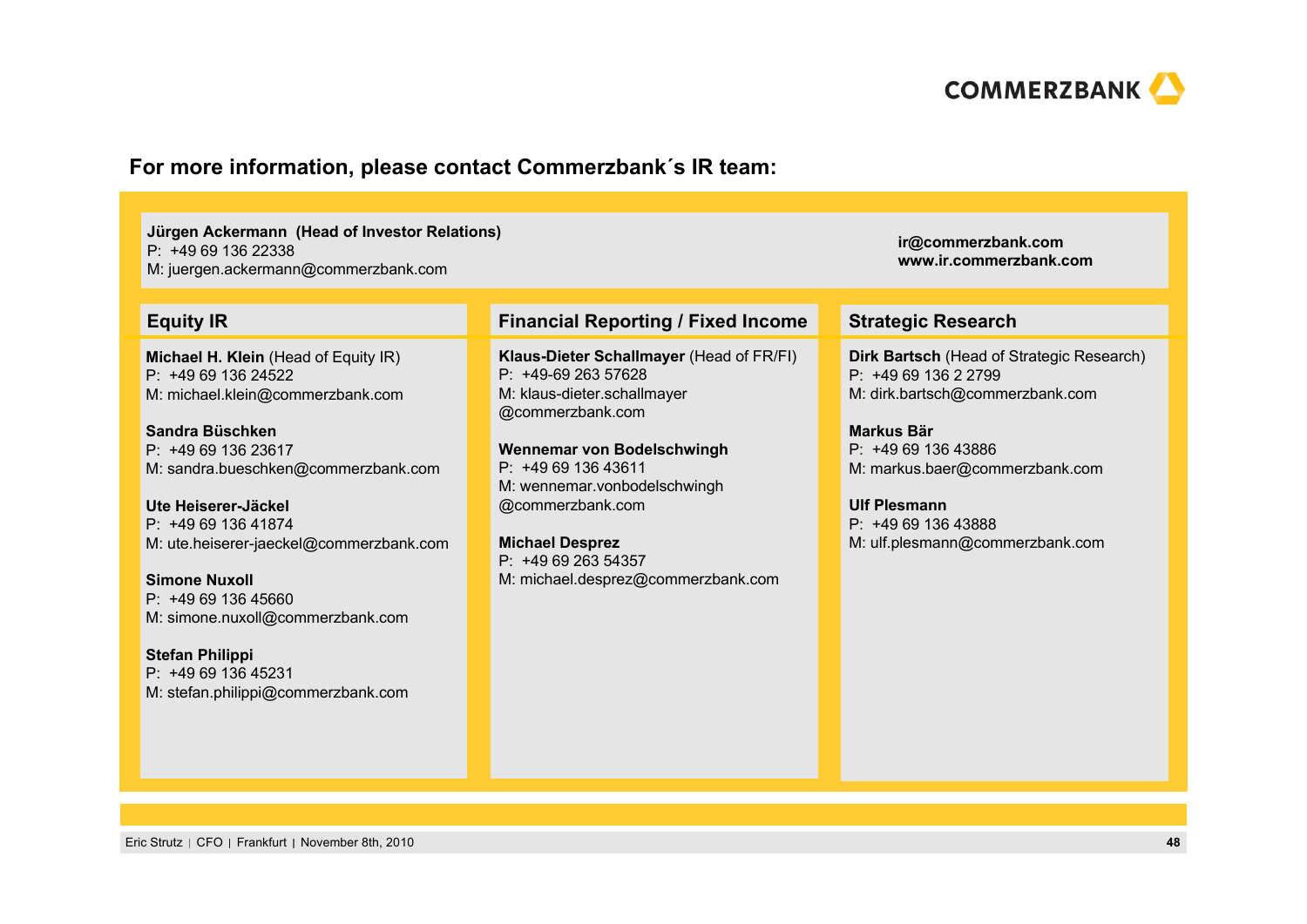

#### **For more information, please contact Commerzbank´s IR team:**

**Jürgen Ackermann (Head of Investor Relations)** P: +49 69 136 22338M: juergen.ackermann@commerzbank.com

**Michael H. Klein** (Head of Equity IR) P: +49 69 136 24522M: michael.klein@commerzbank.com

**Sandra Büschken**P: +49 69 136 23617M: sandra.bueschken@commerzbank.com

**Ute Heiserer-Jäckel**P: +49 69 136 41874M: ute.heiserer-jaeckel@commerzbank.com

**Simone Nuxoll**P: +49 69 136 45660M: simone.nuxoll@commerzbank.com

**Stefan Philippi** P: +49 69 136 45231M: stefan.philippi@commerzbank.com

#### **Equity IR Financial Reporting / Fixed Income Strategic Research**

**Klaus-Dieter Schallmayer** (Head of FR/FI) P: +49-69 263 57628M: klaus-dieter.schallmayer @commerzbank.com

**Wennemar von Bodelschwingh** P: +49 69 136 43611M: wennemar.vonbodelschwingh @commerzbank.com

**Michael Desprez** P: +49 69 263 54357M: michael.desprez@commerzbank.com

**Dirk Bartsch** (Head of Strategic Research) P: +49 69 136 2 2799 M: dirk.bartsch@commerzbank.com

**ir@commerzbank.com www.ir.commerzbank.com**

**Markus Bär**P: +49 69 136 43886 M: markus.baer@commerzbank.com

**Ulf Plesmann**P: +49 69 136 43888 M: ulf.plesmann@commerzbank.com